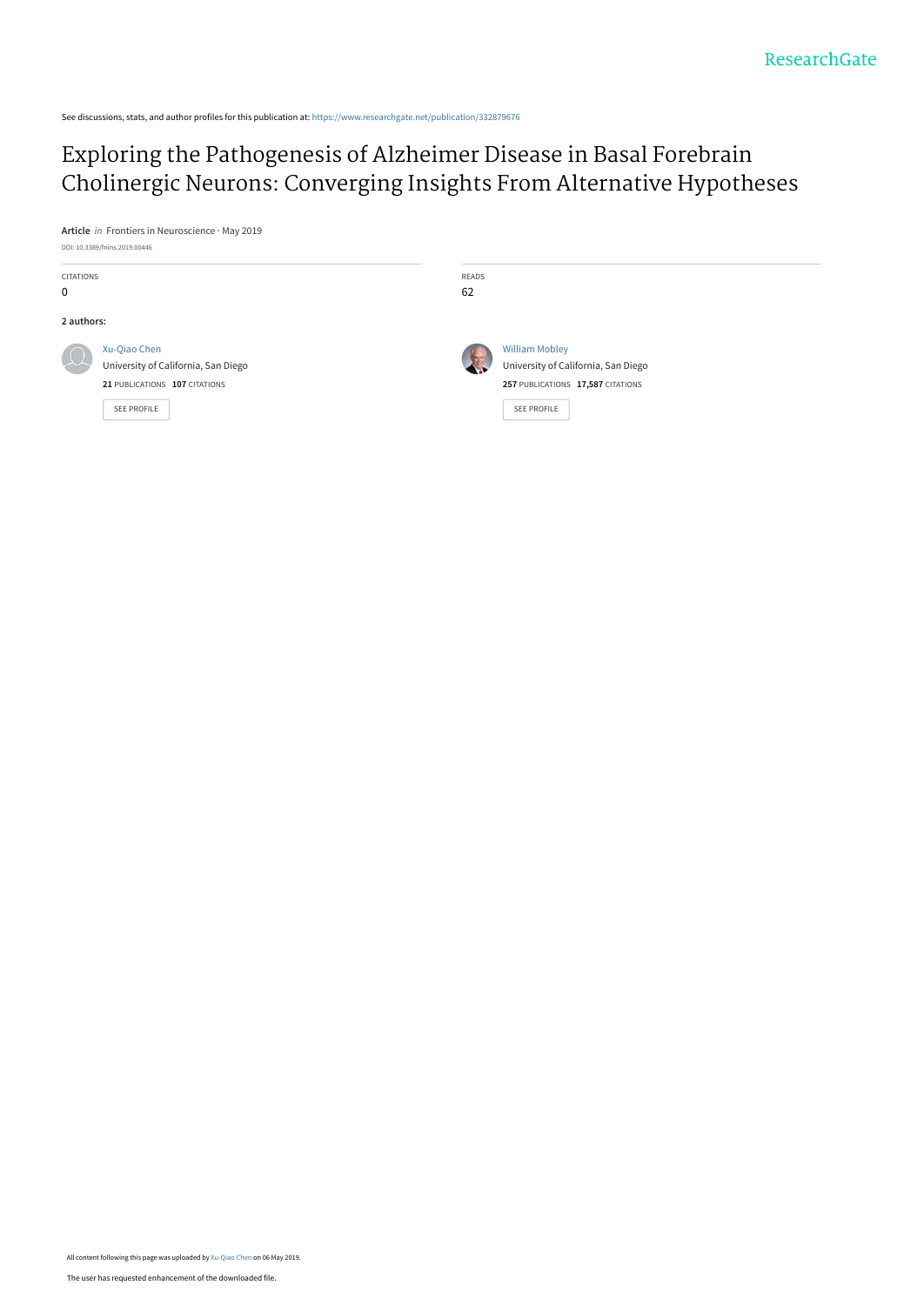See discussions, stats, and author profiles for this publication at: [https://www.researchgate.net/publication/332879676](https://www.researchgate.net/publication/332879676_Exploring_the_Pathogenesis_of_Alzheimer_Disease_in_Basal_Forebrain_Cholinergic_Neurons_Converging_Insights_From_Alternative_Hypotheses?enrichId=rgreq-ffadf24af0b6f756206adf9303b96805-XXX&enrichSource=Y292ZXJQYWdlOzMzMjg3OTY3NjtBUzo3NTU2NzgxNTUxMjQ3MzZAMTU1NzE3OTEyMDY4Mw%3D%3D&el=1_x_2&_esc=publicationCoverPdf)

## Exploring the Pathogenesis of Alzheimer Disease in Basal Forebrain [Cholinergic Neurons: Converging Insights From Alternative Hypotheses](https://www.researchgate.net/publication/332879676_Exploring_the_Pathogenesis_of_Alzheimer_Disease_in_Basal_Forebrain_Cholinergic_Neurons_Converging_Insights_From_Alternative_Hypotheses?enrichId=rgreq-ffadf24af0b6f756206adf9303b96805-XXX&enrichSource=Y292ZXJQYWdlOzMzMjg3OTY3NjtBUzo3NTU2NzgxNTUxMjQ3MzZAMTU1NzE3OTEyMDY4Mw%3D%3D&el=1_x_3&_esc=publicationCoverPdf)

**Article** in Frontiers in Neuroscience · May 2019 DOI: 10.3389/fnins.2019.00446

| <b>CITATIONS</b><br>$\mathbf 0$ |                                                                                                            | READS<br>62 |                                                                                                                         |
|---------------------------------|------------------------------------------------------------------------------------------------------------|-------------|-------------------------------------------------------------------------------------------------------------------------|
| 2 authors:                      |                                                                                                            |             |                                                                                                                         |
|                                 | Xu-Qiao Chen<br>University of California, San Diego<br>21 PUBLICATIONS 107 CITATIONS<br><b>SEE PROFILE</b> |             | <b>William Mobley</b><br>University of California, San Diego<br>257 PUBLICATIONS 17,587 CITATIONS<br><b>SEE PROFILE</b> |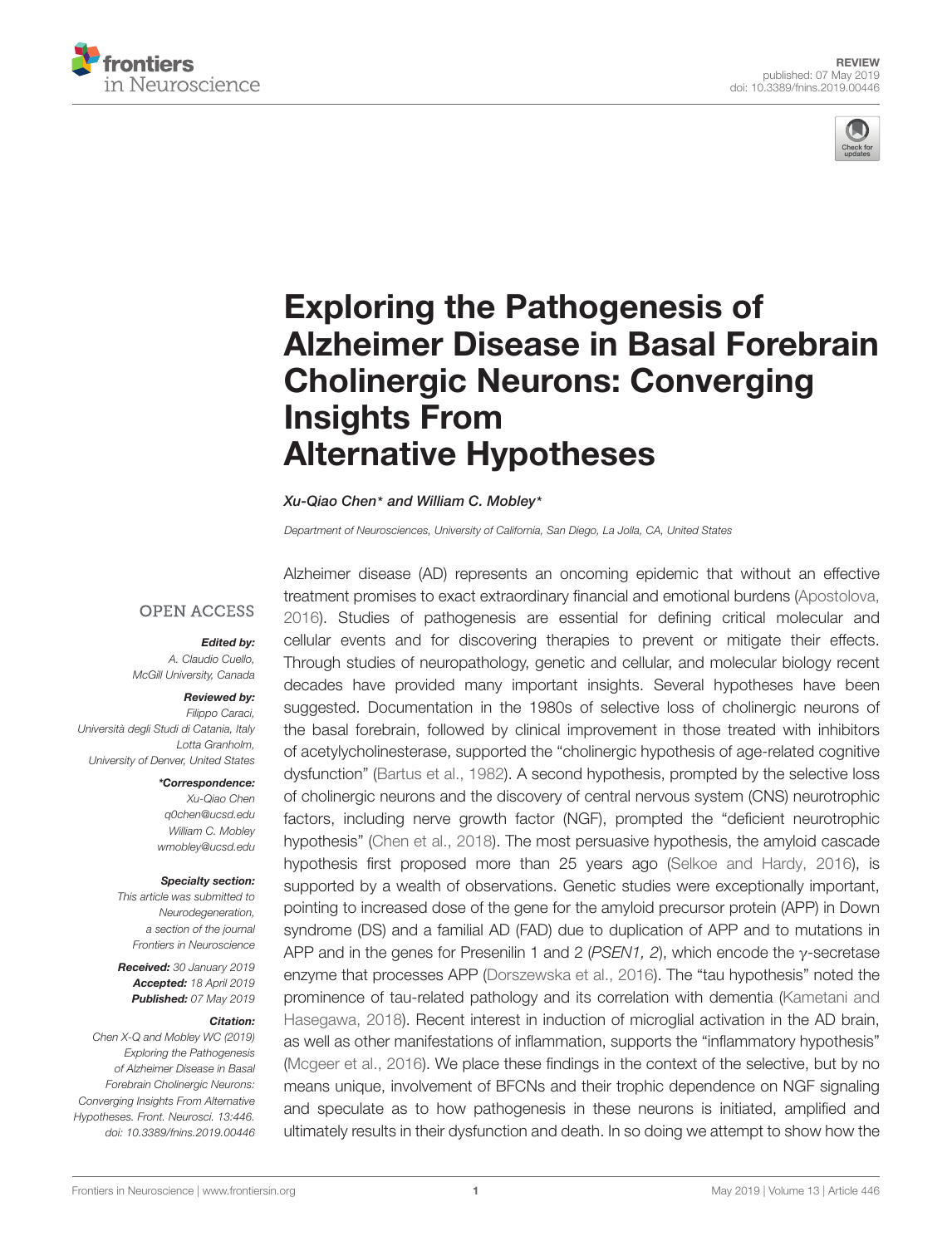



# Exploring the Pathogenesis of [Alzheimer Disease in Basal Forebrain](https://www.frontiersin.org/articles/10.3389/fnins.2019.00446/full) Cholinergic Neurons: Converging Insights From Alternative Hypotheses

#### [Xu-Qiao Chen](http://loop.frontiersin.org/people/727982/overview)\* and [William C. Mobley](http://loop.frontiersin.org/people/159738/overview)\*

Department of Neurosciences, University of California, San Diego, La Jolla, CA, United States

#### **OPEN ACCESS**

#### Edited by:

A. Claudio Cuello, McGill University, Canada

#### Reviewed by:

Filippo Caraci, Università degli Studi di Catania, Italy Lotta Granholm, University of Denver, United States

#### \*Correspondence:

Xu-Qiao Chen q0chen@ucsd.edu William C. Mobley wmobley@ucsd.edu

#### Specialty section:

This article was submitted to Neurodegeneration, a section of the journal Frontiers in Neuroscience

Received: 30 January 2019 Accepted: 18 April 2019 Published: 07 May 2019

#### Citation:

Chen X-Q and Mobley WC (2019) Exploring the Pathogenesis of Alzheimer Disease in Basal Forebrain Cholinergic Neurons: Converging Insights From Alternative Hypotheses. Front. Neurosci. 13:446. doi: [10.3389/fnins.2019.00446](https://doi.org/10.3389/fnins.2019.00446)

Alzheimer disease (AD) represents an oncoming epidemic that without an effective treatment promises to exact extraordinary financial and emotional burdens [\(Apostolova,](#page-12-0) [2016\)](#page-12-0). Studies of pathogenesis are essential for defining critical molecular and cellular events and for discovering therapies to prevent or mitigate their effects. Through studies of neuropathology, genetic and cellular, and molecular biology recent decades have provided many important insights. Several hypotheses have been suggested. Documentation in the 1980s of selective loss of cholinergic neurons of the basal forebrain, followed by clinical improvement in those treated with inhibitors of acetylycholinesterase, supported the "cholinergic hypothesis of age-related cognitive dysfunction" [\(Bartus et al.,](#page-13-0) [1982\)](#page-13-0). A second hypothesis, prompted by the selective loss of cholinergic neurons and the discovery of central nervous system (CNS) neurotrophic factors, including nerve growth factor (NGF), prompted the "deficient neurotrophic hypothesis" [\(Chen et al.,](#page-13-1) [2018\)](#page-13-1). The most persuasive hypothesis, the amyloid cascade hypothesis first proposed more than 25 years ago [\(Selkoe and Hardy,](#page-17-0) [2016\)](#page-17-0), is supported by a wealth of observations. Genetic studies were exceptionally important, pointing to increased dose of the gene for the amyloid precursor protein (APP) in Down syndrome (DS) and a familial AD (FAD) due to duplication of APP and to mutations in APP and in the genes for Presenilin 1 and 2 (PSEN1, 2), which encode the γ-secretase enzyme that processes APP [\(Dorszewska et al.,](#page-14-0) [2016\)](#page-14-0). The "tau hypothesis" noted the prominence of tau-related pathology and its correlation with dementia [\(Kametani and](#page-15-0) [Hasegawa,](#page-15-0) [2018\)](#page-15-0). Recent interest in induction of microglial activation in the AD brain, as well as other manifestations of inflammation, supports the "inflammatory hypothesis" [\(Mcgeer et al.,](#page-16-0) [2016\)](#page-16-0). We place these findings in the context of the selective, but by no means unique, involvement of BFCNs and their trophic dependence on NGF signaling and speculate as to how pathogenesis in these neurons is initiated, amplified and ultimately results in their dysfunction and death. In so doing we attempt to show how the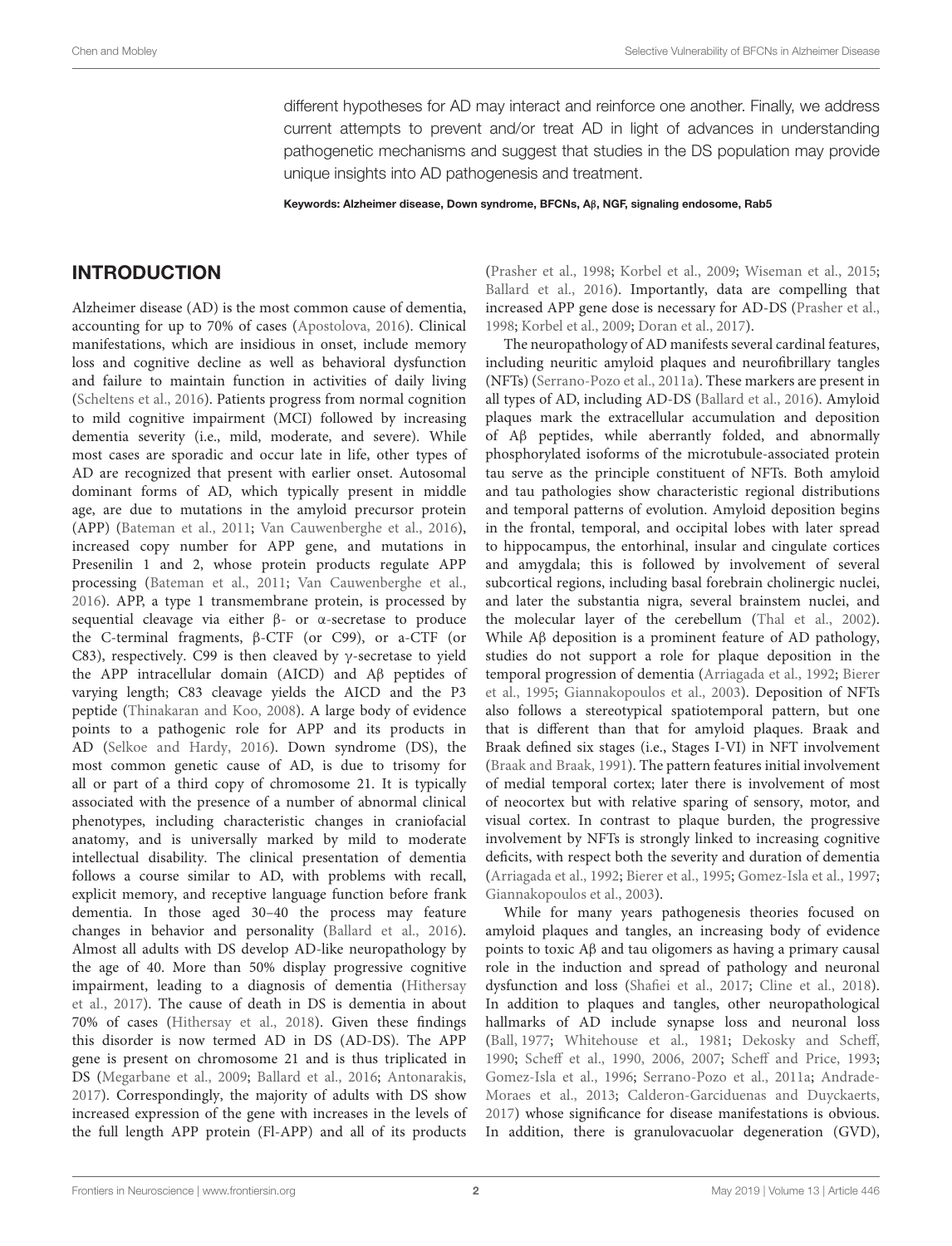different hypotheses for AD may interact and reinforce one another. Finally, we address current attempts to prevent and/or treat AD in light of advances in understanding pathogenetic mechanisms and suggest that studies in the DS population may provide unique insights into AD pathogenesis and treatment.

Keywords: Alzheimer disease, Down syndrome, BFCNs, Aβ, NGF, signaling endosome, Rab5

#### INTRODUCTION

Alzheimer disease (AD) is the most common cause of dementia, accounting for up to 70% of cases [\(Apostolova,](#page-12-0) [2016\)](#page-12-0). Clinical manifestations, which are insidious in onset, include memory loss and cognitive decline as well as behavioral dysfunction and failure to maintain function in activities of daily living [\(Scheltens et al.,](#page-17-1) [2016\)](#page-17-1). Patients progress from normal cognition to mild cognitive impairment (MCI) followed by increasing dementia severity (i.e., mild, moderate, and severe). While most cases are sporadic and occur late in life, other types of AD are recognized that present with earlier onset. Autosomal dominant forms of AD, which typically present in middle age, are due to mutations in the amyloid precursor protein (APP) [\(Bateman et al.,](#page-13-2) [2011;](#page-13-2) [Van Cauwenberghe et al.,](#page-17-2) [2016\)](#page-17-2), increased copy number for APP gene, and mutations in Presenilin 1 and 2, whose protein products regulate APP processing [\(Bateman et al.,](#page-13-2) [2011;](#page-13-2) [Van Cauwenberghe et al.,](#page-17-2) [2016\)](#page-17-2). APP, a type 1 transmembrane protein, is processed by sequential cleavage via either β- or α-secretase to produce the C-terminal fragments, β-CTF (or C99), or a-CTF (or C83), respectively. C99 is then cleaved by γ-secretase to yield the APP intracellular domain (AICD) and Aβ peptides of varying length; C83 cleavage yields the AICD and the P3 peptide [\(Thinakaran and Koo,](#page-17-3) [2008\)](#page-17-3). A large body of evidence points to a pathogenic role for APP and its products in AD [\(Selkoe and Hardy,](#page-17-0) [2016\)](#page-17-0). Down syndrome (DS), the most common genetic cause of AD, is due to trisomy for all or part of a third copy of chromosome 21. It is typically associated with the presence of a number of abnormal clinical phenotypes, including characteristic changes in craniofacial anatomy, and is universally marked by mild to moderate intellectual disability. The clinical presentation of dementia follows a course similar to AD, with problems with recall, explicit memory, and receptive language function before frank dementia. In those aged 30–40 the process may feature changes in behavior and personality [\(Ballard et al.,](#page-13-3) [2016\)](#page-13-3). Almost all adults with DS develop AD-like neuropathology by the age of 40. More than 50% display progressive cognitive impairment, leading to a diagnosis of dementia [\(Hithersay](#page-14-1) [et al.,](#page-14-1) [2017\)](#page-14-1). The cause of death in DS is dementia in about 70% of cases [\(Hithersay et al.,](#page-14-2) [2018\)](#page-14-2). Given these findings this disorder is now termed AD in DS (AD-DS). The APP gene is present on chromosome 21 and is thus triplicated in DS [\(Megarbane et al.,](#page-16-1) [2009;](#page-16-1) [Ballard et al.,](#page-13-3) [2016;](#page-13-3) [Antonarakis,](#page-12-1) [2017\)](#page-12-1). Correspondingly, the majority of adults with DS show increased expression of the gene with increases in the levels of the full length APP protein (Fl-APP) and all of its products

[\(Prasher et al.,](#page-16-2) [1998;](#page-16-2) [Korbel et al.,](#page-15-1) [2009;](#page-15-1) [Wiseman et al.,](#page-18-0) [2015;](#page-18-0) [Ballard et al.,](#page-13-3) [2016\)](#page-13-3). Importantly, data are compelling that increased APP gene dose is necessary for AD-DS [\(Prasher et al.,](#page-16-2) [1998;](#page-16-2) [Korbel et al.,](#page-15-1) [2009;](#page-15-1) [Doran et al.,](#page-14-3) [2017\)](#page-14-3).

The neuropathology of AD manifests several cardinal features, including neuritic amyloid plaques and neurofibrillary tangles (NFTs) [\(Serrano-Pozo et al.,](#page-17-4) [2011a\)](#page-17-4). These markers are present in all types of AD, including AD-DS [\(Ballard et al.,](#page-13-3) [2016\)](#page-13-3). Amyloid plaques mark the extracellular accumulation and deposition of Aβ peptides, while aberrantly folded, and abnormally phosphorylated isoforms of the microtubule-associated protein tau serve as the principle constituent of NFTs. Both amyloid and tau pathologies show characteristic regional distributions and temporal patterns of evolution. Amyloid deposition begins in the frontal, temporal, and occipital lobes with later spread to hippocampus, the entorhinal, insular and cingulate cortices and amygdala; this is followed by involvement of several subcortical regions, including basal forebrain cholinergic nuclei, and later the substantia nigra, several brainstem nuclei, and the molecular layer of the cerebellum [\(Thal et al.,](#page-17-5) [2002\)](#page-17-5). While Aβ deposition is a prominent feature of AD pathology, studies do not support a role for plaque deposition in the temporal progression of dementia [\(Arriagada et al.,](#page-12-2) [1992;](#page-12-2) [Bierer](#page-13-4) [et al.,](#page-13-4) [1995;](#page-13-4) [Giannakopoulos et al.,](#page-14-4) [2003\)](#page-14-4). Deposition of NFTs also follows a stereotypical spatiotemporal pattern, but one that is different than that for amyloid plaques. Braak and Braak defined six stages (i.e., Stages I-VI) in NFT involvement [\(Braak and Braak,](#page-13-5) [1991\)](#page-13-5). The pattern features initial involvement of medial temporal cortex; later there is involvement of most of neocortex but with relative sparing of sensory, motor, and visual cortex. In contrast to plaque burden, the progressive involvement by NFTs is strongly linked to increasing cognitive deficits, with respect both the severity and duration of dementia [\(Arriagada et al.,](#page-12-2) [1992;](#page-12-2) [Bierer et al.,](#page-13-4) [1995;](#page-13-4) [Gomez-Isla et al.,](#page-14-5) [1997;](#page-14-5) [Giannakopoulos et al.,](#page-14-4) [2003\)](#page-14-4).

While for many years pathogenesis theories focused on amyloid plaques and tangles, an increasing body of evidence points to toxic Aβ and tau oligomers as having a primary causal role in the induction and spread of pathology and neuronal dysfunction and loss [\(Shafiei et al.,](#page-17-6) [2017;](#page-17-6) [Cline et al.,](#page-13-6) [2018\)](#page-13-6). In addition to plaques and tangles, other neuropathological hallmarks of AD include synapse loss and neuronal loss [\(Ball,](#page-12-3) [1977;](#page-12-3) [Whitehouse et al.,](#page-17-7) [1981;](#page-17-7) [Dekosky and Scheff,](#page-14-6) [1990;](#page-14-6) [Scheff et al.,](#page-16-3) [1990,](#page-16-3) [2006,](#page-17-8) [2007;](#page-17-9) [Scheff and Price,](#page-17-10) [1993;](#page-17-10) [Gomez-Isla et al.,](#page-14-7) [1996;](#page-14-7) [Serrano-Pozo et al.,](#page-17-4) [2011a;](#page-17-4) [Andrade-](#page-12-4)[Moraes et al.,](#page-12-4) [2013;](#page-12-4) [Calderon-Garciduenas and Duyckaerts,](#page-13-7) [2017\)](#page-13-7) whose significance for disease manifestations is obvious. In addition, there is granulovacuolar degeneration (GVD),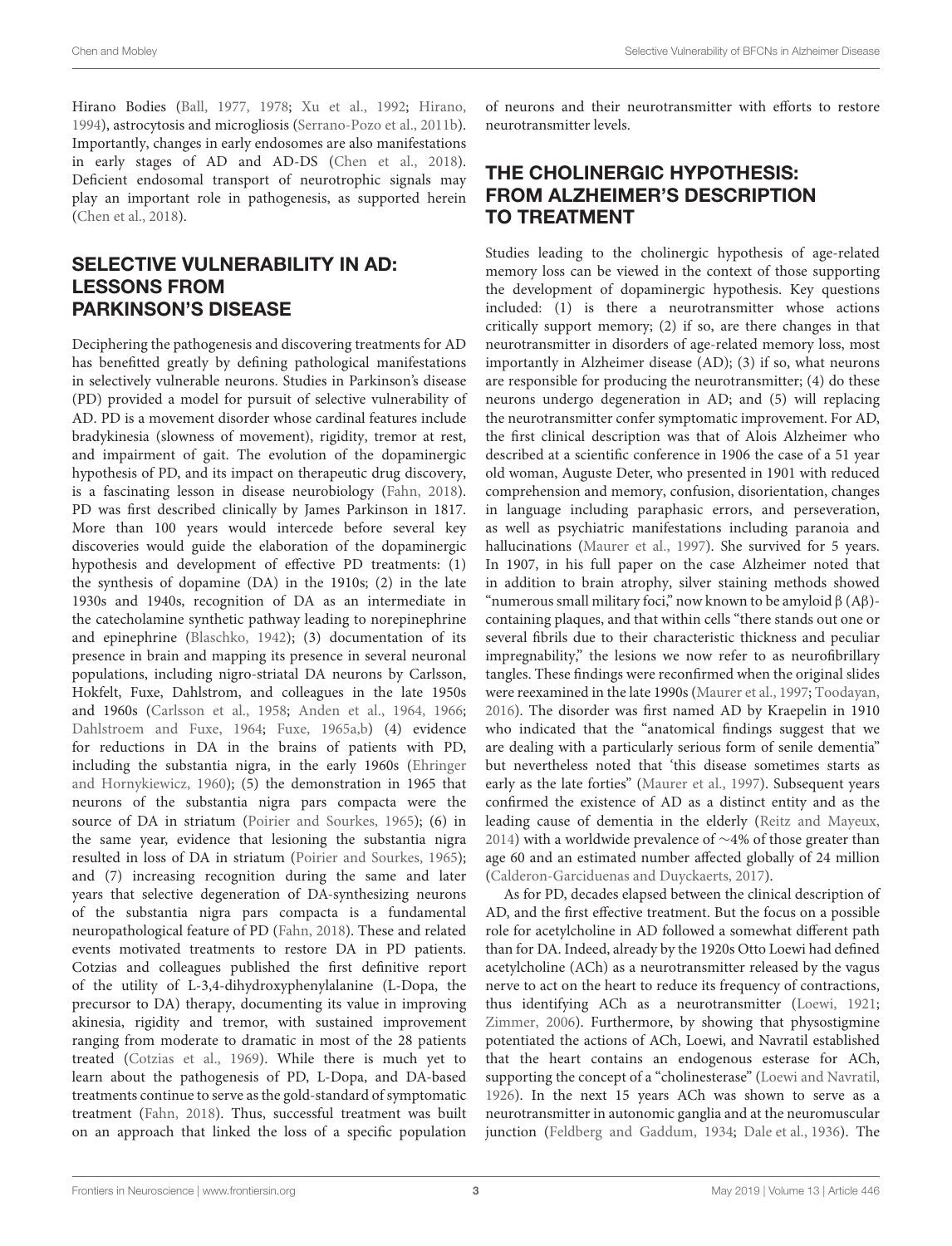Hirano Bodies [\(Ball,](#page-12-3) [1977,](#page-12-3) [1978;](#page-12-5) [Xu et al.,](#page-18-1) [1992;](#page-18-1) [Hirano,](#page-14-8) [1994\)](#page-14-8), astrocytosis and microgliosis [\(Serrano-Pozo et al.,](#page-17-11) [2011b\)](#page-17-11). Importantly, changes in early endosomes are also manifestations in early stages of AD and AD-DS [\(Chen et al.,](#page-13-1) [2018\)](#page-13-1). Deficient endosomal transport of neurotrophic signals may play an important role in pathogenesis, as supported herein [\(Chen et al.,](#page-13-1) [2018\)](#page-13-1).

## SELECTIVE VULNERABILITY IN AD: LESSONS FROM PARKINSON'S DISEASE

Deciphering the pathogenesis and discovering treatments for AD has benefitted greatly by defining pathological manifestations in selectively vulnerable neurons. Studies in Parkinson's disease (PD) provided a model for pursuit of selective vulnerability of AD. PD is a movement disorder whose cardinal features include bradykinesia (slowness of movement), rigidity, tremor at rest, and impairment of gait. The evolution of the dopaminergic hypothesis of PD, and its impact on therapeutic drug discovery, is a fascinating lesson in disease neurobiology [\(Fahn,](#page-14-9) [2018\)](#page-14-9). PD was first described clinically by James Parkinson in 1817. More than 100 years would intercede before several key discoveries would guide the elaboration of the dopaminergic hypothesis and development of effective PD treatments: (1) the synthesis of dopamine (DA) in the 1910s; (2) in the late 1930s and 1940s, recognition of DA as an intermediate in the catecholamine synthetic pathway leading to norepinephrine and epinephrine [\(Blaschko,](#page-13-8) [1942\)](#page-13-8); (3) documentation of its presence in brain and mapping its presence in several neuronal populations, including nigro-striatal DA neurons by Carlsson, Hokfelt, Fuxe, Dahlstrom, and colleagues in the late 1950s and 1960s [\(Carlsson et al.,](#page-13-9) [1958;](#page-13-9) [Anden et al.,](#page-12-6) [1964,](#page-12-6) [1966;](#page-12-7) [Dahlstroem and Fuxe,](#page-13-10) [1964;](#page-13-10) [Fuxe,](#page-14-10) [1965a](#page-14-10)[,b\)](#page-14-11) (4) evidence for reductions in DA in the brains of patients with PD, including the substantia nigra, in the early 1960s [\(Ehringer](#page-14-12) [and Hornykiewicz,](#page-14-12) [1960\)](#page-14-12); (5) the demonstration in 1965 that neurons of the substantia nigra pars compacta were the source of DA in striatum [\(Poirier and Sourkes,](#page-16-4) [1965\)](#page-16-4); (6) in the same year, evidence that lesioning the substantia nigra resulted in loss of DA in striatum [\(Poirier and Sourkes,](#page-16-4) [1965\)](#page-16-4); and (7) increasing recognition during the same and later years that selective degeneration of DA-synthesizing neurons of the substantia nigra pars compacta is a fundamental neuropathological feature of PD [\(Fahn,](#page-14-9) [2018\)](#page-14-9). These and related events motivated treatments to restore DA in PD patients. Cotzias and colleagues published the first definitive report of the utility of L-3,4-dihydroxyphenylalanine (L-Dopa, the precursor to DA) therapy, documenting its value in improving akinesia, rigidity and tremor, with sustained improvement ranging from moderate to dramatic in most of the 28 patients treated [\(Cotzias et al.,](#page-13-11) [1969\)](#page-13-11). While there is much yet to learn about the pathogenesis of PD, L-Dopa, and DA-based treatments continue to serve as the gold-standard of symptomatic treatment [\(Fahn,](#page-14-9) [2018\)](#page-14-9). Thus, successful treatment was built on an approach that linked the loss of a specific population

of neurons and their neurotransmitter with efforts to restore neurotransmitter levels.

## THE CHOLINERGIC HYPOTHESIS: FROM ALZHEIMER'S DESCRIPTION TO TREATMENT

Studies leading to the cholinergic hypothesis of age-related memory loss can be viewed in the context of those supporting the development of dopaminergic hypothesis. Key questions included: (1) is there a neurotransmitter whose actions critically support memory; (2) if so, are there changes in that neurotransmitter in disorders of age-related memory loss, most importantly in Alzheimer disease (AD); (3) if so, what neurons are responsible for producing the neurotransmitter; (4) do these neurons undergo degeneration in AD; and (5) will replacing the neurotransmitter confer symptomatic improvement. For AD, the first clinical description was that of Alois Alzheimer who described at a scientific conference in 1906 the case of a 51 year old woman, Auguste Deter, who presented in 1901 with reduced comprehension and memory, confusion, disorientation, changes in language including paraphasic errors, and perseveration, as well as psychiatric manifestations including paranoia and hallucinations [\(Maurer et al.,](#page-16-5) [1997\)](#page-16-5). She survived for 5 years. In 1907, in his full paper on the case Alzheimer noted that in addition to brain atrophy, silver staining methods showed "numerous small military foci," now known to be amyloid  $\beta$  (A $\beta$ )containing plaques, and that within cells "there stands out one or several fibrils due to their characteristic thickness and peculiar impregnability," the lesions we now refer to as neurofibrillary tangles. These findings were reconfirmed when the original slides were reexamined in the late 1990s [\(Maurer et al.,](#page-16-5) [1997;](#page-16-5) [Toodayan,](#page-17-12) [2016\)](#page-17-12). The disorder was first named AD by Kraepelin in 1910 who indicated that the "anatomical findings suggest that we are dealing with a particularly serious form of senile dementia" but nevertheless noted that 'this disease sometimes starts as early as the late forties" [\(Maurer et al.,](#page-16-5) [1997\)](#page-16-5). Subsequent years confirmed the existence of AD as a distinct entity and as the leading cause of dementia in the elderly [\(Reitz and Mayeux,](#page-16-6) [2014\)](#page-16-6) with a worldwide prevalence of ∼4% of those greater than age 60 and an estimated number affected globally of 24 million [\(Calderon-Garciduenas and Duyckaerts,](#page-13-7) [2017\)](#page-13-7).

As for PD, decades elapsed between the clinical description of AD, and the first effective treatment. But the focus on a possible role for acetylcholine in AD followed a somewhat different path than for DA. Indeed, already by the 1920s Otto Loewi had defined acetylcholine (ACh) as a neurotransmitter released by the vagus nerve to act on the heart to reduce its frequency of contractions, thus identifying ACh as a neurotransmitter [\(Loewi,](#page-15-2) [1921;](#page-15-2) [Zimmer,](#page-18-2) [2006\)](#page-18-2). Furthermore, by showing that physostigmine potentiated the actions of ACh, Loewi, and Navratil established that the heart contains an endogenous esterase for ACh, supporting the concept of a "cholinesterase" [\(Loewi and Navratil,](#page-16-7) [1926\)](#page-16-7). In the next 15 years ACh was shown to serve as a neurotransmitter in autonomic ganglia and at the neuromuscular junction [\(Feldberg and Gaddum,](#page-14-13) [1934;](#page-14-13) [Dale et al.,](#page-13-12) [1936\)](#page-13-12). The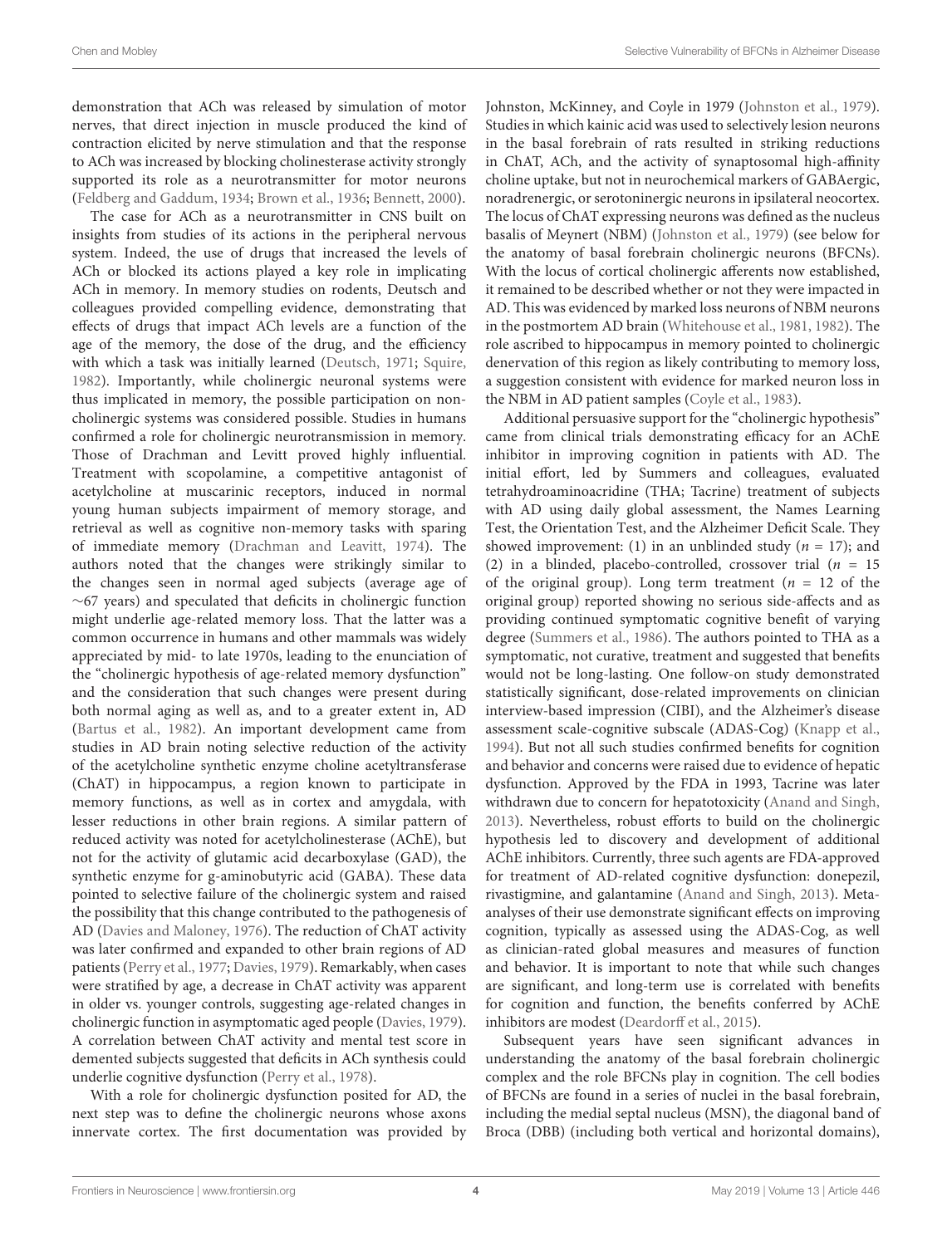demonstration that ACh was released by simulation of motor nerves, that direct injection in muscle produced the kind of contraction elicited by nerve stimulation and that the response to ACh was increased by blocking cholinesterase activity strongly supported its role as a neurotransmitter for motor neurons [\(Feldberg and Gaddum,](#page-14-13) [1934;](#page-14-13) [Brown et al.,](#page-13-13) [1936;](#page-13-13) [Bennett,](#page-13-14) [2000\)](#page-13-14).

The case for ACh as a neurotransmitter in CNS built on insights from studies of its actions in the peripheral nervous system. Indeed, the use of drugs that increased the levels of ACh or blocked its actions played a key role in implicating ACh in memory. In memory studies on rodents, Deutsch and colleagues provided compelling evidence, demonstrating that effects of drugs that impact ACh levels are a function of the age of the memory, the dose of the drug, and the efficiency with which a task was initially learned [\(Deutsch,](#page-14-14) [1971;](#page-14-14) [Squire,](#page-17-13) [1982\)](#page-17-13). Importantly, while cholinergic neuronal systems were thus implicated in memory, the possible participation on noncholinergic systems was considered possible. Studies in humans confirmed a role for cholinergic neurotransmission in memory. Those of Drachman and Levitt proved highly influential. Treatment with scopolamine, a competitive antagonist of acetylcholine at muscarinic receptors, induced in normal young human subjects impairment of memory storage, and retrieval as well as cognitive non-memory tasks with sparing of immediate memory [\(Drachman and Leavitt,](#page-14-15) [1974\)](#page-14-15). The authors noted that the changes were strikingly similar to the changes seen in normal aged subjects (average age of  $~\sim$ 67 years) and speculated that deficits in cholinergic function might underlie age-related memory loss. That the latter was a common occurrence in humans and other mammals was widely appreciated by mid- to late 1970s, leading to the enunciation of the "cholinergic hypothesis of age-related memory dysfunction" and the consideration that such changes were present during both normal aging as well as, and to a greater extent in, AD [\(Bartus et al.,](#page-13-0) [1982\)](#page-13-0). An important development came from studies in AD brain noting selective reduction of the activity of the acetylcholine synthetic enzyme choline acetyltransferase (ChAT) in hippocampus, a region known to participate in memory functions, as well as in cortex and amygdala, with lesser reductions in other brain regions. A similar pattern of reduced activity was noted for acetylcholinesterase (AChE), but not for the activity of glutamic acid decarboxylase (GAD), the synthetic enzyme for g-aminobutyric acid (GABA). These data pointed to selective failure of the cholinergic system and raised the possibility that this change contributed to the pathogenesis of AD [\(Davies and Maloney,](#page-14-16) [1976\)](#page-14-16). The reduction of ChAT activity was later confirmed and expanded to other brain regions of AD patients [\(Perry et al.,](#page-16-8) [1977;](#page-16-8) [Davies,](#page-13-15) [1979\)](#page-13-15). Remarkably, when cases were stratified by age, a decrease in ChAT activity was apparent in older vs. younger controls, suggesting age-related changes in cholinergic function in asymptomatic aged people [\(Davies,](#page-13-15) [1979\)](#page-13-15). A correlation between ChAT activity and mental test score in demented subjects suggested that deficits in ACh synthesis could underlie cognitive dysfunction [\(Perry et al.,](#page-16-9) [1978\)](#page-16-9).

With a role for cholinergic dysfunction posited for AD, the next step was to define the cholinergic neurons whose axons innervate cortex. The first documentation was provided by Johnston, McKinney, and Coyle in 1979 [\(Johnston et al.,](#page-15-3) [1979\)](#page-15-3). Studies in which kainic acid was used to selectively lesion neurons in the basal forebrain of rats resulted in striking reductions in ChAT, ACh, and the activity of synaptosomal high-affinity choline uptake, but not in neurochemical markers of GABAergic, noradrenergic, or serotoninergic neurons in ipsilateral neocortex. The locus of ChAT expressing neurons was defined as the nucleus basalis of Meynert (NBM) [\(Johnston et al.,](#page-15-3) [1979\)](#page-15-3) (see below for the anatomy of basal forebrain cholinergic neurons (BFCNs). With the locus of cortical cholinergic afferents now established, it remained to be described whether or not they were impacted in AD. This was evidenced by marked loss neurons of NBM neurons in the postmortem AD brain [\(Whitehouse et al.,](#page-17-7) [1981,](#page-17-7) [1982\)](#page-17-14). The role ascribed to hippocampus in memory pointed to cholinergic denervation of this region as likely contributing to memory loss, a suggestion consistent with evidence for marked neuron loss in the NBM in AD patient samples [\(Coyle et al.,](#page-13-16) [1983\)](#page-13-16).

Additional persuasive support for the "cholinergic hypothesis" came from clinical trials demonstrating efficacy for an AChE inhibitor in improving cognition in patients with AD. The initial effort, led by Summers and colleagues, evaluated tetrahydroaminoacridine (THA; Tacrine) treatment of subjects with AD using daily global assessment, the Names Learning Test, the Orientation Test, and the Alzheimer Deficit Scale. They showed improvement: (1) in an unblinded study ( $n = 17$ ); and (2) in a blinded, placebo-controlled, crossover trial ( $n = 15$ ) of the original group). Long term treatment ( $n = 12$  of the original group) reported showing no serious side-affects and as providing continued symptomatic cognitive benefit of varying degree [\(Summers et al.,](#page-17-15) [1986\)](#page-17-15). The authors pointed to THA as a symptomatic, not curative, treatment and suggested that benefits would not be long-lasting. One follow-on study demonstrated statistically significant, dose-related improvements on clinician interview-based impression (CIBI), and the Alzheimer's disease assessment scale-cognitive subscale (ADAS-Cog) [\(Knapp et al.,](#page-15-4) [1994\)](#page-15-4). But not all such studies confirmed benefits for cognition and behavior and concerns were raised due to evidence of hepatic dysfunction. Approved by the FDA in 1993, Tacrine was later withdrawn due to concern for hepatotoxicity [\(Anand and Singh,](#page-12-8) [2013\)](#page-12-8). Nevertheless, robust efforts to build on the cholinergic hypothesis led to discovery and development of additional AChE inhibitors. Currently, three such agents are FDA-approved for treatment of AD-related cognitive dysfunction: donepezil, rivastigmine, and galantamine [\(Anand and Singh,](#page-12-8) [2013\)](#page-12-8). Metaanalyses of their use demonstrate significant effects on improving cognition, typically as assessed using the ADAS-Cog, as well as clinician-rated global measures and measures of function and behavior. It is important to note that while such changes are significant, and long-term use is correlated with benefits for cognition and function, the benefits conferred by AChE inhibitors are modest [\(Deardorff et al.,](#page-14-17) [2015\)](#page-14-17).

Subsequent years have seen significant advances in understanding the anatomy of the basal forebrain cholinergic complex and the role BFCNs play in cognition. The cell bodies of BFCNs are found in a series of nuclei in the basal forebrain, including the medial septal nucleus (MSN), the diagonal band of Broca (DBB) (including both vertical and horizontal domains),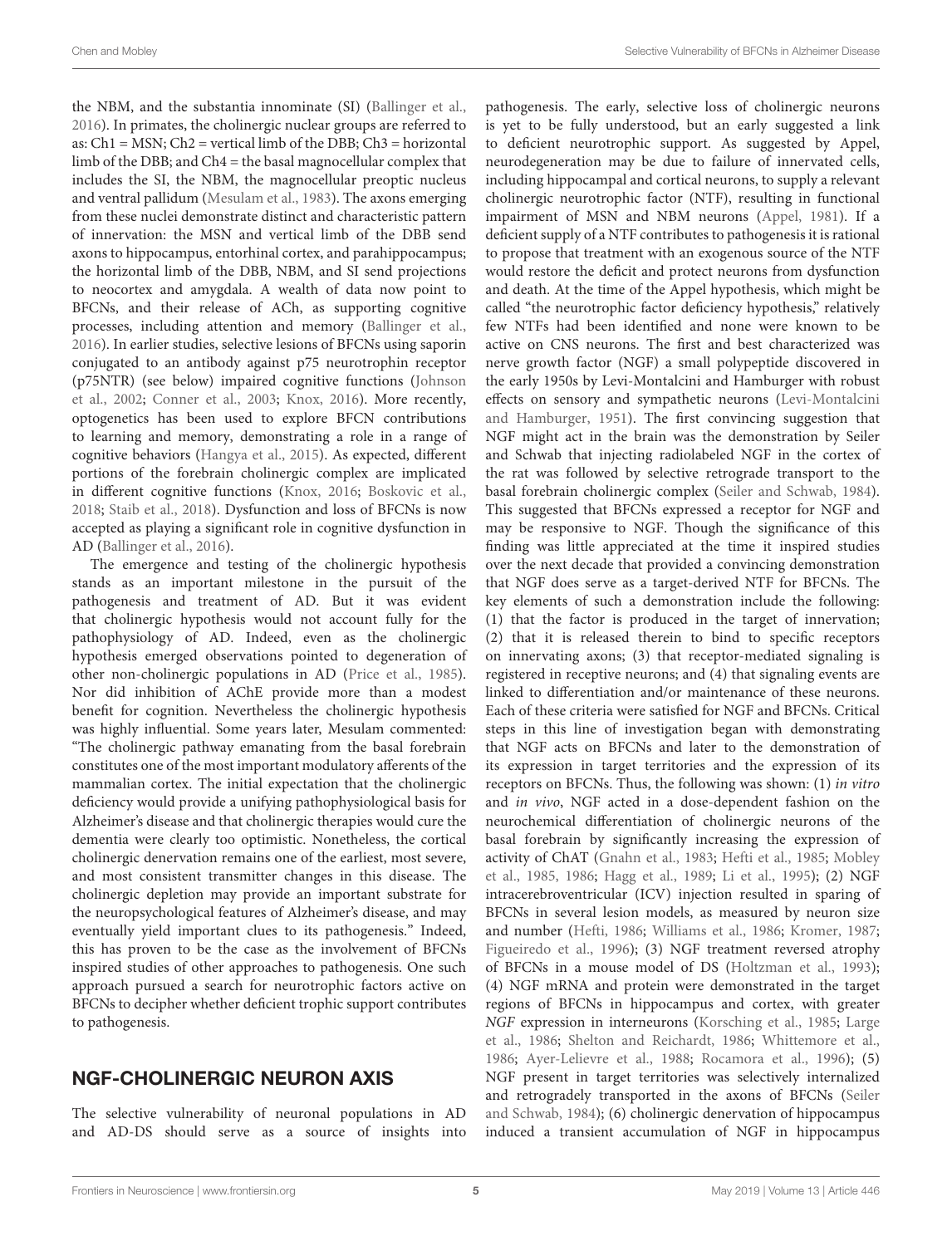the NBM, and the substantia innominate (SI) [\(Ballinger et al.,](#page-13-17) [2016\)](#page-13-17). In primates, the cholinergic nuclear groups are referred to as:  $Ch1 = MSN$ ;  $Ch2 = vertical limb$  of the DBB;  $Ch3 = horizontal$ limb of the DBB; and Ch4 = the basal magnocellular complex that includes the SI, the NBM, the magnocellular preoptic nucleus and ventral pallidum [\(Mesulam et al.,](#page-16-10) [1983\)](#page-16-10). The axons emerging from these nuclei demonstrate distinct and characteristic pattern of innervation: the MSN and vertical limb of the DBB send axons to hippocampus, entorhinal cortex, and parahippocampus; the horizontal limb of the DBB, NBM, and SI send projections to neocortex and amygdala. A wealth of data now point to BFCNs, and their release of ACh, as supporting cognitive processes, including attention and memory [\(Ballinger et al.,](#page-13-17) [2016\)](#page-13-17). In earlier studies, selective lesions of BFCNs using saporin conjugated to an antibody against p75 neurotrophin receptor (p75NTR) (see below) impaired cognitive functions [\(Johnson](#page-15-5) [et al.,](#page-15-5) [2002;](#page-15-5) [Conner et al.,](#page-13-18) [2003;](#page-13-18) [Knox,](#page-15-6) [2016\)](#page-15-6). More recently, optogenetics has been used to explore BFCN contributions to learning and memory, demonstrating a role in a range of cognitive behaviors [\(Hangya et al.,](#page-14-18) [2015\)](#page-14-18). As expected, different portions of the forebrain cholinergic complex are implicated in different cognitive functions [\(Knox,](#page-15-6) [2016;](#page-15-6) [Boskovic et al.,](#page-13-19) [2018;](#page-13-19) [Staib et al.,](#page-17-16) [2018\)](#page-17-16). Dysfunction and loss of BFCNs is now accepted as playing a significant role in cognitive dysfunction in AD [\(Ballinger et al.,](#page-13-17) [2016\)](#page-13-17).

The emergence and testing of the cholinergic hypothesis stands as an important milestone in the pursuit of the pathogenesis and treatment of AD. But it was evident that cholinergic hypothesis would not account fully for the pathophysiology of AD. Indeed, even as the cholinergic hypothesis emerged observations pointed to degeneration of other non-cholinergic populations in AD [\(Price et al.,](#page-16-11) [1985\)](#page-16-11). Nor did inhibition of AChE provide more than a modest benefit for cognition. Nevertheless the cholinergic hypothesis was highly influential. Some years later, Mesulam commented: "The cholinergic pathway emanating from the basal forebrain constitutes one of the most important modulatory afferents of the mammalian cortex. The initial expectation that the cholinergic deficiency would provide a unifying pathophysiological basis for Alzheimer's disease and that cholinergic therapies would cure the dementia were clearly too optimistic. Nonetheless, the cortical cholinergic denervation remains one of the earliest, most severe, and most consistent transmitter changes in this disease. The cholinergic depletion may provide an important substrate for the neuropsychological features of Alzheimer's disease, and may eventually yield important clues to its pathogenesis." Indeed, this has proven to be the case as the involvement of BFCNs inspired studies of other approaches to pathogenesis. One such approach pursued a search for neurotrophic factors active on BFCNs to decipher whether deficient trophic support contributes to pathogenesis.

#### NGF-CHOLINERGIC NEURON AXIS

The selective vulnerability of neuronal populations in AD and AD-DS should serve as a source of insights into pathogenesis. The early, selective loss of cholinergic neurons is yet to be fully understood, but an early suggested a link to deficient neurotrophic support. As suggested by Appel, neurodegeneration may be due to failure of innervated cells, including hippocampal and cortical neurons, to supply a relevant cholinergic neurotrophic factor (NTF), resulting in functional impairment of MSN and NBM neurons [\(Appel,](#page-12-9) [1981\)](#page-12-9). If a deficient supply of a NTF contributes to pathogenesis it is rational to propose that treatment with an exogenous source of the NTF would restore the deficit and protect neurons from dysfunction and death. At the time of the Appel hypothesis, which might be called "the neurotrophic factor deficiency hypothesis," relatively few NTFs had been identified and none were known to be active on CNS neurons. The first and best characterized was nerve growth factor (NGF) a small polypeptide discovered in the early 1950s by Levi-Montalcini and Hamburger with robust effects on sensory and sympathetic neurons [\(Levi-Montalcini](#page-15-7) [and Hamburger,](#page-15-7) [1951\)](#page-15-7). The first convincing suggestion that NGF might act in the brain was the demonstration by Seiler and Schwab that injecting radiolabeled NGF in the cortex of the rat was followed by selective retrograde transport to the basal forebrain cholinergic complex [\(Seiler and Schwab,](#page-17-17) [1984\)](#page-17-17). This suggested that BFCNs expressed a receptor for NGF and may be responsive to NGF. Though the significance of this finding was little appreciated at the time it inspired studies over the next decade that provided a convincing demonstration that NGF does serve as a target-derived NTF for BFCNs. The key elements of such a demonstration include the following: (1) that the factor is produced in the target of innervation; (2) that it is released therein to bind to specific receptors on innervating axons; (3) that receptor-mediated signaling is registered in receptive neurons; and (4) that signaling events are linked to differentiation and/or maintenance of these neurons. Each of these criteria were satisfied for NGF and BFCNs. Critical steps in this line of investigation began with demonstrating that NGF acts on BFCNs and later to the demonstration of its expression in target territories and the expression of its receptors on BFCNs. Thus, the following was shown: (1) in vitro and in vivo, NGF acted in a dose-dependent fashion on the neurochemical differentiation of cholinergic neurons of the basal forebrain by significantly increasing the expression of activity of ChAT [\(Gnahn et al.,](#page-14-19) [1983;](#page-14-19) [Hefti et al.,](#page-14-20) [1985;](#page-14-20) [Mobley](#page-16-12) [et al.,](#page-16-12) [1985,](#page-16-12) [1986;](#page-16-13) [Hagg et al.,](#page-14-21) [1989;](#page-14-21) [Li et al.,](#page-15-8) [1995\)](#page-15-8); (2) NGF intracerebroventricular (ICV) injection resulted in sparing of BFCNs in several lesion models, as measured by neuron size and number [\(Hefti,](#page-14-22) [1986;](#page-14-22) [Williams et al.,](#page-17-18) [1986;](#page-17-18) [Kromer,](#page-15-9) [1987;](#page-15-9) [Figueiredo et al.,](#page-14-23) [1996\)](#page-14-23); (3) NGF treatment reversed atrophy of BFCNs in a mouse model of DS [\(Holtzman et al.,](#page-15-10) [1993\)](#page-15-10); (4) NGF mRNA and protein were demonstrated in the target regions of BFCNs in hippocampus and cortex, with greater NGF expression in interneurons [\(Korsching et al.,](#page-15-11) [1985;](#page-15-11) [Large](#page-15-12) [et al.,](#page-15-12) [1986;](#page-15-12) [Shelton and Reichardt,](#page-17-19) [1986;](#page-17-19) [Whittemore et al.,](#page-17-20) [1986;](#page-17-20) [Ayer-Lelievre et al.,](#page-12-10) [1988;](#page-12-10) [Rocamora et al.,](#page-16-14) [1996\)](#page-16-14); (5) NGF present in target territories was selectively internalized and retrogradely transported in the axons of BFCNs [\(Seiler](#page-17-17) [and Schwab,](#page-17-17) [1984\)](#page-17-17); (6) cholinergic denervation of hippocampus induced a transient accumulation of NGF in hippocampus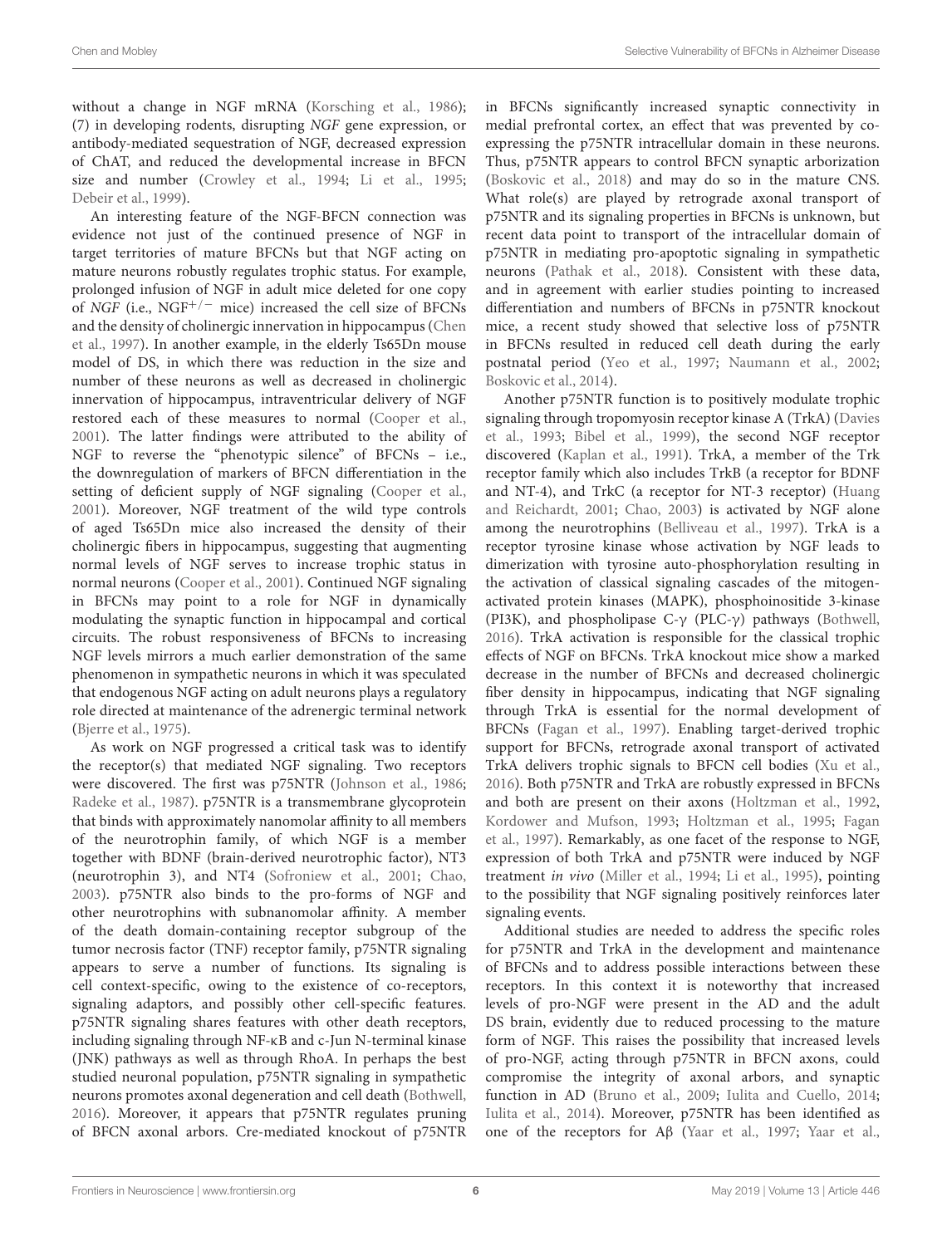without a change in NGF mRNA [\(Korsching et al.,](#page-15-13) [1986\)](#page-15-13); (7) in developing rodents, disrupting NGF gene expression, or antibody-mediated sequestration of NGF, decreased expression of ChAT, and reduced the developmental increase in BFCN size and number [\(Crowley et al.,](#page-13-20) [1994;](#page-13-20) [Li et al.,](#page-15-8) [1995;](#page-15-8) [Debeir et al.,](#page-14-24) [1999\)](#page-14-24).

An interesting feature of the NGF-BFCN connection was evidence not just of the continued presence of NGF in target territories of mature BFCNs but that NGF acting on mature neurons robustly regulates trophic status. For example, prolonged infusion of NGF in adult mice deleted for one copy of NGF (i.e.,  $\text{NGF}^{+/-}$  mice) increased the cell size of BFCNs and the density of cholinergic innervation in hippocampus [\(Chen](#page-13-21) [et al.,](#page-13-21) [1997\)](#page-13-21). In another example, in the elderly Ts65Dn mouse model of DS, in which there was reduction in the size and number of these neurons as well as decreased in cholinergic innervation of hippocampus, intraventricular delivery of NGF restored each of these measures to normal [\(Cooper et al.,](#page-13-22) [2001\)](#page-13-22). The latter findings were attributed to the ability of NGF to reverse the "phenotypic silence" of BFCNs – i.e., the downregulation of markers of BFCN differentiation in the setting of deficient supply of NGF signaling [\(Cooper et al.,](#page-13-22) [2001\)](#page-13-22). Moreover, NGF treatment of the wild type controls of aged Ts65Dn mice also increased the density of their cholinergic fibers in hippocampus, suggesting that augmenting normal levels of NGF serves to increase trophic status in normal neurons [\(Cooper et al.,](#page-13-22) [2001\)](#page-13-22). Continued NGF signaling in BFCNs may point to a role for NGF in dynamically modulating the synaptic function in hippocampal and cortical circuits. The robust responsiveness of BFCNs to increasing NGF levels mirrors a much earlier demonstration of the same phenomenon in sympathetic neurons in which it was speculated that endogenous NGF acting on adult neurons plays a regulatory role directed at maintenance of the adrenergic terminal network [\(Bjerre et al.,](#page-13-23) [1975\)](#page-13-23).

As work on NGF progressed a critical task was to identify the receptor(s) that mediated NGF signaling. Two receptors were discovered. The first was p75NTR [\(Johnson et al.,](#page-15-14) [1986;](#page-15-14) [Radeke et al.,](#page-16-15) [1987\)](#page-16-15). p75NTR is a transmembrane glycoprotein that binds with approximately nanomolar affinity to all members of the neurotrophin family, of which NGF is a member together with BDNF (brain-derived neurotrophic factor), NT3 (neurotrophin 3), and NT4 [\(Sofroniew et al.,](#page-17-21) [2001;](#page-17-21) [Chao,](#page-13-24) [2003\)](#page-13-24). p75NTR also binds to the pro-forms of NGF and other neurotrophins with subnanomolar affinity. A member of the death domain-containing receptor subgroup of the tumor necrosis factor (TNF) receptor family, p75NTR signaling appears to serve a number of functions. Its signaling is cell context-specific, owing to the existence of co-receptors, signaling adaptors, and possibly other cell-specific features. p75NTR signaling shares features with other death receptors, including signaling through NF-κB and c-Jun N-terminal kinase (JNK) pathways as well as through RhoA. In perhaps the best studied neuronal population, p75NTR signaling in sympathetic neurons promotes axonal degeneration and cell death [\(Bothwell,](#page-13-25) [2016\)](#page-13-25). Moreover, it appears that p75NTR regulates pruning of BFCN axonal arbors. Cre-mediated knockout of p75NTR in BFCNs significantly increased synaptic connectivity in medial prefrontal cortex, an effect that was prevented by coexpressing the p75NTR intracellular domain in these neurons. Thus, p75NTR appears to control BFCN synaptic arborization [\(Boskovic et al.,](#page-13-19) [2018\)](#page-13-19) and may do so in the mature CNS. What role(s) are played by retrograde axonal transport of p75NTR and its signaling properties in BFCNs is unknown, but recent data point to transport of the intracellular domain of p75NTR in mediating pro-apoptotic signaling in sympathetic neurons [\(Pathak et al.,](#page-16-16) [2018\)](#page-16-16). Consistent with these data, and in agreement with earlier studies pointing to increased differentiation and numbers of BFCNs in p75NTR knockout mice, a recent study showed that selective loss of p75NTR in BFCNs resulted in reduced cell death during the early postnatal period [\(Yeo et al.,](#page-18-3) [1997;](#page-18-3) [Naumann et al.,](#page-16-17) [2002;](#page-16-17) [Boskovic et al.,](#page-13-26) [2014\)](#page-13-26).

Another p75NTR function is to positively modulate trophic signaling through tropomyosin receptor kinase A (TrkA) [\(Davies](#page-13-27) [et al.,](#page-13-27) [1993;](#page-13-27) [Bibel et al.,](#page-13-28) [1999\)](#page-13-28), the second NGF receptor discovered [\(Kaplan et al.,](#page-15-15) [1991\)](#page-15-15). TrkA, a member of the Trk receptor family which also includes TrkB (a receptor for BDNF and NT-4), and TrkC (a receptor for NT-3 receptor) [\(Huang](#page-15-16) [and Reichardt,](#page-15-16) [2001;](#page-15-16) [Chao,](#page-13-24) [2003\)](#page-13-24) is activated by NGF alone among the neurotrophins [\(Belliveau et al.,](#page-13-29) [1997\)](#page-13-29). TrkA is a receptor tyrosine kinase whose activation by NGF leads to dimerization with tyrosine auto-phosphorylation resulting in the activation of classical signaling cascades of the mitogenactivated protein kinases (MAPK), phosphoinositide 3-kinase (PI3K), and phospholipase C-γ (PLC-γ) pathways [\(Bothwell,](#page-13-25) [2016\)](#page-13-25). TrkA activation is responsible for the classical trophic effects of NGF on BFCNs. TrkA knockout mice show a marked decrease in the number of BFCNs and decreased cholinergic fiber density in hippocampus, indicating that NGF signaling through TrkA is essential for the normal development of BFCNs [\(Fagan et al.,](#page-14-25) [1997\)](#page-14-25). Enabling target-derived trophic support for BFCNs, retrograde axonal transport of activated TrkA delivers trophic signals to BFCN cell bodies [\(Xu et al.,](#page-18-4) [2016\)](#page-18-4). Both p75NTR and TrkA are robustly expressed in BFCNs and both are present on their axons [\(Holtzman et al.,](#page-15-17) [1992,](#page-15-17) [Kordower and Mufson,](#page-15-18) [1993;](#page-15-18) [Holtzman et al.,](#page-15-19) [1995;](#page-15-19) [Fagan](#page-14-25) [et al.,](#page-14-25) [1997\)](#page-14-25). Remarkably, as one facet of the response to NGF, expression of both TrkA and p75NTR were induced by NGF treatment in vivo [\(Miller et al.,](#page-16-18) [1994;](#page-16-18) [Li et al.,](#page-15-8) [1995\)](#page-15-8), pointing to the possibility that NGF signaling positively reinforces later signaling events.

Additional studies are needed to address the specific roles for p75NTR and TrkA in the development and maintenance of BFCNs and to address possible interactions between these receptors. In this context it is noteworthy that increased levels of pro-NGF were present in the AD and the adult DS brain, evidently due to reduced processing to the mature form of NGF. This raises the possibility that increased levels of pro-NGF, acting through p75NTR in BFCN axons, could compromise the integrity of axonal arbors, and synaptic function in AD [\(Bruno et al.,](#page-13-30) [2009;](#page-13-30) [Iulita and Cuello,](#page-15-20) [2014;](#page-15-20) [Iulita et al.,](#page-15-21) [2014\)](#page-15-21). Moreover, p75NTR has been identified as one of the receptors for Aβ [\(Yaar et al.,](#page-18-5) [1997;](#page-18-5) [Yaar et al.,](#page-18-6)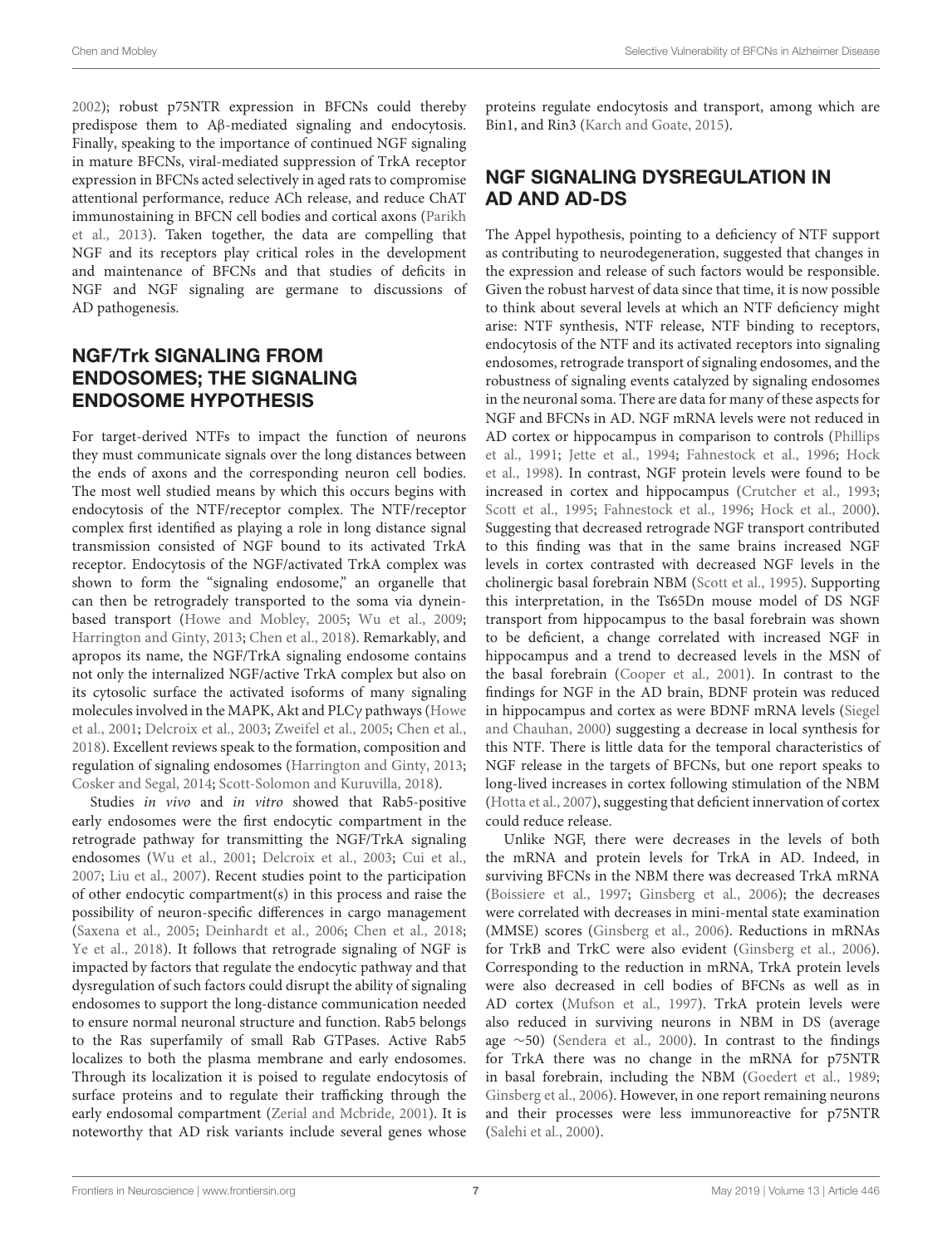[2002\)](#page-18-6); robust p75NTR expression in BFCNs could thereby predispose them to Aβ-mediated signaling and endocytosis. Finally, speaking to the importance of continued NGF signaling in mature BFCNs, viral-mediated suppression of TrkA receptor expression in BFCNs acted selectively in aged rats to compromise attentional performance, reduce ACh release, and reduce ChAT immunostaining in BFCN cell bodies and cortical axons [\(Parikh](#page-16-19) [et al.,](#page-16-19) [2013\)](#page-16-19). Taken together, the data are compelling that NGF and its receptors play critical roles in the development and maintenance of BFCNs and that studies of deficits in NGF and NGF signaling are germane to discussions of AD pathogenesis.

### NGF/Trk SIGNALING FROM ENDOSOMES; THE SIGNALING ENDOSOME HYPOTHESIS

For target-derived NTFs to impact the function of neurons they must communicate signals over the long distances between the ends of axons and the corresponding neuron cell bodies. The most well studied means by which this occurs begins with endocytosis of the NTF/receptor complex. The NTF/receptor complex first identified as playing a role in long distance signal transmission consisted of NGF bound to its activated TrkA receptor. Endocytosis of the NGF/activated TrkA complex was shown to form the "signaling endosome," an organelle that can then be retrogradely transported to the soma via dyneinbased transport [\(Howe and Mobley,](#page-15-22) [2005;](#page-15-22) [Wu et al.,](#page-18-7) [2009;](#page-18-7) [Harrington and Ginty,](#page-14-26) [2013;](#page-14-26) [Chen et al.,](#page-13-1) [2018\)](#page-13-1). Remarkably, and apropos its name, the NGF/TrkA signaling endosome contains not only the internalized NGF/active TrkA complex but also on its cytosolic surface the activated isoforms of many signaling molecules involved in the MAPK, Akt and PLCγ pathways [\(Howe](#page-15-23) [et al.,](#page-15-23) [2001;](#page-15-23) [Delcroix et al.,](#page-14-27) [2003;](#page-14-27) [Zweifel et al.,](#page-18-8) [2005;](#page-18-8) [Chen et al.,](#page-13-1) [2018\)](#page-13-1). Excellent reviews speak to the formation, composition and regulation of signaling endosomes [\(Harrington and Ginty,](#page-14-26) [2013;](#page-14-26) [Cosker and Segal,](#page-13-31) [2014;](#page-13-31) [Scott-Solomon and Kuruvilla,](#page-17-22) [2018\)](#page-17-22).

Studies in vivo and in vitro showed that Rab5-positive early endosomes were the first endocytic compartment in the retrograde pathway for transmitting the NGF/TrkA signaling endosomes [\(Wu et al.,](#page-18-9) [2001;](#page-18-9) [Delcroix et al.,](#page-14-27) [2003;](#page-14-27) [Cui et al.,](#page-13-32) [2007;](#page-13-32) [Liu et al.,](#page-15-24) [2007\)](#page-15-24). Recent studies point to the participation of other endocytic compartment(s) in this process and raise the possibility of neuron-specific differences in cargo management [\(Saxena et al.,](#page-16-20) [2005;](#page-16-20) [Deinhardt et al.,](#page-14-28) [2006;](#page-14-28) [Chen et al.,](#page-13-1) [2018;](#page-13-1) [Ye et al.,](#page-18-10) [2018\)](#page-18-10). It follows that retrograde signaling of NGF is impacted by factors that regulate the endocytic pathway and that dysregulation of such factors could disrupt the ability of signaling endosomes to support the long-distance communication needed to ensure normal neuronal structure and function. Rab5 belongs to the Ras superfamily of small Rab GTPases. Active Rab5 localizes to both the plasma membrane and early endosomes. Through its localization it is poised to regulate endocytosis of surface proteins and to regulate their trafficking through the early endosomal compartment [\(Zerial and Mcbride,](#page-18-11) [2001\)](#page-18-11). It is noteworthy that AD risk variants include several genes whose proteins regulate endocytosis and transport, among which are Bin1, and Rin3 [\(Karch and Goate,](#page-15-25) [2015\)](#page-15-25).

### NGF SIGNALING DYSREGULATION IN AD AND AD-DS

The Appel hypothesis, pointing to a deficiency of NTF support as contributing to neurodegeneration, suggested that changes in the expression and release of such factors would be responsible. Given the robust harvest of data since that time, it is now possible to think about several levels at which an NTF deficiency might arise: NTF synthesis, NTF release, NTF binding to receptors, endocytosis of the NTF and its activated receptors into signaling endosomes, retrograde transport of signaling endosomes, and the robustness of signaling events catalyzed by signaling endosomes in the neuronal soma. There are data for many of these aspects for NGF and BFCNs in AD. NGF mRNA levels were not reduced in AD cortex or hippocampus in comparison to controls [\(Phillips](#page-16-21) [et al.,](#page-16-21) [1991;](#page-16-21) [Jette et al.,](#page-15-26) [1994;](#page-15-26) [Fahnestock et al.,](#page-14-29) [1996;](#page-14-29) [Hock](#page-15-27) [et al.,](#page-15-27) [1998\)](#page-15-27). In contrast, NGF protein levels were found to be increased in cortex and hippocampus [\(Crutcher et al.,](#page-13-33) [1993;](#page-13-33) [Scott et al.,](#page-17-23) [1995;](#page-17-23) [Fahnestock et al.,](#page-14-29) [1996;](#page-14-29) [Hock et al.,](#page-15-28) [2000\)](#page-15-28). Suggesting that decreased retrograde NGF transport contributed to this finding was that in the same brains increased NGF levels in cortex contrasted with decreased NGF levels in the cholinergic basal forebrain NBM [\(Scott et al.,](#page-17-23) [1995\)](#page-17-23). Supporting this interpretation, in the Ts65Dn mouse model of DS NGF transport from hippocampus to the basal forebrain was shown to be deficient, a change correlated with increased NGF in hippocampus and a trend to decreased levels in the MSN of the basal forebrain [\(Cooper et al.,](#page-13-22) [2001\)](#page-13-22). In contrast to the findings for NGF in the AD brain, BDNF protein was reduced in hippocampus and cortex as were BDNF mRNA levels [\(Siegel](#page-17-24) [and Chauhan,](#page-17-24) [2000\)](#page-17-24) suggesting a decrease in local synthesis for this NTF. There is little data for the temporal characteristics of NGF release in the targets of BFCNs, but one report speaks to long-lived increases in cortex following stimulation of the NBM [\(Hotta et al.,](#page-15-29) [2007\)](#page-15-29), suggesting that deficient innervation of cortex could reduce release.

Unlike NGF, there were decreases in the levels of both the mRNA and protein levels for TrkA in AD. Indeed, in surviving BFCNs in the NBM there was decreased TrkA mRNA [\(Boissiere et al.,](#page-13-34) [1997;](#page-13-34) [Ginsberg et al.,](#page-14-30) [2006\)](#page-14-30); the decreases were correlated with decreases in mini-mental state examination (MMSE) scores [\(Ginsberg et al.,](#page-14-30) [2006\)](#page-14-30). Reductions in mRNAs for TrkB and TrkC were also evident [\(Ginsberg et al.,](#page-14-30) [2006\)](#page-14-30). Corresponding to the reduction in mRNA, TrkA protein levels were also decreased in cell bodies of BFCNs as well as in AD cortex [\(Mufson et al.,](#page-16-22) [1997\)](#page-16-22). TrkA protein levels were also reduced in surviving neurons in NBM in DS (average age ∼50) [\(Sendera et al.,](#page-17-25) [2000\)](#page-17-25). In contrast to the findings for TrkA there was no change in the mRNA for p75NTR in basal forebrain, including the NBM [\(Goedert et al.,](#page-14-31) [1989;](#page-14-31) [Ginsberg et al.,](#page-14-30) [2006\)](#page-14-30). However, in one report remaining neurons and their processes were less immunoreactive for p75NTR [\(Salehi et al.,](#page-16-23) [2000\)](#page-16-23).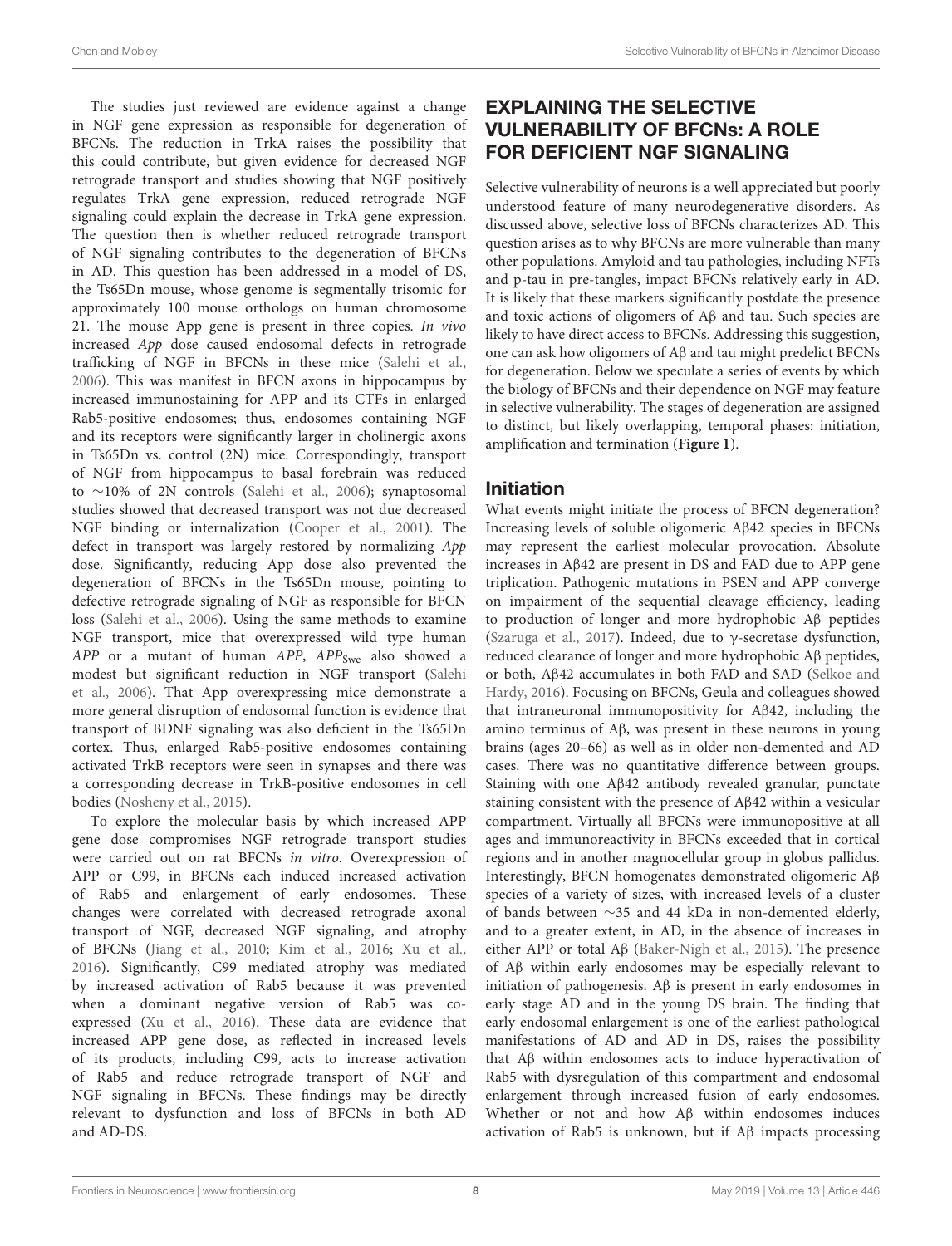The studies just reviewed are evidence against a change in NGF gene expression as responsible for degeneration of BFCNs. The reduction in TrkA raises the possibility that this could contribute, but given evidence for decreased NGF retrograde transport and studies showing that NGF positively regulates TrkA gene expression, reduced retrograde NGF signaling could explain the decrease in TrkA gene expression. The question then is whether reduced retrograde transport of NGF signaling contributes to the degeneration of BFCNs in AD. This question has been addressed in a model of DS, the Ts65Dn mouse, whose genome is segmentally trisomic for approximately 100 mouse orthologs on human chromosome 21. The mouse App gene is present in three copies. In vivo increased App dose caused endosomal defects in retrograde trafficking of NGF in BFCNs in these mice [\(Salehi et al.,](#page-16-24) [2006\)](#page-16-24). This was manifest in BFCN axons in hippocampus by increased immunostaining for APP and its CTFs in enlarged Rab5-positive endosomes; thus, endosomes containing NGF and its receptors were significantly larger in cholinergic axons in Ts65Dn vs. control (2N) mice. Correspondingly, transport of NGF from hippocampus to basal forebrain was reduced to ∼10% of 2N controls [\(Salehi et al.,](#page-16-24) [2006\)](#page-16-24); synaptosomal studies showed that decreased transport was not due decreased NGF binding or internalization [\(Cooper et al.,](#page-13-22) [2001\)](#page-13-22). The defect in transport was largely restored by normalizing App dose. Significantly, reducing App dose also prevented the degeneration of BFCNs in the Ts65Dn mouse, pointing to defective retrograde signaling of NGF as responsible for BFCN loss [\(Salehi et al.,](#page-16-24) [2006\)](#page-16-24). Using the same methods to examine NGF transport, mice that overexpressed wild type human  $APP$  or a mutant of human  $APP$ ,  $APP<sub>Swe</sub>$  also showed a modest but significant reduction in NGF transport [\(Salehi](#page-16-24) [et al.,](#page-16-24) [2006\)](#page-16-24). That App overexpressing mice demonstrate a more general disruption of endosomal function is evidence that transport of BDNF signaling was also deficient in the Ts65Dn cortex. Thus, enlarged Rab5-positive endosomes containing activated TrkB receptors were seen in synapses and there was a corresponding decrease in TrkB-positive endosomes in cell bodies [\(Nosheny et al.,](#page-16-25) [2015\)](#page-16-25).

To explore the molecular basis by which increased APP gene dose compromises NGF retrograde transport studies were carried out on rat BFCNs in vitro. Overexpression of APP or C99, in BFCNs each induced increased activation of Rab5 and enlargement of early endosomes. These changes were correlated with decreased retrograde axonal transport of NGF, decreased NGF signaling, and atrophy of BFCNs [\(Jiang et al.,](#page-15-30) [2010;](#page-15-30) [Kim et al.,](#page-15-31) [2016;](#page-15-31) [Xu et al.,](#page-18-4) [2016\)](#page-18-4). Significantly, C99 mediated atrophy was mediated by increased activation of Rab5 because it was prevented when a dominant negative version of Rab5 was coexpressed [\(Xu et al.,](#page-18-4) [2016\)](#page-18-4). These data are evidence that increased APP gene dose, as reflected in increased levels of its products, including C99, acts to increase activation of Rab5 and reduce retrograde transport of NGF and NGF signaling in BFCNs. These findings may be directly relevant to dysfunction and loss of BFCNs in both AD and AD-DS.

## EXPLAINING THE SELECTIVE VULNERABILITY OF BFCNs: A ROLE FOR DEFICIENT NGF SIGNALING

Selective vulnerability of neurons is a well appreciated but poorly understood feature of many neurodegenerative disorders. As discussed above, selective loss of BFCNs characterizes AD. This question arises as to why BFCNs are more vulnerable than many other populations. Amyloid and tau pathologies, including NFTs and p-tau in pre-tangles, impact BFCNs relatively early in AD. It is likely that these markers significantly postdate the presence and toxic actions of oligomers of Aβ and tau. Such species are likely to have direct access to BFCNs. Addressing this suggestion, one can ask how oligomers of Aβ and tau might predelict BFCNs for degeneration. Below we speculate a series of events by which the biology of BFCNs and their dependence on NGF may feature in selective vulnerability. The stages of degeneration are assigned to distinct, but likely overlapping, temporal phases: initiation, amplification and termination (**[Figure 1](#page-9-0)**).

### Initiation

What events might initiate the process of BFCN degeneration? Increasing levels of soluble oligomeric Aβ42 species in BFCNs may represent the earliest molecular provocation. Absolute increases in Aβ42 are present in DS and FAD due to APP gene triplication. Pathogenic mutations in PSEN and APP converge on impairment of the sequential cleavage efficiency, leading to production of longer and more hydrophobic Aβ peptides [\(Szaruga et al.,](#page-17-26) [2017\)](#page-17-26). Indeed, due to γ-secretase dysfunction, reduced clearance of longer and more hydrophobic Aβ peptides, or both, Aβ42 accumulates in both FAD and SAD [\(Selkoe and](#page-17-0) [Hardy,](#page-17-0) [2016\)](#page-17-0). Focusing on BFCNs, Geula and colleagues showed that intraneuronal immunopositivity for Aβ42, including the amino terminus of Aβ, was present in these neurons in young brains (ages 20–66) as well as in older non-demented and AD cases. There was no quantitative difference between groups. Staining with one Aβ42 antibody revealed granular, punctate staining consistent with the presence of Aβ42 within a vesicular compartment. Virtually all BFCNs were immunopositive at all ages and immunoreactivity in BFCNs exceeded that in cortical regions and in another magnocellular group in globus pallidus. Interestingly, BFCN homogenates demonstrated oligomeric Aβ species of a variety of sizes, with increased levels of a cluster of bands between ∼35 and 44 kDa in non-demented elderly, and to a greater extent, in AD, in the absence of increases in either APP or total Aβ [\(Baker-Nigh et al.,](#page-12-11) [2015\)](#page-12-11). The presence of Aβ within early endosomes may be especially relevant to initiation of pathogenesis. Aβ is present in early endosomes in early stage AD and in the young DS brain. The finding that early endosomal enlargement is one of the earliest pathological manifestations of AD and AD in DS, raises the possibility that Aβ within endosomes acts to induce hyperactivation of Rab5 with dysregulation of this compartment and endosomal enlargement through increased fusion of early endosomes. Whether or not and how Aβ within endosomes induces activation of Rab5 is unknown, but if Aβ impacts processing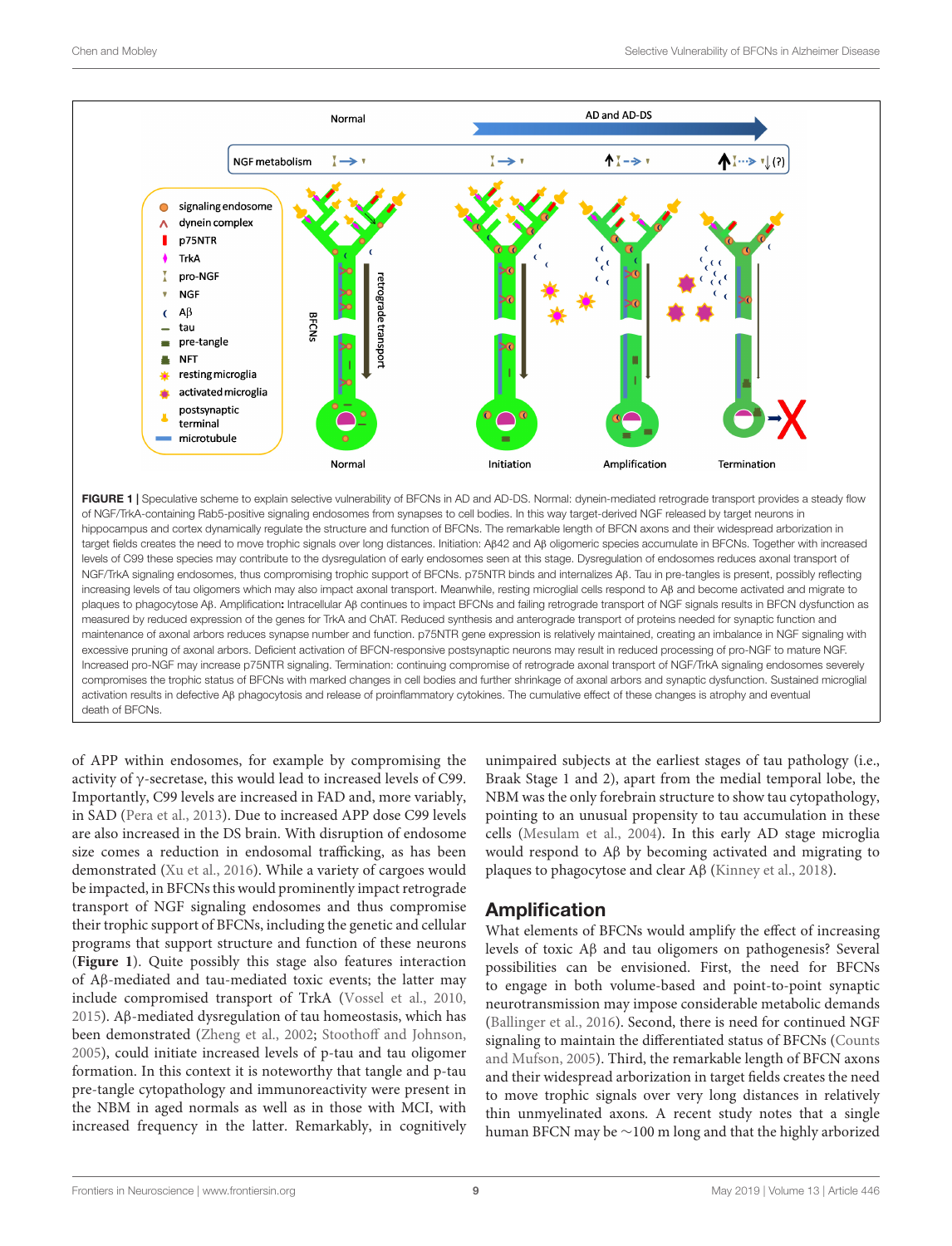

<span id="page-9-0"></span>FIGURE 1 | Speculative scheme to explain selective vulnerability of BFCNs in AD and AD-DS. Normal: dynein-mediated retrograde transport provides a steady flow of NGF/TrkA-containing Rab5-positive signaling endosomes from synapses to cell bodies. In this way target-derived NGF released by target neurons in hippocampus and cortex dynamically regulate the structure and function of BFCNs. The remarkable length of BFCN axons and their widespread arborization in target fields creates the need to move trophic signals over long distances. Initiation: Aβ42 and Aβ oligomeric species accumulate in BFCNs. Together with increased levels of C99 these species may contribute to the dysregulation of early endosomes seen at this stage. Dysregulation of endosomes reduces axonal transport of NGF/TrkA signaling endosomes, thus compromising trophic support of BFCNs. p75NTR binds and internalizes Aβ. Tau in pre-tangles is present, possibly reflecting increasing levels of tau oligomers which may also impact axonal transport. Meanwhile, resting microglial cells respond to Aβ and become activated and migrate to plaques to phagocytose Aβ. Amplification: Intracellular Aβ continues to impact BFCNs and failing retrograde transport of NGF signals results in BFCN dysfunction as measured by reduced expression of the genes for TrkA and ChAT. Reduced synthesis and anterograde transport of proteins needed for synaptic function and maintenance of axonal arbors reduces synapse number and function. p75NTR gene expression is relatively maintained, creating an imbalance in NGF signaling with excessive pruning of axonal arbors. Deficient activation of BFCN-responsive postsynaptic neurons may result in reduced processing of pro-NGF to mature NGF. Increased pro-NGF may increase p75NTR signaling. Termination: continuing compromise of retrograde axonal transport of NGF/TrkA signaling endosomes severely compromises the trophic status of BFCNs with marked changes in cell bodies and further shrinkage of axonal arbors and synaptic dysfunction. Sustained microglial activation results in defective Aβ phagocytosis and release of proinflammatory cytokines. The cumulative effect of these changes is atrophy and eventual death of BFCNs.

of APP within endosomes, for example by compromising the activity of γ-secretase, this would lead to increased levels of C99. Importantly, C99 levels are increased in FAD and, more variably, in SAD [\(Pera et al.,](#page-16-26) [2013\)](#page-16-26). Due to increased APP dose C99 levels are also increased in the DS brain. With disruption of endosome size comes a reduction in endosomal trafficking, as has been demonstrated [\(Xu et al.,](#page-18-4) [2016\)](#page-18-4). While a variety of cargoes would be impacted, in BFCNs this would prominently impact retrograde transport of NGF signaling endosomes and thus compromise their trophic support of BFCNs, including the genetic and cellular programs that support structure and function of these neurons (**[Figure 1](#page-9-0)**). Quite possibly this stage also features interaction of Aβ-mediated and tau-mediated toxic events; the latter may include compromised transport of TrkA [\(Vossel et al.,](#page-17-27) [2010,](#page-17-27) [2015\)](#page-17-28). Aβ-mediated dysregulation of tau homeostasis, which has been demonstrated [\(Zheng et al.,](#page-18-12) [2002;](#page-18-12) [Stoothoff and Johnson,](#page-17-29) [2005\)](#page-17-29), could initiate increased levels of p-tau and tau oligomer formation. In this context it is noteworthy that tangle and p-tau pre-tangle cytopathology and immunoreactivity were present in the NBM in aged normals as well as in those with MCI, with increased frequency in the latter. Remarkably, in cognitively

unimpaired subjects at the earliest stages of tau pathology (i.e., Braak Stage 1 and 2), apart from the medial temporal lobe, the NBM was the only forebrain structure to show tau cytopathology, pointing to an unusual propensity to tau accumulation in these cells [\(Mesulam et al.,](#page-16-27) [2004\)](#page-16-27). In this early AD stage microglia would respond to Aβ by becoming activated and migrating to plaques to phagocytose and clear Aβ [\(Kinney et al.,](#page-15-32) [2018\)](#page-15-32).

### Amplification

What elements of BFCNs would amplify the effect of increasing levels of toxic Aβ and tau oligomers on pathogenesis? Several possibilities can be envisioned. First, the need for BFCNs to engage in both volume-based and point-to-point synaptic neurotransmission may impose considerable metabolic demands [\(Ballinger et al.,](#page-13-17) [2016\)](#page-13-17). Second, there is need for continued NGF signaling to maintain the differentiated status of BFCNs [\(Counts](#page-13-35) [and Mufson,](#page-13-35) [2005\)](#page-13-35). Third, the remarkable length of BFCN axons and their widespread arborization in target fields creates the need to move trophic signals over very long distances in relatively thin unmyelinated axons. A recent study notes that a single human BFCN may be ∼100 m long and that the highly arborized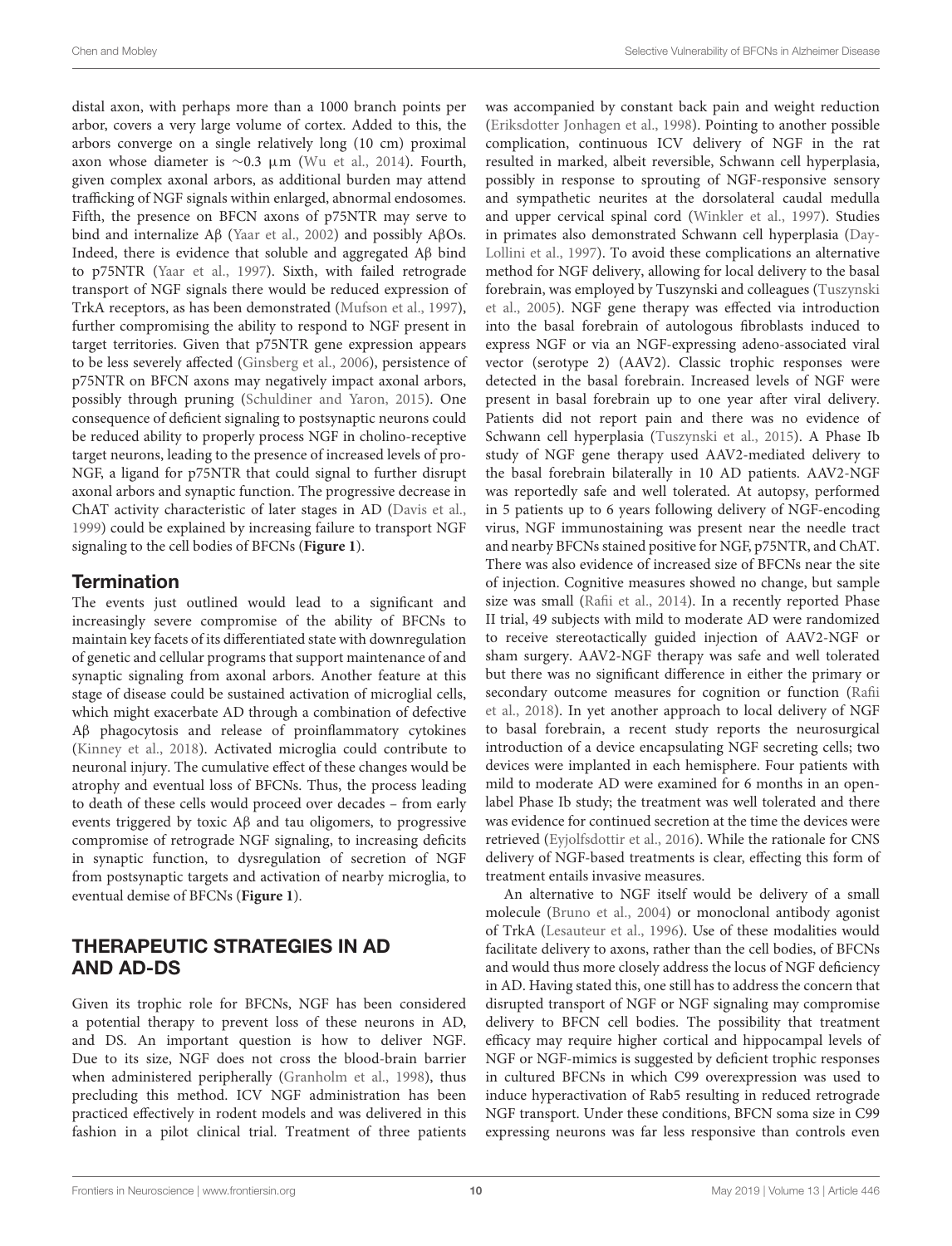distal axon, with perhaps more than a 1000 branch points per arbor, covers a very large volume of cortex. Added to this, the arbors converge on a single relatively long (10 cm) proximal axon whose diameter is ∼0.3 µm [\(Wu et al.,](#page-18-13) [2014\)](#page-18-13). Fourth, given complex axonal arbors, as additional burden may attend trafficking of NGF signals within enlarged, abnormal endosomes. Fifth, the presence on BFCN axons of p75NTR may serve to bind and internalize Aβ [\(Yaar et al.,](#page-18-6) [2002\)](#page-18-6) and possibly AβOs. Indeed, there is evidence that soluble and aggregated Aβ bind to p75NTR [\(Yaar et al.,](#page-18-5) [1997\)](#page-18-5). Sixth, with failed retrograde transport of NGF signals there would be reduced expression of TrkA receptors, as has been demonstrated [\(Mufson et al.,](#page-16-22) [1997\)](#page-16-22), further compromising the ability to respond to NGF present in target territories. Given that p75NTR gene expression appears to be less severely affected [\(Ginsberg et al.,](#page-14-30) [2006\)](#page-14-30), persistence of p75NTR on BFCN axons may negatively impact axonal arbors, possibly through pruning [\(Schuldiner and Yaron,](#page-17-30) [2015\)](#page-17-30). One consequence of deficient signaling to postsynaptic neurons could be reduced ability to properly process NGF in cholino-receptive target neurons, leading to the presence of increased levels of pro-NGF, a ligand for p75NTR that could signal to further disrupt axonal arbors and synaptic function. The progressive decrease in ChAT activity characteristic of later stages in AD [\(Davis et al.,](#page-14-32) [1999\)](#page-14-32) could be explained by increasing failure to transport NGF signaling to the cell bodies of BFCNs (**[Figure 1](#page-9-0)**).

## **Termination**

The events just outlined would lead to a significant and increasingly severe compromise of the ability of BFCNs to maintain key facets of its differentiated state with downregulation of genetic and cellular programs that support maintenance of and synaptic signaling from axonal arbors. Another feature at this stage of disease could be sustained activation of microglial cells, which might exacerbate AD through a combination of defective Aβ phagocytosis and release of proinflammatory cytokines [\(Kinney et al.,](#page-15-32) [2018\)](#page-15-32). Activated microglia could contribute to neuronal injury. The cumulative effect of these changes would be atrophy and eventual loss of BFCNs. Thus, the process leading to death of these cells would proceed over decades – from early events triggered by toxic Aβ and tau oligomers, to progressive compromise of retrograde NGF signaling, to increasing deficits in synaptic function, to dysregulation of secretion of NGF from postsynaptic targets and activation of nearby microglia, to eventual demise of BFCNs (**[Figure 1](#page-9-0)**).

## THERAPEUTIC STRATEGIES IN AD AND AD-DS

Given its trophic role for BFCNs, NGF has been considered a potential therapy to prevent loss of these neurons in AD, and DS. An important question is how to deliver NGF. Due to its size, NGF does not cross the blood-brain barrier when administered peripherally [\(Granholm et al.,](#page-14-33) [1998\)](#page-14-33), thus precluding this method. ICV NGF administration has been practiced effectively in rodent models and was delivered in this fashion in a pilot clinical trial. Treatment of three patients

was accompanied by constant back pain and weight reduction [\(Eriksdotter Jonhagen et al.,](#page-14-34) [1998\)](#page-14-34). Pointing to another possible complication, continuous ICV delivery of NGF in the rat resulted in marked, albeit reversible, Schwann cell hyperplasia, possibly in response to sprouting of NGF-responsive sensory and sympathetic neurites at the dorsolateral caudal medulla and upper cervical spinal cord [\(Winkler et al.,](#page-18-14) [1997\)](#page-18-14). Studies in primates also demonstrated Schwann cell hyperplasia [\(Day-](#page-14-35)[Lollini et al.,](#page-14-35) [1997\)](#page-14-35). To avoid these complications an alternative method for NGF delivery, allowing for local delivery to the basal forebrain, was employed by Tuszynski and colleagues [\(Tuszynski](#page-17-31) [et al.,](#page-17-31) [2005\)](#page-17-31). NGF gene therapy was effected via introduction into the basal forebrain of autologous fibroblasts induced to express NGF or via an NGF-expressing adeno-associated viral vector (serotype 2) (AAV2). Classic trophic responses were detected in the basal forebrain. Increased levels of NGF were present in basal forebrain up to one year after viral delivery. Patients did not report pain and there was no evidence of Schwann cell hyperplasia [\(Tuszynski et al.,](#page-17-32) [2015\)](#page-17-32). A Phase Ib study of NGF gene therapy used AAV2-mediated delivery to the basal forebrain bilaterally in 10 AD patients. AAV2-NGF was reportedly safe and well tolerated. At autopsy, performed in 5 patients up to 6 years following delivery of NGF-encoding virus, NGF immunostaining was present near the needle tract and nearby BFCNs stained positive for NGF, p75NTR, and ChAT. There was also evidence of increased size of BFCNs near the site of injection. Cognitive measures showed no change, but sample size was small [\(Rafii et al.,](#page-16-28) [2014\)](#page-16-28). In a recently reported Phase II trial, 49 subjects with mild to moderate AD were randomized to receive stereotactically guided injection of AAV2-NGF or sham surgery. AAV2-NGF therapy was safe and well tolerated but there was no significant difference in either the primary or secondary outcome measures for cognition or function [\(Rafii](#page-16-29) [et al.,](#page-16-29) [2018\)](#page-16-29). In yet another approach to local delivery of NGF to basal forebrain, a recent study reports the neurosurgical introduction of a device encapsulating NGF secreting cells; two devices were implanted in each hemisphere. Four patients with mild to moderate AD were examined for 6 months in an openlabel Phase Ib study; the treatment was well tolerated and there was evidence for continued secretion at the time the devices were retrieved [\(Eyjolfsdottir et al.,](#page-14-36) [2016\)](#page-14-36). While the rationale for CNS delivery of NGF-based treatments is clear, effecting this form of treatment entails invasive measures.

An alternative to NGF itself would be delivery of a small molecule [\(Bruno et al.,](#page-13-36) [2004\)](#page-13-36) or monoclonal antibody agonist of TrkA [\(Lesauteur et al.,](#page-15-33) [1996\)](#page-15-33). Use of these modalities would facilitate delivery to axons, rather than the cell bodies, of BFCNs and would thus more closely address the locus of NGF deficiency in AD. Having stated this, one still has to address the concern that disrupted transport of NGF or NGF signaling may compromise delivery to BFCN cell bodies. The possibility that treatment efficacy may require higher cortical and hippocampal levels of NGF or NGF-mimics is suggested by deficient trophic responses in cultured BFCNs in which C99 overexpression was used to induce hyperactivation of Rab5 resulting in reduced retrograde NGF transport. Under these conditions, BFCN soma size in C99 expressing neurons was far less responsive than controls even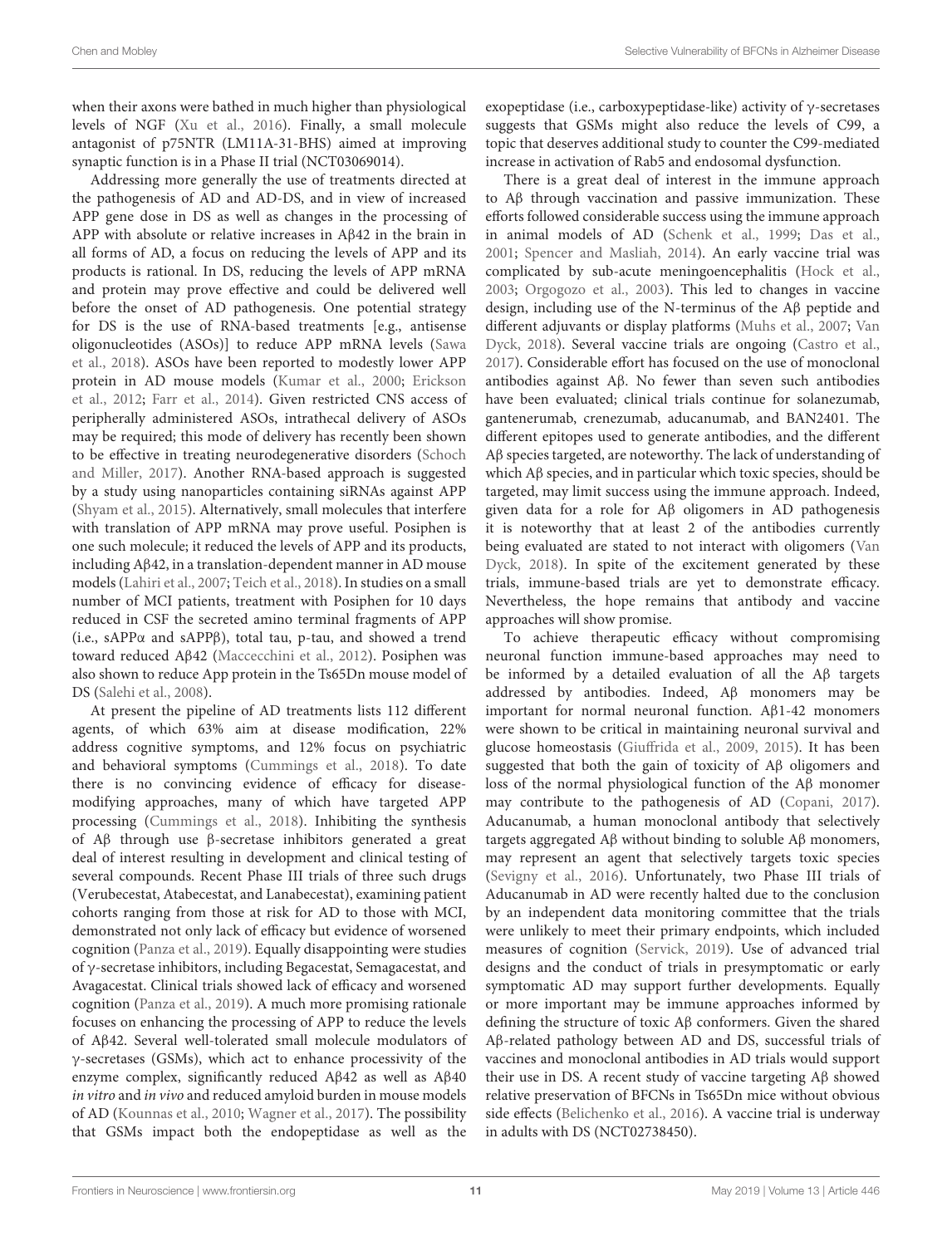when their axons were bathed in much higher than physiological levels of NGF [\(Xu et al.,](#page-18-4) [2016\)](#page-18-4). Finally, a small molecule antagonist of p75NTR (LM11A-31-BHS) aimed at improving synaptic function is in a Phase II trial (NCT03069014).

Addressing more generally the use of treatments directed at the pathogenesis of AD and AD-DS, and in view of increased APP gene dose in DS as well as changes in the processing of APP with absolute or relative increases in Aβ42 in the brain in all forms of AD, a focus on reducing the levels of APP and its products is rational. In DS, reducing the levels of APP mRNA and protein may prove effective and could be delivered well before the onset of AD pathogenesis. One potential strategy for DS is the use of RNA-based treatments [e.g., antisense oligonucleotides (ASOs)] to reduce APP mRNA levels [\(Sawa](#page-16-30) [et al.,](#page-16-30) [2018\)](#page-16-30). ASOs have been reported to modestly lower APP protein in AD mouse models [\(Kumar et al.,](#page-15-34) [2000;](#page-15-34) [Erickson](#page-14-37) [et al.,](#page-14-37) [2012;](#page-14-37) [Farr et al.,](#page-14-38) [2014\)](#page-14-38). Given restricted CNS access of peripherally administered ASOs, intrathecal delivery of ASOs may be required; this mode of delivery has recently been shown to be effective in treating neurodegenerative disorders [\(Schoch](#page-17-33) [and Miller,](#page-17-33) [2017\)](#page-17-33). Another RNA-based approach is suggested by a study using nanoparticles containing siRNAs against APP [\(Shyam et al.,](#page-17-34) [2015\)](#page-17-34). Alternatively, small molecules that interfere with translation of APP mRNA may prove useful. Posiphen is one such molecule; it reduced the levels of APP and its products, including Aβ42, in a translation-dependent manner in AD mouse models [\(Lahiri et al.,](#page-15-35) [2007;](#page-15-35) [Teich et al.,](#page-17-35) [2018\)](#page-17-35). In studies on a small number of MCI patients, treatment with Posiphen for 10 days reduced in CSF the secreted amino terminal fragments of APP (i.e., sAPPα and sAPPβ), total tau, p-tau, and showed a trend toward reduced Aβ42 [\(Maccecchini et al.,](#page-16-31) [2012\)](#page-16-31). Posiphen was also shown to reduce App protein in the Ts65Dn mouse model of DS [\(Salehi et al.,](#page-16-32) [2008\)](#page-16-32).

At present the pipeline of AD treatments lists 112 different agents, of which 63% aim at disease modification, 22% address cognitive symptoms, and 12% focus on psychiatric and behavioral symptoms [\(Cummings et al.,](#page-13-37) [2018\)](#page-13-37). To date there is no convincing evidence of efficacy for diseasemodifying approaches, many of which have targeted APP processing [\(Cummings et al.,](#page-13-37) [2018\)](#page-13-37). Inhibiting the synthesis of Aβ through use β-secretase inhibitors generated a great deal of interest resulting in development and clinical testing of several compounds. Recent Phase III trials of three such drugs (Verubecestat, Atabecestat, and Lanabecestat), examining patient cohorts ranging from those at risk for AD to those with MCI, demonstrated not only lack of efficacy but evidence of worsened cognition [\(Panza et al.,](#page-16-33) [2019\)](#page-16-33). Equally disappointing were studies of γ-secretase inhibitors, including Begacestat, Semagacestat, and Avagacestat. Clinical trials showed lack of efficacy and worsened cognition [\(Panza et al.,](#page-16-33) [2019\)](#page-16-33). A much more promising rationale focuses on enhancing the processing of APP to reduce the levels of Aβ42. Several well-tolerated small molecule modulators of γ-secretases (GSMs), which act to enhance processivity of the enzyme complex, significantly reduced Aβ42 as well as Aβ40 in vitro and in vivo and reduced amyloid burden in mouse models of AD [\(Kounnas et al.,](#page-15-36) [2010;](#page-15-36) [Wagner et al.,](#page-17-36) [2017\)](#page-17-36). The possibility that GSMs impact both the endopeptidase as well as the

exopeptidase (i.e., carboxypeptidase-like) activity of γ-secretases suggests that GSMs might also reduce the levels of C99, a topic that deserves additional study to counter the C99-mediated increase in activation of Rab5 and endosomal dysfunction.

There is a great deal of interest in the immune approach to Aβ through vaccination and passive immunization. These efforts followed considerable success using the immune approach in animal models of AD [\(Schenk et al.,](#page-17-37) [1999;](#page-17-37) [Das et al.,](#page-13-38) [2001;](#page-13-38) [Spencer and Masliah,](#page-17-38) [2014\)](#page-17-38). An early vaccine trial was complicated by sub-acute meningoencephalitis [\(Hock et al.,](#page-15-37) [2003;](#page-15-37) [Orgogozo et al.,](#page-16-34) [2003\)](#page-16-34). This led to changes in vaccine design, including use of the N-terminus of the Aβ peptide and different adjuvants or display platforms [\(Muhs et al.,](#page-16-35) [2007;](#page-16-35) [Van](#page-17-39) [Dyck,](#page-17-39) [2018\)](#page-17-39). Several vaccine trials are ongoing [\(Castro et al.,](#page-13-39) [2017\)](#page-13-39). Considerable effort has focused on the use of monoclonal antibodies against Aβ. No fewer than seven such antibodies have been evaluated; clinical trials continue for solanezumab, gantenerumab, crenezumab, aducanumab, and BAN2401. The different epitopes used to generate antibodies, and the different Aβ species targeted, are noteworthy. The lack of understanding of which Aβ species, and in particular which toxic species, should be targeted, may limit success using the immune approach. Indeed, given data for a role for Aβ oligomers in AD pathogenesis it is noteworthy that at least 2 of the antibodies currently being evaluated are stated to not interact with oligomers [\(Van](#page-17-39) [Dyck,](#page-17-39) [2018\)](#page-17-39). In spite of the excitement generated by these trials, immune-based trials are yet to demonstrate efficacy. Nevertheless, the hope remains that antibody and vaccine approaches will show promise.

To achieve therapeutic efficacy without compromising neuronal function immune-based approaches may need to be informed by a detailed evaluation of all the Aβ targets addressed by antibodies. Indeed, Aβ monomers may be important for normal neuronal function. Aβ1-42 monomers were shown to be critical in maintaining neuronal survival and glucose homeostasis [\(Giuffrida et al.,](#page-14-39) [2009,](#page-14-39) [2015\)](#page-14-40). It has been suggested that both the gain of toxicity of Aβ oligomers and loss of the normal physiological function of the Aβ monomer may contribute to the pathogenesis of AD [\(Copani,](#page-13-40) [2017\)](#page-13-40). Aducanumab, a human monoclonal antibody that selectively targets aggregated Aβ without binding to soluble Aβ monomers, may represent an agent that selectively targets toxic species [\(Sevigny et al.,](#page-17-40) [2016\)](#page-17-40). Unfortunately, two Phase III trials of Aducanumab in AD were recently halted due to the conclusion by an independent data monitoring committee that the trials were unlikely to meet their primary endpoints, which included measures of cognition [\(Servick,](#page-17-41) [2019\)](#page-17-41). Use of advanced trial designs and the conduct of trials in presymptomatic or early symptomatic AD may support further developments. Equally or more important may be immune approaches informed by defining the structure of toxic Aβ conformers. Given the shared Aβ-related pathology between AD and DS, successful trials of vaccines and monoclonal antibodies in AD trials would support their use in DS. A recent study of vaccine targeting Aβ showed relative preservation of BFCNs in Ts65Dn mice without obvious side effects [\(Belichenko et al.,](#page-13-41) [2016\)](#page-13-41). A vaccine trial is underway in adults with DS (NCT02738450).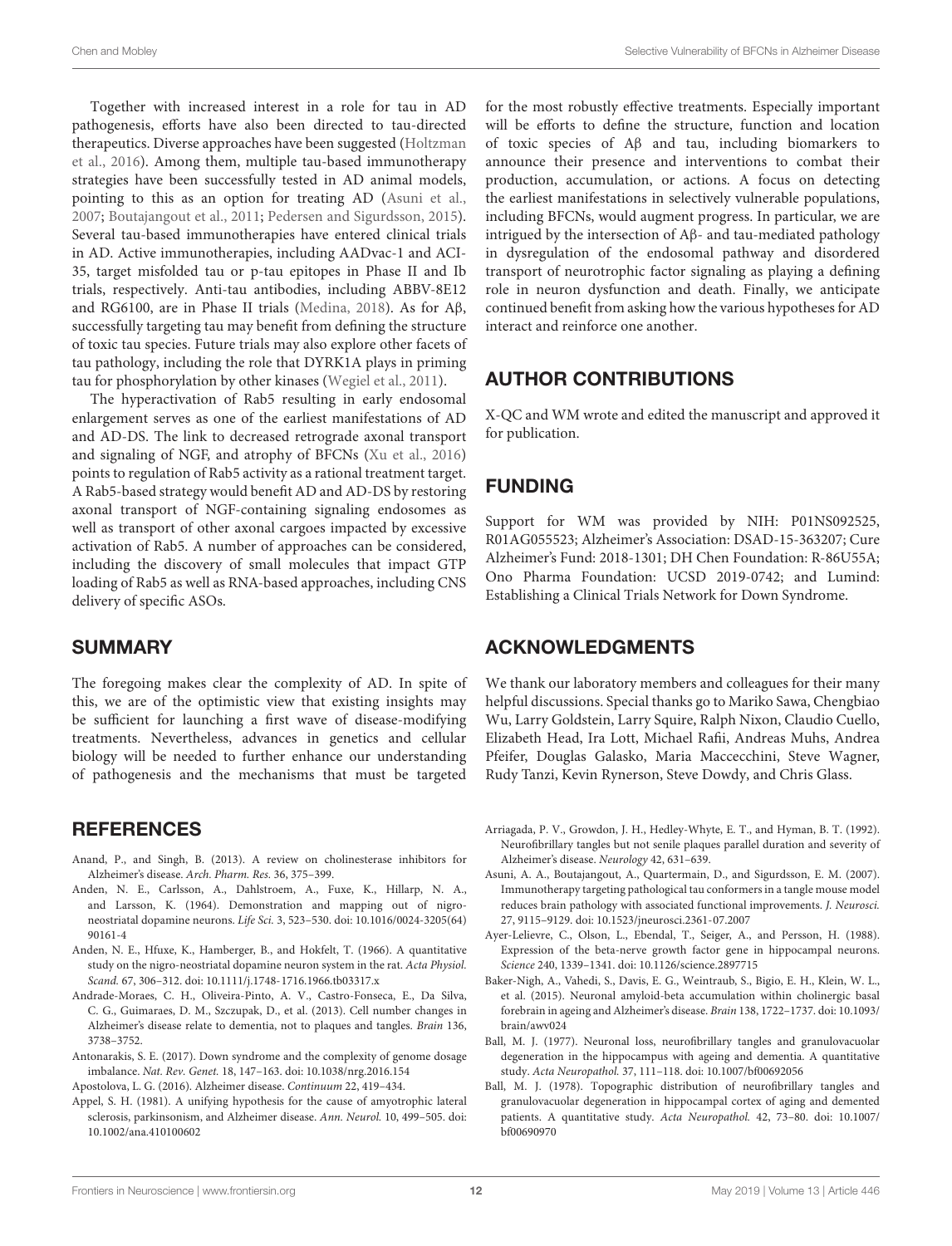Together with increased interest in a role for tau in AD pathogenesis, efforts have also been directed to tau-directed therapeutics. Diverse approaches have been suggested [\(Holtzman](#page-15-38) [et al.,](#page-15-38) [2016\)](#page-15-38). Among them, multiple tau-based immunotherapy strategies have been successfully tested in AD animal models, pointing to this as an option for treating AD [\(Asuni et al.,](#page-12-12) [2007;](#page-12-12) [Boutajangout et al.,](#page-13-42) [2011;](#page-13-42) [Pedersen and Sigurdsson,](#page-16-36) [2015\)](#page-16-36). Several tau-based immunotherapies have entered clinical trials in AD. Active immunotherapies, including AADvac-1 and ACI-35, target misfolded tau or p-tau epitopes in Phase II and Ib trials, respectively. Anti-tau antibodies, including ABBV-8E12 and RG6100, are in Phase II trials [\(Medina,](#page-16-37) [2018\)](#page-16-37). As for Aβ, successfully targeting tau may benefit from defining the structure of toxic tau species. Future trials may also explore other facets of tau pathology, including the role that DYRK1A plays in priming tau for phosphorylation by other kinases [\(Wegiel et al.,](#page-17-42) [2011\)](#page-17-42).

The hyperactivation of Rab5 resulting in early endosomal enlargement serves as one of the earliest manifestations of AD and AD-DS. The link to decreased retrograde axonal transport and signaling of NGF, and atrophy of BFCNs [\(Xu et al.,](#page-18-4) [2016\)](#page-18-4) points to regulation of Rab5 activity as a rational treatment target. A Rab5-based strategy would benefit AD and AD-DS by restoring axonal transport of NGF-containing signaling endosomes as well as transport of other axonal cargoes impacted by excessive activation of Rab5. A number of approaches can be considered, including the discovery of small molecules that impact GTP loading of Rab5 as well as RNA-based approaches, including CNS delivery of specific ASOs.

#### **SUMMARY**

The foregoing makes clear the complexity of AD. In spite of this, we are of the optimistic view that existing insights may be sufficient for launching a first wave of disease-modifying treatments. Nevertheless, advances in genetics and cellular biology will be needed to further enhance our understanding of pathogenesis and the mechanisms that must be targeted

#### **REFERENCES**

- <span id="page-12-8"></span>Anand, P., and Singh, B. (2013). A review on cholinesterase inhibitors for Alzheimer's disease. Arch. Pharm. Res. 36, 375–399.
- <span id="page-12-6"></span>Anden, N. E., Carlsson, A., Dahlstroem, A., Fuxe, K., Hillarp, N. A., and Larsson, K. (1964). Demonstration and mapping out of nigroneostriatal dopamine neurons. Life Sci. 3, 523–530. [doi: 10.1016/0024-3205\(64\)](https://doi.org/10.1016/0024-3205(64)90161-4) [90161-4](https://doi.org/10.1016/0024-3205(64)90161-4)
- <span id="page-12-7"></span>Anden, N. E., Hfuxe, K., Hamberger, B., and Hokfelt, T. (1966). A quantitative study on the nigro-neostriatal dopamine neuron system in the rat. Acta Physiol. Scand. 67, 306–312. [doi: 10.1111/j.1748-1716.1966.tb03317.x](https://doi.org/10.1111/j.1748-1716.1966.tb03317.x)
- <span id="page-12-4"></span>Andrade-Moraes, C. H., Oliveira-Pinto, A. V., Castro-Fonseca, E., Da Silva, C. G., Guimaraes, D. M., Szczupak, D., et al. (2013). Cell number changes in Alzheimer's disease relate to dementia, not to plaques and tangles. Brain 136, 3738–3752.
- <span id="page-12-1"></span>Antonarakis, S. E. (2017). Down syndrome and the complexity of genome dosage imbalance. Nat. Rev. Genet. 18, 147–163. [doi: 10.1038/nrg.2016.154](https://doi.org/10.1038/nrg.2016.154)

<span id="page-12-0"></span>Apostolova, L. G. (2016). Alzheimer disease. Continuum 22, 419–434.

<span id="page-12-9"></span>Appel, S. H. (1981). A unifying hypothesis for the cause of amyotrophic lateral sclerosis, parkinsonism, and Alzheimer disease. Ann. Neurol. 10, 499–505. [doi:](https://doi.org/10.1002/ana.410100602) [10.1002/ana.410100602](https://doi.org/10.1002/ana.410100602)

for the most robustly effective treatments. Especially important will be efforts to define the structure, function and location of toxic species of Aβ and tau, including biomarkers to announce their presence and interventions to combat their production, accumulation, or actions. A focus on detecting the earliest manifestations in selectively vulnerable populations, including BFCNs, would augment progress. In particular, we are intrigued by the intersection of Aβ- and tau-mediated pathology in dysregulation of the endosomal pathway and disordered transport of neurotrophic factor signaling as playing a defining role in neuron dysfunction and death. Finally, we anticipate continued benefit from asking how the various hypotheses for AD interact and reinforce one another.

### AUTHOR CONTRIBUTIONS

X-QC and WM wrote and edited the manuscript and approved it for publication.

### FUNDING

Support for WM was provided by NIH: P01NS092525, R01AG055523; Alzheimer's Association: DSAD-15-363207; Cure Alzheimer's Fund: 2018-1301; DH Chen Foundation: R-86U55A; Ono Pharma Foundation: UCSD 2019-0742; and Lumind: Establishing a Clinical Trials Network for Down Syndrome.

#### ACKNOWLEDGMENTS

We thank our laboratory members and colleagues for their many helpful discussions. Special thanks go to Mariko Sawa, Chengbiao Wu, Larry Goldstein, Larry Squire, Ralph Nixon, Claudio Cuello, Elizabeth Head, Ira Lott, Michael Rafii, Andreas Muhs, Andrea Pfeifer, Douglas Galasko, Maria Maccecchini, Steve Wagner, Rudy Tanzi, Kevin Rynerson, Steve Dowdy, and Chris Glass.

- <span id="page-12-2"></span>Arriagada, P. V., Growdon, J. H., Hedley-Whyte, E. T., and Hyman, B. T. (1992). Neurofibrillary tangles but not senile plaques parallel duration and severity of Alzheimer's disease. Neurology 42, 631–639.
- <span id="page-12-12"></span>Asuni, A. A., Boutajangout, A., Quartermain, D., and Sigurdsson, E. M. (2007). Immunotherapy targeting pathological tau conformers in a tangle mouse model reduces brain pathology with associated functional improvements. J. Neurosci. 27, 9115–9129. [doi: 10.1523/jneurosci.2361-07.2007](https://doi.org/10.1523/jneurosci.2361-07.2007)
- <span id="page-12-10"></span>Ayer-Lelievre, C., Olson, L., Ebendal, T., Seiger, A., and Persson, H. (1988). Expression of the beta-nerve growth factor gene in hippocampal neurons. Science 240, 1339–1341. [doi: 10.1126/science.2897715](https://doi.org/10.1126/science.2897715)
- <span id="page-12-11"></span>Baker-Nigh, A., Vahedi, S., Davis, E. G., Weintraub, S., Bigio, E. H., Klein, W. L., et al. (2015). Neuronal amyloid-beta accumulation within cholinergic basal forebrain in ageing and Alzheimer's disease. Brain 138, 1722–1737. [doi: 10.1093/](https://doi.org/10.1093/brain/awv024) [brain/awv024](https://doi.org/10.1093/brain/awv024)
- <span id="page-12-3"></span>Ball, M. J. (1977). Neuronal loss, neurofibrillary tangles and granulovacuolar degeneration in the hippocampus with ageing and dementia. A quantitative study. Acta Neuropathol. 37, 111–118. [doi: 10.1007/bf00692056](https://doi.org/10.1007/bf00692056)
- <span id="page-12-5"></span>Ball, M. J. (1978). Topographic distribution of neurofibrillary tangles and granulovacuolar degeneration in hippocampal cortex of aging and demented patients. A quantitative study. Acta Neuropathol. 42, 73–80. [doi: 10.1007/](https://doi.org/10.1007/bf00690970) [bf00690970](https://doi.org/10.1007/bf00690970)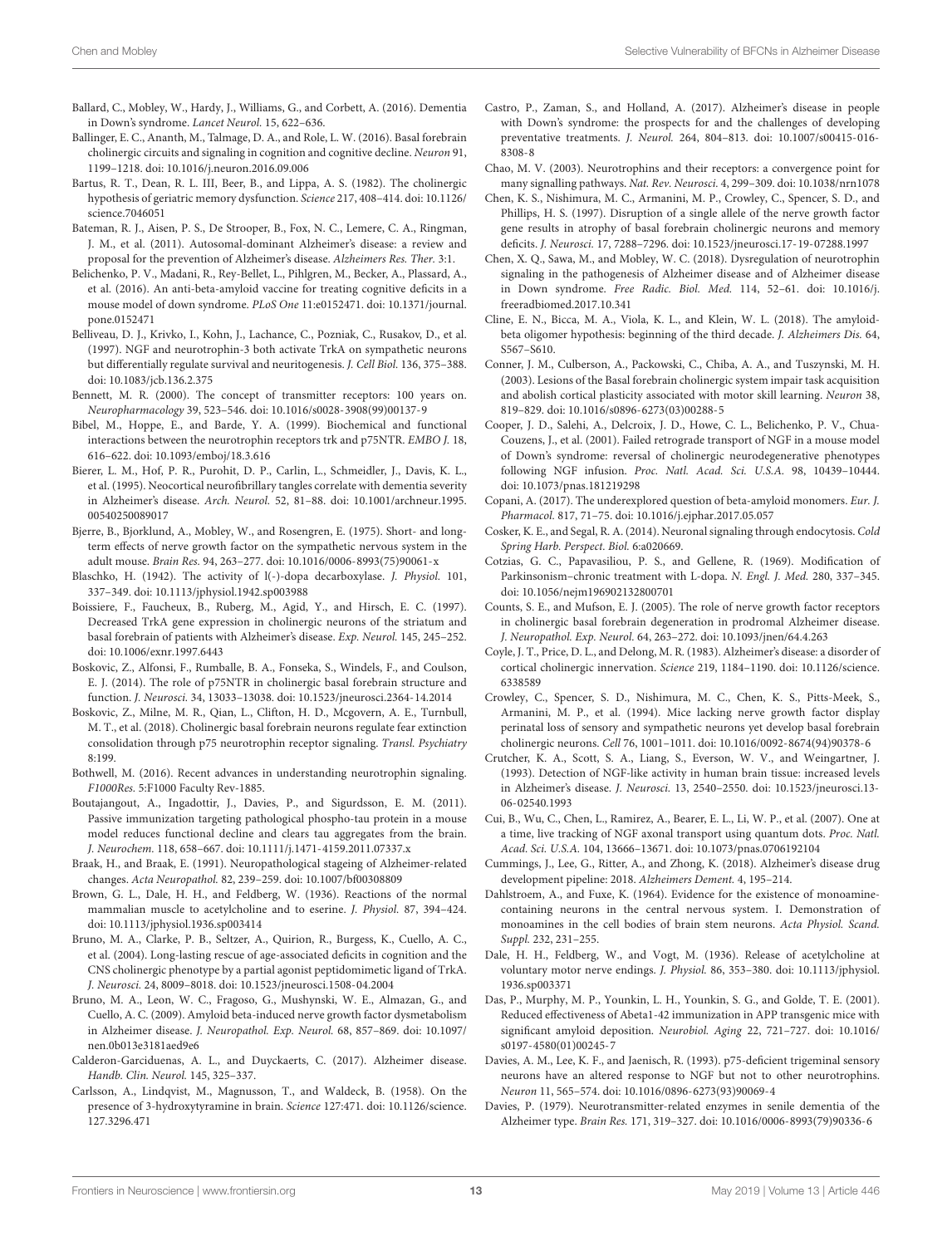- <span id="page-13-3"></span>Ballard, C., Mobley, W., Hardy, J., Williams, G., and Corbett, A. (2016). Dementia in Down's syndrome. Lancet Neurol. 15, 622–636.
- <span id="page-13-17"></span>Ballinger, E. C., Ananth, M., Talmage, D. A., and Role, L. W. (2016). Basal forebrain cholinergic circuits and signaling in cognition and cognitive decline. Neuron 91, 1199–1218. [doi: 10.1016/j.neuron.2016.09.006](https://doi.org/10.1016/j.neuron.2016.09.006)
- <span id="page-13-0"></span>Bartus, R. T., Dean, R. L. III, Beer, B., and Lippa, A. S. (1982). The cholinergic hypothesis of geriatric memory dysfunction. Science 217, 408–414. [doi: 10.1126/](https://doi.org/10.1126/science.7046051) [science.7046051](https://doi.org/10.1126/science.7046051)
- <span id="page-13-2"></span>Bateman, R. J., Aisen, P. S., De Strooper, B., Fox, N. C., Lemere, C. A., Ringman, J. M., et al. (2011). Autosomal-dominant Alzheimer's disease: a review and proposal for the prevention of Alzheimer's disease. Alzheimers Res. Ther. 3:1.
- <span id="page-13-41"></span>Belichenko, P. V., Madani, R., Rey-Bellet, L., Pihlgren, M., Becker, A., Plassard, A., et al. (2016). An anti-beta-amyloid vaccine for treating cognitive deficits in a mouse model of down syndrome. PLoS One 11:e0152471. [doi: 10.1371/journal.](https://doi.org/10.1371/journal.pone.0152471) [pone.0152471](https://doi.org/10.1371/journal.pone.0152471)
- <span id="page-13-29"></span>Belliveau, D. J., Krivko, I., Kohn, J., Lachance, C., Pozniak, C., Rusakov, D., et al. (1997). NGF and neurotrophin-3 both activate TrkA on sympathetic neurons but differentially regulate survival and neuritogenesis. J. Cell Biol. 136, 375–388. [doi: 10.1083/jcb.136.2.375](https://doi.org/10.1083/jcb.136.2.375)
- <span id="page-13-14"></span>Bennett, M. R. (2000). The concept of transmitter receptors: 100 years on. Neuropharmacology 39, 523–546. [doi: 10.1016/s0028-3908\(99\)00137-9](https://doi.org/10.1016/s0028-3908(99)00137-9)
- <span id="page-13-28"></span>Bibel, M., Hoppe, E., and Barde, Y. A. (1999). Biochemical and functional interactions between the neurotrophin receptors trk and p75NTR. EMBO J. 18, 616–622. [doi: 10.1093/emboj/18.3.616](https://doi.org/10.1093/emboj/18.3.616)
- <span id="page-13-4"></span>Bierer, L. M., Hof, P. R., Purohit, D. P., Carlin, L., Schmeidler, J., Davis, K. L., et al. (1995). Neocortical neurofibrillary tangles correlate with dementia severity in Alzheimer's disease. Arch. Neurol. 52, 81–88. [doi: 10.1001/archneur.1995.](https://doi.org/10.1001/archneur.1995.00540250089017) [00540250089017](https://doi.org/10.1001/archneur.1995.00540250089017)
- <span id="page-13-23"></span>Bjerre, B., Bjorklund, A., Mobley, W., and Rosengren, E. (1975). Short- and longterm effects of nerve growth factor on the sympathetic nervous system in the adult mouse. Brain Res. 94, 263–277. [doi: 10.1016/0006-8993\(75\)90061-x](https://doi.org/10.1016/0006-8993(75)90061-x)
- <span id="page-13-8"></span>Blaschko, H. (1942). The activity of l(-)-dopa decarboxylase. J. Physiol. 101, 337–349. [doi: 10.1113/jphysiol.1942.sp003988](https://doi.org/10.1113/jphysiol.1942.sp003988)
- <span id="page-13-34"></span>Boissiere, F., Faucheux, B., Ruberg, M., Agid, Y., and Hirsch, E. C. (1997). Decreased TrkA gene expression in cholinergic neurons of the striatum and basal forebrain of patients with Alzheimer's disease. Exp. Neurol. 145, 245–252. [doi: 10.1006/exnr.1997.6443](https://doi.org/10.1006/exnr.1997.6443)
- <span id="page-13-26"></span>Boskovic, Z., Alfonsi, F., Rumballe, B. A., Fonseka, S., Windels, F., and Coulson, E. J. (2014). The role of p75NTR in cholinergic basal forebrain structure and function. J. Neurosci. 34, 13033–13038. [doi: 10.1523/jneurosci.2364-14.2014](https://doi.org/10.1523/jneurosci.2364-14.2014)
- <span id="page-13-19"></span>Boskovic, Z., Milne, M. R., Qian, L., Clifton, H. D., Mcgovern, A. E., Turnbull, M. T., et al. (2018). Cholinergic basal forebrain neurons regulate fear extinction consolidation through p75 neurotrophin receptor signaling. Transl. Psychiatry 8:199.
- <span id="page-13-25"></span>Bothwell, M. (2016). Recent advances in understanding neurotrophin signaling. F1000Res. 5:F1000 Faculty Rev-1885.
- <span id="page-13-42"></span>Boutajangout, A., Ingadottir, J., Davies, P., and Sigurdsson, E. M. (2011). Passive immunization targeting pathological phospho-tau protein in a mouse model reduces functional decline and clears tau aggregates from the brain. J. Neurochem. 118, 658–667. [doi: 10.1111/j.1471-4159.2011.07337.x](https://doi.org/10.1111/j.1471-4159.2011.07337.x)
- <span id="page-13-5"></span>Braak, H., and Braak, E. (1991). Neuropathological stageing of Alzheimer-related changes. Acta Neuropathol. 82, 239–259. [doi: 10.1007/bf00308809](https://doi.org/10.1007/bf00308809)
- <span id="page-13-13"></span>Brown, G. L., Dale, H. H., and Feldberg, W. (1936). Reactions of the normal mammalian muscle to acetylcholine and to eserine. J. Physiol. 87, 394–424. [doi: 10.1113/jphysiol.1936.sp003414](https://doi.org/10.1113/jphysiol.1936.sp003414)
- <span id="page-13-36"></span>Bruno, M. A., Clarke, P. B., Seltzer, A., Quirion, R., Burgess, K., Cuello, A. C., et al. (2004). Long-lasting rescue of age-associated deficits in cognition and the CNS cholinergic phenotype by a partial agonist peptidomimetic ligand of TrkA. J. Neurosci. 24, 8009–8018. [doi: 10.1523/jneurosci.1508-04.2004](https://doi.org/10.1523/jneurosci.1508-04.2004)
- <span id="page-13-30"></span>Bruno, M. A., Leon, W. C., Fragoso, G., Mushynski, W. E., Almazan, G., and Cuello, A. C. (2009). Amyloid beta-induced nerve growth factor dysmetabolism in Alzheimer disease. J. Neuropathol. Exp. Neurol. 68, 857–869. [doi: 10.1097/](https://doi.org/10.1097/nen.0b013e3181aed9e6) [nen.0b013e3181aed9e6](https://doi.org/10.1097/nen.0b013e3181aed9e6)
- <span id="page-13-7"></span>Calderon-Garciduenas, A. L., and Duyckaerts, C. (2017). Alzheimer disease. Handb. Clin. Neurol. 145, 325–337.
- <span id="page-13-9"></span>Carlsson, A., Lindqvist, M., Magnusson, T., and Waldeck, B. (1958). On the presence of 3-hydroxytyramine in brain. Science 127:471. [doi: 10.1126/science.](https://doi.org/10.1126/science.127.3296.471) [127.3296.471](https://doi.org/10.1126/science.127.3296.471)
- <span id="page-13-39"></span>Castro, P., Zaman, S., and Holland, A. (2017). Alzheimer's disease in people with Down's syndrome: the prospects for and the challenges of developing preventative treatments. J. Neurol. 264, 804–813. [doi: 10.1007/s00415-016-](https://doi.org/10.1007/s00415-016-8308-8) [8308-8](https://doi.org/10.1007/s00415-016-8308-8)
- <span id="page-13-24"></span>Chao, M. V. (2003). Neurotrophins and their receptors: a convergence point for many signalling pathways. Nat. Rev. Neurosci. 4, 299–309. [doi: 10.1038/nrn1078](https://doi.org/10.1038/nrn1078)
- <span id="page-13-21"></span>Chen, K. S., Nishimura, M. C., Armanini, M. P., Crowley, C., Spencer, S. D., and Phillips, H. S. (1997). Disruption of a single allele of the nerve growth factor gene results in atrophy of basal forebrain cholinergic neurons and memory deficits. J. Neurosci. 17, 7288–7296. [doi: 10.1523/jneurosci.17-19-07288.1997](https://doi.org/10.1523/jneurosci.17-19-07288.1997)
- <span id="page-13-1"></span>Chen, X. Q., Sawa, M., and Mobley, W. C. (2018). Dysregulation of neurotrophin signaling in the pathogenesis of Alzheimer disease and of Alzheimer disease in Down syndrome. Free Radic. Biol. Med. 114, 52–61. [doi: 10.1016/j.](https://doi.org/10.1016/j.freeradbiomed.2017.10.341) [freeradbiomed.2017.10.341](https://doi.org/10.1016/j.freeradbiomed.2017.10.341)
- <span id="page-13-6"></span>Cline, E. N., Bicca, M. A., Viola, K. L., and Klein, W. L. (2018). The amyloidbeta oligomer hypothesis: beginning of the third decade. J. Alzheimers Dis. 64, S567–S610.
- <span id="page-13-18"></span>Conner, J. M., Culberson, A., Packowski, C., Chiba, A. A., and Tuszynski, M. H. (2003). Lesions of the Basal forebrain cholinergic system impair task acquisition and abolish cortical plasticity associated with motor skill learning. Neuron 38, 819–829. [doi: 10.1016/s0896-6273\(03\)00288-5](https://doi.org/10.1016/s0896-6273(03)00288-5)
- <span id="page-13-22"></span>Cooper, J. D., Salehi, A., Delcroix, J. D., Howe, C. L., Belichenko, P. V., Chua-Couzens, J., et al. (2001). Failed retrograde transport of NGF in a mouse model of Down's syndrome: reversal of cholinergic neurodegenerative phenotypes following NGF infusion. Proc. Natl. Acad. Sci. U.S.A. 98, 10439–10444. [doi: 10.1073/pnas.181219298](https://doi.org/10.1073/pnas.181219298)
- <span id="page-13-40"></span>Copani, A. (2017). The underexplored question of beta-amyloid monomers. Eur. J. Pharmacol. 817, 71–75. [doi: 10.1016/j.ejphar.2017.05.057](https://doi.org/10.1016/j.ejphar.2017.05.057)
- <span id="page-13-31"></span>Cosker, K. E., and Segal, R. A. (2014). Neuronal signaling through endocytosis. Cold Spring Harb. Perspect. Biol. 6:a020669.
- <span id="page-13-11"></span>Cotzias, G. C., Papavasiliou, P. S., and Gellene, R. (1969). Modification of Parkinsonism–chronic treatment with L-dopa. N. Engl. J. Med. 280, 337–345. [doi: 10.1056/nejm196902132800701](https://doi.org/10.1056/nejm196902132800701)
- <span id="page-13-35"></span>Counts, S. E., and Mufson, E. J. (2005). The role of nerve growth factor receptors in cholinergic basal forebrain degeneration in prodromal Alzheimer disease. J. Neuropathol. Exp. Neurol. 64, 263–272. [doi: 10.1093/jnen/64.4.263](https://doi.org/10.1093/jnen/64.4.263)
- <span id="page-13-16"></span>Coyle, J. T., Price, D. L., and Delong, M. R. (1983). Alzheimer's disease: a disorder of cortical cholinergic innervation. Science 219, 1184–1190. [doi: 10.1126/science.](https://doi.org/10.1126/science.6338589) [6338589](https://doi.org/10.1126/science.6338589)
- <span id="page-13-20"></span>Crowley, C., Spencer, S. D., Nishimura, M. C., Chen, K. S., Pitts-Meek, S., Armanini, M. P., et al. (1994). Mice lacking nerve growth factor display perinatal loss of sensory and sympathetic neurons yet develop basal forebrain cholinergic neurons. Cell 76, 1001–1011. [doi: 10.1016/0092-8674\(94\)90378-6](https://doi.org/10.1016/0092-8674(94)90378-6)
- <span id="page-13-33"></span>Crutcher, K. A., Scott, S. A., Liang, S., Everson, W. V., and Weingartner, J. (1993). Detection of NGF-like activity in human brain tissue: increased levels in Alzheimer's disease. J. Neurosci. 13, 2540–2550. [doi: 10.1523/jneurosci.13-](https://doi.org/10.1523/jneurosci.13-06-02540.1993) [06-02540.1993](https://doi.org/10.1523/jneurosci.13-06-02540.1993)
- <span id="page-13-32"></span>Cui, B., Wu, C., Chen, L., Ramirez, A., Bearer, E. L., Li, W. P., et al. (2007). One at a time, live tracking of NGF axonal transport using quantum dots. Proc. Natl. Acad. Sci. U.S.A. 104, 13666–13671. [doi: 10.1073/pnas.0706192104](https://doi.org/10.1073/pnas.0706192104)
- <span id="page-13-37"></span>Cummings, J., Lee, G., Ritter, A., and Zhong, K. (2018). Alzheimer's disease drug development pipeline: 2018. Alzheimers Dement. 4, 195–214.
- <span id="page-13-10"></span>Dahlstroem, A., and Fuxe, K. (1964). Evidence for the existence of monoaminecontaining neurons in the central nervous system. I. Demonstration of monoamines in the cell bodies of brain stem neurons. Acta Physiol. Scand. Suppl. 232, 231–255.
- <span id="page-13-12"></span>Dale, H. H., Feldberg, W., and Vogt, M. (1936). Release of acetylcholine at voluntary motor nerve endings. J. Physiol. 86, 353–380. [doi: 10.1113/jphysiol.](https://doi.org/10.1113/jphysiol.1936.sp003371) [1936.sp003371](https://doi.org/10.1113/jphysiol.1936.sp003371)
- <span id="page-13-38"></span>Das, P., Murphy, M. P., Younkin, L. H., Younkin, S. G., and Golde, T. E. (2001). Reduced effectiveness of Abeta1-42 immunization in APP transgenic mice with significant amyloid deposition. Neurobiol. Aging 22, 721–727. [doi: 10.1016/](https://doi.org/10.1016/s0197-4580(01)00245-7) [s0197-4580\(01\)00245-7](https://doi.org/10.1016/s0197-4580(01)00245-7)
- <span id="page-13-27"></span>Davies, A. M., Lee, K. F., and Jaenisch, R. (1993). p75-deficient trigeminal sensory neurons have an altered response to NGF but not to other neurotrophins. Neuron 11, 565–574. [doi: 10.1016/0896-6273\(93\)90069-4](https://doi.org/10.1016/0896-6273(93)90069-4)
- <span id="page-13-15"></span>Davies, P. (1979). Neurotransmitter-related enzymes in senile dementia of the Alzheimer type. Brain Res. 171, 319–327. [doi: 10.1016/0006-8993\(79\)90336-6](https://doi.org/10.1016/0006-8993(79)90336-6)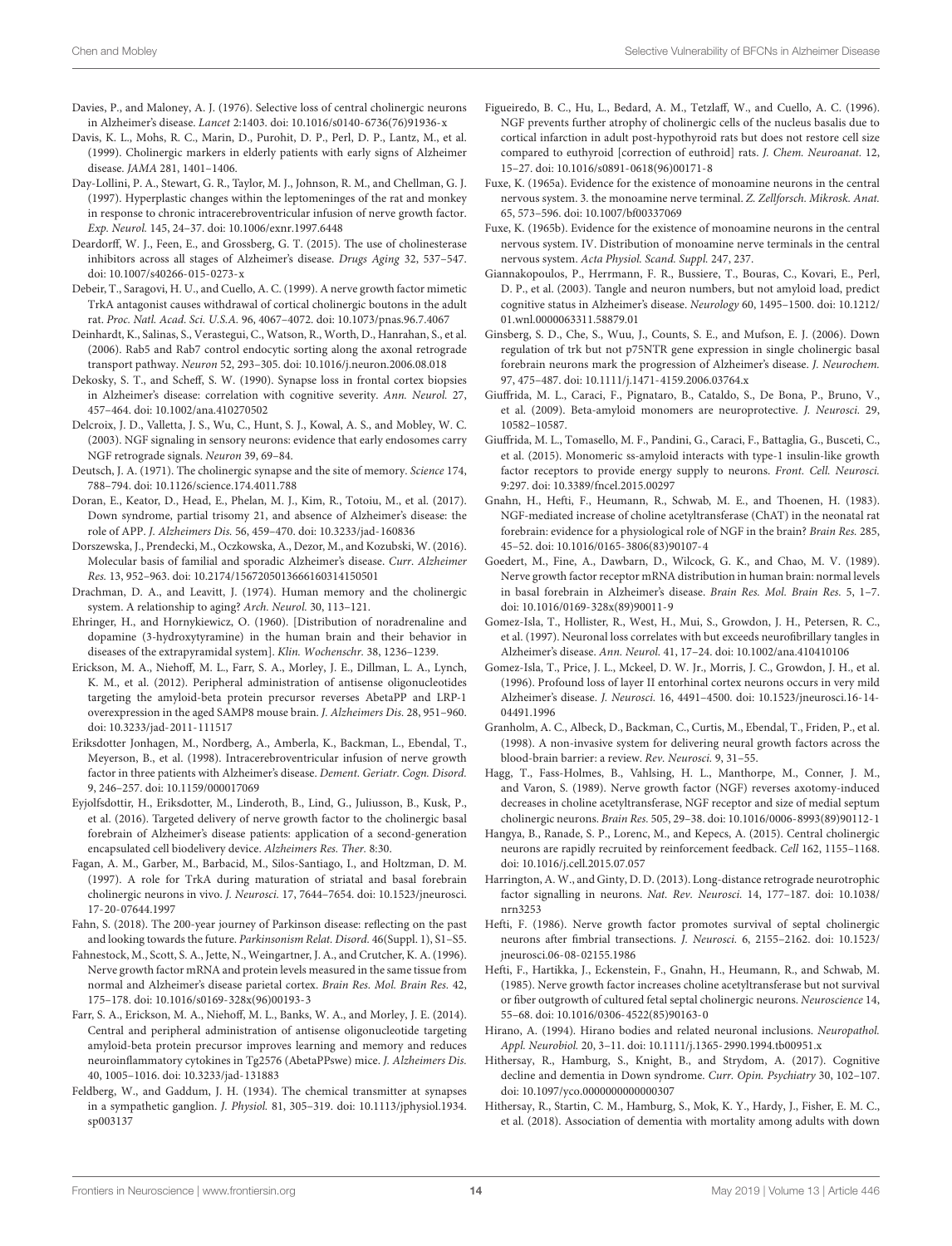- <span id="page-14-16"></span>Davies, P., and Maloney, A. J. (1976). Selective loss of central cholinergic neurons in Alzheimer's disease. Lancet 2:1403. [doi: 10.1016/s0140-6736\(76\)91936-x](https://doi.org/10.1016/s0140-6736(76)91936-x)
- <span id="page-14-32"></span>Davis, K. L., Mohs, R. C., Marin, D., Purohit, D. P., Perl, D. P., Lantz, M., et al. (1999). Cholinergic markers in elderly patients with early signs of Alzheimer disease. JAMA 281, 1401–1406.
- <span id="page-14-35"></span>Day-Lollini, P. A., Stewart, G. R., Taylor, M. J., Johnson, R. M., and Chellman, G. J. (1997). Hyperplastic changes within the leptomeninges of the rat and monkey in response to chronic intracerebroventricular infusion of nerve growth factor. Exp. Neurol. 145, 24–37. [doi: 10.1006/exnr.1997.6448](https://doi.org/10.1006/exnr.1997.6448)
- <span id="page-14-17"></span>Deardorff, W. J., Feen, E., and Grossberg, G. T. (2015). The use of cholinesterase inhibitors across all stages of Alzheimer's disease. Drugs Aging 32, 537–547. [doi: 10.1007/s40266-015-0273-x](https://doi.org/10.1007/s40266-015-0273-x)
- <span id="page-14-24"></span>Debeir, T., Saragovi, H. U., and Cuello, A. C. (1999). A nerve growth factor mimetic TrkA antagonist causes withdrawal of cortical cholinergic boutons in the adult rat. Proc. Natl. Acad. Sci. U.S.A. 96, 4067–4072. [doi: 10.1073/pnas.96.7.4067](https://doi.org/10.1073/pnas.96.7.4067)
- <span id="page-14-28"></span>Deinhardt, K., Salinas, S., Verastegui, C., Watson, R., Worth, D., Hanrahan, S., et al. (2006). Rab5 and Rab7 control endocytic sorting along the axonal retrograde transport pathway. Neuron 52, 293–305. [doi: 10.1016/j.neuron.2006.08.018](https://doi.org/10.1016/j.neuron.2006.08.018)
- <span id="page-14-6"></span>Dekosky, S. T., and Scheff, S. W. (1990). Synapse loss in frontal cortex biopsies in Alzheimer's disease: correlation with cognitive severity. Ann. Neurol. 27, 457–464. [doi: 10.1002/ana.410270502](https://doi.org/10.1002/ana.410270502)
- <span id="page-14-27"></span>Delcroix, J. D., Valletta, J. S., Wu, C., Hunt, S. J., Kowal, A. S., and Mobley, W. C. (2003). NGF signaling in sensory neurons: evidence that early endosomes carry NGF retrograde signals. Neuron 39, 69–84.
- <span id="page-14-14"></span>Deutsch, J. A. (1971). The cholinergic synapse and the site of memory. Science 174, 788–794. [doi: 10.1126/science.174.4011.788](https://doi.org/10.1126/science.174.4011.788)
- <span id="page-14-3"></span>Doran, E., Keator, D., Head, E., Phelan, M. J., Kim, R., Totoiu, M., et al. (2017). Down syndrome, partial trisomy 21, and absence of Alzheimer's disease: the role of APP. J. Alzheimers Dis. 56, 459–470. [doi: 10.3233/jad-160836](https://doi.org/10.3233/jad-160836)
- <span id="page-14-0"></span>Dorszewska, J., Prendecki, M., Oczkowska, A., Dezor, M., and Kozubski, W. (2016). Molecular basis of familial and sporadic Alzheimer's disease. Curr. Alzheimer Res. 13, 952–963. [doi: 10.2174/1567205013666160314150501](https://doi.org/10.2174/1567205013666160314150501)
- <span id="page-14-15"></span>Drachman, D. A., and Leavitt, J. (1974). Human memory and the cholinergic system. A relationship to aging? Arch. Neurol. 30, 113–121.
- <span id="page-14-12"></span>Ehringer, H., and Hornykiewicz, O. (1960). [Distribution of noradrenaline and dopamine (3-hydroxytyramine) in the human brain and their behavior in diseases of the extrapyramidal system]. Klin. Wochenschr. 38, 1236–1239.
- <span id="page-14-37"></span>Erickson, M. A., Niehoff, M. L., Farr, S. A., Morley, J. E., Dillman, L. A., Lynch, K. M., et al. (2012). Peripheral administration of antisense oligonucleotides targeting the amyloid-beta protein precursor reverses AbetaPP and LRP-1 overexpression in the aged SAMP8 mouse brain. J. Alzheimers Dis. 28, 951–960. [doi: 10.3233/jad-2011-111517](https://doi.org/10.3233/jad-2011-111517)
- <span id="page-14-34"></span>Eriksdotter Jonhagen, M., Nordberg, A., Amberla, K., Backman, L., Ebendal, T., Meyerson, B., et al. (1998). Intracerebroventricular infusion of nerve growth factor in three patients with Alzheimer's disease. Dement. Geriatr. Cogn. Disord. 9, 246–257. [doi: 10.1159/000017069](https://doi.org/10.1159/000017069)
- <span id="page-14-36"></span>Eyjolfsdottir, H., Eriksdotter, M., Linderoth, B., Lind, G., Juliusson, B., Kusk, P., et al. (2016). Targeted delivery of nerve growth factor to the cholinergic basal forebrain of Alzheimer's disease patients: application of a second-generation encapsulated cell biodelivery device. Alzheimers Res. Ther. 8:30.
- <span id="page-14-25"></span>Fagan, A. M., Garber, M., Barbacid, M., Silos-Santiago, I., and Holtzman, D. M. (1997). A role for TrkA during maturation of striatal and basal forebrain cholinergic neurons in vivo. J. Neurosci. 17, 7644–7654. [doi: 10.1523/jneurosci.](https://doi.org/10.1523/jneurosci.17-20-07644.1997) [17-20-07644.1997](https://doi.org/10.1523/jneurosci.17-20-07644.1997)
- <span id="page-14-9"></span>Fahn, S. (2018). The 200-year journey of Parkinson disease: reflecting on the past and looking towards the future. Parkinsonism Relat. Disord. 46(Suppl. 1), S1–S5.
- <span id="page-14-29"></span>Fahnestock, M., Scott, S. A., Jette, N., Weingartner, J. A., and Crutcher, K. A. (1996). Nerve growth factor mRNA and protein levels measured in the same tissue from normal and Alzheimer's disease parietal cortex. Brain Res. Mol. Brain Res. 42, 175–178. [doi: 10.1016/s0169-328x\(96\)00193-3](https://doi.org/10.1016/s0169-328x(96)00193-3)
- <span id="page-14-38"></span>Farr, S. A., Erickson, M. A., Niehoff, M. L., Banks, W. A., and Morley, J. E. (2014). Central and peripheral administration of antisense oligonucleotide targeting amyloid-beta protein precursor improves learning and memory and reduces neuroinflammatory cytokines in Tg2576 (AbetaPPswe) mice. J. Alzheimers Dis. 40, 1005–1016. [doi: 10.3233/jad-131883](https://doi.org/10.3233/jad-131883)
- <span id="page-14-13"></span>Feldberg, W., and Gaddum, J. H. (1934). The chemical transmitter at synapses in a sympathetic ganglion. J. Physiol. 81, 305–319. [doi: 10.1113/jphysiol.1934.](https://doi.org/10.1113/jphysiol.1934.sp003137) [sp003137](https://doi.org/10.1113/jphysiol.1934.sp003137)
- <span id="page-14-23"></span>Figueiredo, B. C., Hu, L., Bedard, A. M., Tetzlaff, W., and Cuello, A. C. (1996). NGF prevents further atrophy of cholinergic cells of the nucleus basalis due to cortical infarction in adult post-hypothyroid rats but does not restore cell size compared to euthyroid [correction of euthroid] rats. J. Chem. Neuroanat. 12, 15–27. [doi: 10.1016/s0891-0618\(96\)00171-8](https://doi.org/10.1016/s0891-0618(96)00171-8)
- <span id="page-14-10"></span>Fuxe, K. (1965a). Evidence for the existence of monoamine neurons in the central nervous system. 3. the monoamine nerve terminal. Z. Zellforsch. Mikrosk. Anat. 65, 573–596. [doi: 10.1007/bf00337069](https://doi.org/10.1007/bf00337069)
- <span id="page-14-11"></span>Fuxe, K. (1965b). Evidence for the existence of monoamine neurons in the central nervous system. IV. Distribution of monoamine nerve terminals in the central nervous system. Acta Physiol. Scand. Suppl. 247, 237.
- <span id="page-14-4"></span>Giannakopoulos, P., Herrmann, F. R., Bussiere, T., Bouras, C., Kovari, E., Perl, D. P., et al. (2003). Tangle and neuron numbers, but not amyloid load, predict cognitive status in Alzheimer's disease. Neurology 60, 1495–1500. [doi: 10.1212/](https://doi.org/10.1212/01.wnl.0000063311.58879.01) [01.wnl.0000063311.58879.01](https://doi.org/10.1212/01.wnl.0000063311.58879.01)
- <span id="page-14-30"></span>Ginsberg, S. D., Che, S., Wuu, J., Counts, S. E., and Mufson, E. J. (2006). Down regulation of trk but not p75NTR gene expression in single cholinergic basal forebrain neurons mark the progression of Alzheimer's disease. J. Neurochem. 97, 475–487. [doi: 10.1111/j.1471-4159.2006.03764.x](https://doi.org/10.1111/j.1471-4159.2006.03764.x)
- <span id="page-14-39"></span>Giuffrida, M. L., Caraci, F., Pignataro, B., Cataldo, S., De Bona, P., Bruno, V., et al. (2009). Beta-amyloid monomers are neuroprotective. J. Neurosci. 29, 10582–10587.
- <span id="page-14-40"></span>Giuffrida, M. L., Tomasello, M. F., Pandini, G., Caraci, F., Battaglia, G., Busceti, C., et al. (2015). Monomeric ss-amyloid interacts with type-1 insulin-like growth factor receptors to provide energy supply to neurons. Front. Cell. Neurosci. 9:297. [doi: 10.3389/fncel.2015.00297](https://doi.org/10.3389/fncel.2015.00297)
- <span id="page-14-19"></span>Gnahn, H., Hefti, F., Heumann, R., Schwab, M. E., and Thoenen, H. (1983). NGF-mediated increase of choline acetyltransferase (ChAT) in the neonatal rat forebrain: evidence for a physiological role of NGF in the brain? Brain Res. 285, 45–52. [doi: 10.1016/0165-3806\(83\)90107-4](https://doi.org/10.1016/0165-3806(83)90107-4)
- <span id="page-14-31"></span>Goedert, M., Fine, A., Dawbarn, D., Wilcock, G. K., and Chao, M. V. (1989). Nerve growth factor receptor mRNA distribution in human brain: normal levels in basal forebrain in Alzheimer's disease. Brain Res. Mol. Brain Res. 5, 1–7. [doi: 10.1016/0169-328x\(89\)90011-9](https://doi.org/10.1016/0169-328x(89)90011-9)
- <span id="page-14-5"></span>Gomez-Isla, T., Hollister, R., West, H., Mui, S., Growdon, J. H., Petersen, R. C., et al. (1997). Neuronal loss correlates with but exceeds neurofibrillary tangles in Alzheimer's disease. Ann. Neurol. 41, 17–24. [doi: 10.1002/ana.410410106](https://doi.org/10.1002/ana.410410106)
- <span id="page-14-7"></span>Gomez-Isla, T., Price, J. L., Mckeel, D. W. Jr., Morris, J. C., Growdon, J. H., et al. (1996). Profound loss of layer II entorhinal cortex neurons occurs in very mild Alzheimer's disease. J. Neurosci. 16, 4491–4500. [doi: 10.1523/jneurosci.16-14-](https://doi.org/10.1523/jneurosci.16-14-04491.1996) [04491.1996](https://doi.org/10.1523/jneurosci.16-14-04491.1996)
- <span id="page-14-33"></span>Granholm, A. C., Albeck, D., Backman, C., Curtis, M., Ebendal, T., Friden, P., et al. (1998). A non-invasive system for delivering neural growth factors across the blood-brain barrier: a review. Rev. Neurosci. 9, 31–55.
- <span id="page-14-21"></span>Hagg, T., Fass-Holmes, B., Vahlsing, H. L., Manthorpe, M., Conner, J. M., and Varon, S. (1989). Nerve growth factor (NGF) reverses axotomy-induced decreases in choline acetyltransferase, NGF receptor and size of medial septum cholinergic neurons. Brain Res. 505, 29–38. [doi: 10.1016/0006-8993\(89\)90112-1](https://doi.org/10.1016/0006-8993(89)90112-1)
- <span id="page-14-18"></span>Hangya, B., Ranade, S. P., Lorenc, M., and Kepecs, A. (2015). Central cholinergic neurons are rapidly recruited by reinforcement feedback. Cell 162, 1155–1168. [doi: 10.1016/j.cell.2015.07.057](https://doi.org/10.1016/j.cell.2015.07.057)
- <span id="page-14-26"></span>Harrington, A. W., and Ginty, D. D. (2013). Long-distance retrograde neurotrophic factor signalling in neurons. Nat. Rev. Neurosci. 14, 177–187. [doi: 10.1038/](https://doi.org/10.1038/nrn3253) [nrn3253](https://doi.org/10.1038/nrn3253)
- <span id="page-14-22"></span>Hefti, F. (1986). Nerve growth factor promotes survival of septal cholinergic neurons after fimbrial transections. J. Neurosci. 6, 2155–2162. [doi: 10.1523/](https://doi.org/10.1523/jneurosci.06-08-02155.1986) [jneurosci.06-08-02155.1986](https://doi.org/10.1523/jneurosci.06-08-02155.1986)
- <span id="page-14-20"></span>Hefti, F., Hartikka, J., Eckenstein, F., Gnahn, H., Heumann, R., and Schwab, M. (1985). Nerve growth factor increases choline acetyltransferase but not survival or fiber outgrowth of cultured fetal septal cholinergic neurons. Neuroscience 14, 55–68. [doi: 10.1016/0306-4522\(85\)90163-0](https://doi.org/10.1016/0306-4522(85)90163-0)
- <span id="page-14-8"></span>Hirano, A. (1994). Hirano bodies and related neuronal inclusions. Neuropathol. Appl. Neurobiol. 20, 3–11. [doi: 10.1111/j.1365-2990.1994.tb00951.x](https://doi.org/10.1111/j.1365-2990.1994.tb00951.x)
- <span id="page-14-1"></span>Hithersay, R., Hamburg, S., Knight, B., and Strydom, A. (2017). Cognitive decline and dementia in Down syndrome. Curr. Opin. Psychiatry 30, 102–107. [doi: 10.1097/yco.0000000000000307](https://doi.org/10.1097/yco.0000000000000307)
- <span id="page-14-2"></span>Hithersay, R., Startin, C. M., Hamburg, S., Mok, K. Y., Hardy, J., Fisher, E. M. C., et al. (2018). Association of dementia with mortality among adults with down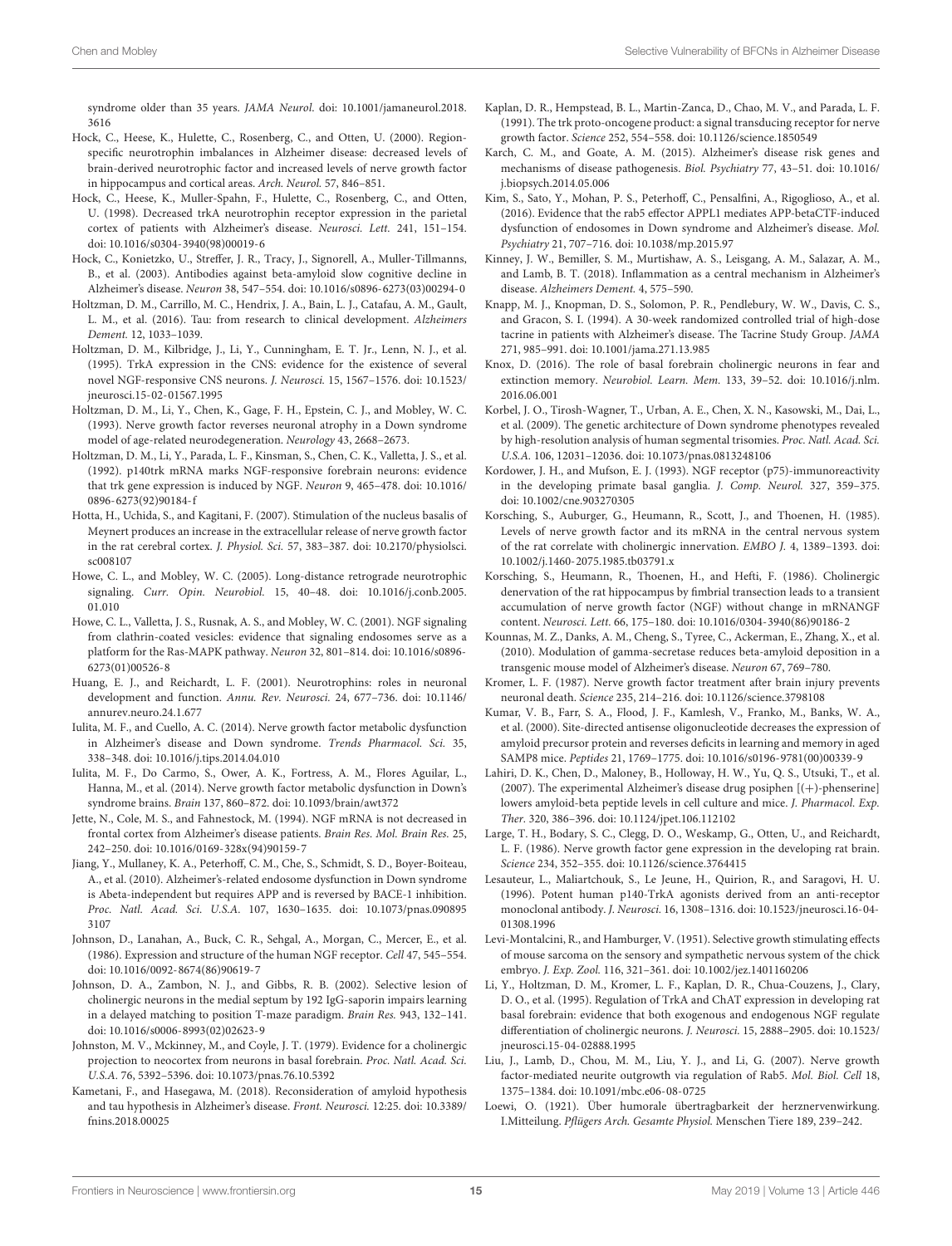syndrome older than 35 years. JAMA Neurol. [doi: 10.1001/jamaneurol.2018.](https://doi.org/10.1001/jamaneurol.2018.3616) [3616](https://doi.org/10.1001/jamaneurol.2018.3616)

- <span id="page-15-28"></span>Hock, C., Heese, K., Hulette, C., Rosenberg, C., and Otten, U. (2000). Regionspecific neurotrophin imbalances in Alzheimer disease: decreased levels of brain-derived neurotrophic factor and increased levels of nerve growth factor in hippocampus and cortical areas. Arch. Neurol. 57, 846–851.
- <span id="page-15-27"></span>Hock, C., Heese, K., Muller-Spahn, F., Hulette, C., Rosenberg, C., and Otten, U. (1998). Decreased trkA neurotrophin receptor expression in the parietal cortex of patients with Alzheimer's disease. Neurosci. Lett. 241, 151–154. [doi: 10.1016/s0304-3940\(98\)00019-6](https://doi.org/10.1016/s0304-3940(98)00019-6)
- <span id="page-15-37"></span>Hock, C., Konietzko, U., Streffer, J. R., Tracy, J., Signorell, A., Muller-Tillmanns, B., et al. (2003). Antibodies against beta-amyloid slow cognitive decline in Alzheimer's disease. Neuron 38, 547–554. [doi: 10.1016/s0896-6273\(03\)00294-0](https://doi.org/10.1016/s0896-6273(03)00294-0)
- <span id="page-15-38"></span>Holtzman, D. M., Carrillo, M. C., Hendrix, J. A., Bain, L. J., Catafau, A. M., Gault, L. M., et al. (2016). Tau: from research to clinical development. Alzheimers Dement. 12, 1033–1039.
- <span id="page-15-19"></span>Holtzman, D. M., Kilbridge, J., Li, Y., Cunningham, E. T. Jr., Lenn, N. J., et al. (1995). TrkA expression in the CNS: evidence for the existence of several novel NGF-responsive CNS neurons. J. Neurosci. 15, 1567–1576. [doi: 10.1523/](https://doi.org/10.1523/jneurosci.15-02-01567.1995) [jneurosci.15-02-01567.1995](https://doi.org/10.1523/jneurosci.15-02-01567.1995)
- <span id="page-15-10"></span>Holtzman, D. M., Li, Y., Chen, K., Gage, F. H., Epstein, C. J., and Mobley, W. C. (1993). Nerve growth factor reverses neuronal atrophy in a Down syndrome model of age-related neurodegeneration. Neurology 43, 2668–2673.
- <span id="page-15-17"></span>Holtzman, D. M., Li, Y., Parada, L. F., Kinsman, S., Chen, C. K., Valletta, J. S., et al. (1992). p140trk mRNA marks NGF-responsive forebrain neurons: evidence that trk gene expression is induced by NGF. Neuron 9, 465–478. [doi: 10.1016/](https://doi.org/10.1016/0896-6273(92)90184-f) [0896-6273\(92\)90184-f](https://doi.org/10.1016/0896-6273(92)90184-f)
- <span id="page-15-29"></span>Hotta, H., Uchida, S., and Kagitani, F. (2007). Stimulation of the nucleus basalis of Meynert produces an increase in the extracellular release of nerve growth factor in the rat cerebral cortex. J. Physiol. Sci. 57, 383–387. [doi: 10.2170/physiolsci.](https://doi.org/10.2170/physiolsci.sc008107) [sc008107](https://doi.org/10.2170/physiolsci.sc008107)
- <span id="page-15-22"></span>Howe, C. L., and Mobley, W. C. (2005). Long-distance retrograde neurotrophic signaling. Curr. Opin. Neurobiol. 15, 40–48. [doi: 10.1016/j.conb.2005.](https://doi.org/10.1016/j.conb.2005.01.010) [01.010](https://doi.org/10.1016/j.conb.2005.01.010)
- <span id="page-15-23"></span>Howe, C. L., Valletta, J. S., Rusnak, A. S., and Mobley, W. C. (2001). NGF signaling from clathrin-coated vesicles: evidence that signaling endosomes serve as a platform for the Ras-MAPK pathway. Neuron 32, 801–814. [doi: 10.1016/s0896-](https://doi.org/10.1016/s0896-6273(01)00526-8) [6273\(01\)00526-8](https://doi.org/10.1016/s0896-6273(01)00526-8)
- <span id="page-15-16"></span>Huang, E. J., and Reichardt, L. F. (2001). Neurotrophins: roles in neuronal development and function. Annu. Rev. Neurosci. 24, 677–736. [doi: 10.1146/](https://doi.org/10.1146/annurev.neuro.24.1.677) [annurev.neuro.24.1.677](https://doi.org/10.1146/annurev.neuro.24.1.677)
- <span id="page-15-20"></span>Iulita, M. F., and Cuello, A. C. (2014). Nerve growth factor metabolic dysfunction in Alzheimer's disease and Down syndrome. Trends Pharmacol. Sci. 35, 338–348. [doi: 10.1016/j.tips.2014.04.010](https://doi.org/10.1016/j.tips.2014.04.010)
- <span id="page-15-21"></span>Iulita, M. F., Do Carmo, S., Ower, A. K., Fortress, A. M., Flores Aguilar, L., Hanna, M., et al. (2014). Nerve growth factor metabolic dysfunction in Down's syndrome brains. Brain 137, 860–872. [doi: 10.1093/brain/awt372](https://doi.org/10.1093/brain/awt372)
- <span id="page-15-26"></span>Jette, N., Cole, M. S., and Fahnestock, M. (1994). NGF mRNA is not decreased in frontal cortex from Alzheimer's disease patients. Brain Res. Mol. Brain Res. 25, 242–250. [doi: 10.1016/0169-328x\(94\)90159-7](https://doi.org/10.1016/0169-328x(94)90159-7)
- <span id="page-15-30"></span>Jiang, Y., Mullaney, K. A., Peterhoff, C. M., Che, S., Schmidt, S. D., Boyer-Boiteau, A., et al. (2010). Alzheimer's-related endosome dysfunction in Down syndrome is Abeta-independent but requires APP and is reversed by BACE-1 inhibition. Proc. Natl. Acad. Sci. U.S.A. 107, 1630–1635. [doi: 10.1073/pnas.090895](https://doi.org/10.1073/pnas.0908953107) [3107](https://doi.org/10.1073/pnas.0908953107)
- <span id="page-15-14"></span>Johnson, D., Lanahan, A., Buck, C. R., Sehgal, A., Morgan, C., Mercer, E., et al. (1986). Expression and structure of the human NGF receptor. Cell 47, 545–554. [doi: 10.1016/0092-8674\(86\)90619-7](https://doi.org/10.1016/0092-8674(86)90619-7)
- <span id="page-15-5"></span>Johnson, D. A., Zambon, N. J., and Gibbs, R. B. (2002). Selective lesion of cholinergic neurons in the medial septum by 192 IgG-saporin impairs learning in a delayed matching to position T-maze paradigm. Brain Res. 943, 132–141. [doi: 10.1016/s0006-8993\(02\)02623-9](https://doi.org/10.1016/s0006-8993(02)02623-9)
- <span id="page-15-3"></span>Johnston, M. V., Mckinney, M., and Coyle, J. T. (1979). Evidence for a cholinergic projection to neocortex from neurons in basal forebrain. Proc. Natl. Acad. Sci. U.S.A. 76, 5392–5396. [doi: 10.1073/pnas.76.10.5392](https://doi.org/10.1073/pnas.76.10.5392)
- <span id="page-15-0"></span>Kametani, F., and Hasegawa, M. (2018). Reconsideration of amyloid hypothesis and tau hypothesis in Alzheimer's disease. Front. Neurosci. 12:25. [doi: 10.3389/](https://doi.org/10.3389/fnins.2018.00025) [fnins.2018.00025](https://doi.org/10.3389/fnins.2018.00025)
- <span id="page-15-15"></span>Kaplan, D. R., Hempstead, B. L., Martin-Zanca, D., Chao, M. V., and Parada, L. F. (1991). The trk proto-oncogene product: a signal transducing receptor for nerve growth factor. Science 252, 554–558. [doi: 10.1126/science.1850549](https://doi.org/10.1126/science.1850549)
- <span id="page-15-25"></span>Karch, C. M., and Goate, A. M. (2015). Alzheimer's disease risk genes and mechanisms of disease pathogenesis. Biol. Psychiatry 77, 43–51. [doi: 10.1016/](https://doi.org/10.1016/j.biopsych.2014.05.006) [j.biopsych.2014.05.006](https://doi.org/10.1016/j.biopsych.2014.05.006)
- <span id="page-15-31"></span>Kim, S., Sato, Y., Mohan, P. S., Peterhoff, C., Pensalfini, A., Rigoglioso, A., et al. (2016). Evidence that the rab5 effector APPL1 mediates APP-betaCTF-induced dysfunction of endosomes in Down syndrome and Alzheimer's disease. Mol. Psychiatry 21, 707–716. [doi: 10.1038/mp.2015.97](https://doi.org/10.1038/mp.2015.97)
- <span id="page-15-32"></span>Kinney, J. W., Bemiller, S. M., Murtishaw, A. S., Leisgang, A. M., Salazar, A. M., and Lamb, B. T. (2018). Inflammation as a central mechanism in Alzheimer's disease. Alzheimers Dement. 4, 575–590.
- <span id="page-15-4"></span>Knapp, M. J., Knopman, D. S., Solomon, P. R., Pendlebury, W. W., Davis, C. S., and Gracon, S. I. (1994). A 30-week randomized controlled trial of high-dose tacrine in patients with Alzheimer's disease. The Tacrine Study Group. JAMA 271, 985–991. [doi: 10.1001/jama.271.13.985](https://doi.org/10.1001/jama.271.13.985)
- <span id="page-15-6"></span>Knox, D. (2016). The role of basal forebrain cholinergic neurons in fear and extinction memory. Neurobiol. Learn. Mem. 133, 39–52. [doi: 10.1016/j.nlm.](https://doi.org/10.1016/j.nlm.2016.06.001) [2016.06.001](https://doi.org/10.1016/j.nlm.2016.06.001)
- <span id="page-15-1"></span>Korbel, J. O., Tirosh-Wagner, T., Urban, A. E., Chen, X. N., Kasowski, M., Dai, L., et al. (2009). The genetic architecture of Down syndrome phenotypes revealed by high-resolution analysis of human segmental trisomies. Proc. Natl. Acad. Sci. U.S.A. 106, 12031–12036. [doi: 10.1073/pnas.0813248106](https://doi.org/10.1073/pnas.0813248106)
- <span id="page-15-18"></span>Kordower, J. H., and Mufson, E. J. (1993). NGF receptor (p75)-immunoreactivity in the developing primate basal ganglia. J. Comp. Neurol. 327, 359–375. [doi: 10.1002/cne.903270305](https://doi.org/10.1002/cne.903270305)
- <span id="page-15-11"></span>Korsching, S., Auburger, G., Heumann, R., Scott, J., and Thoenen, H. (1985). Levels of nerve growth factor and its mRNA in the central nervous system of the rat correlate with cholinergic innervation. EMBO J. 4, 1389–1393. [doi:](https://doi.org/10.1002/j.1460-2075.1985.tb03791.x) [10.1002/j.1460-2075.1985.tb03791.x](https://doi.org/10.1002/j.1460-2075.1985.tb03791.x)
- <span id="page-15-13"></span>Korsching, S., Heumann, R., Thoenen, H., and Hefti, F. (1986). Cholinergic denervation of the rat hippocampus by fimbrial transection leads to a transient accumulation of nerve growth factor (NGF) without change in mRNANGF content. Neurosci. Lett. 66, 175–180. [doi: 10.1016/0304-3940\(86\)90186-2](https://doi.org/10.1016/0304-3940(86)90186-2)
- <span id="page-15-36"></span>Kounnas, M. Z., Danks, A. M., Cheng, S., Tyree, C., Ackerman, E., Zhang, X., et al. (2010). Modulation of gamma-secretase reduces beta-amyloid deposition in a transgenic mouse model of Alzheimer's disease. Neuron 67, 769–780.
- <span id="page-15-9"></span>Kromer, L. F. (1987). Nerve growth factor treatment after brain injury prevents neuronal death. Science 235, 214–216. [doi: 10.1126/science.3798108](https://doi.org/10.1126/science.3798108)
- <span id="page-15-34"></span>Kumar, V. B., Farr, S. A., Flood, J. F., Kamlesh, V., Franko, M., Banks, W. A., et al. (2000). Site-directed antisense oligonucleotide decreases the expression of amyloid precursor protein and reverses deficits in learning and memory in aged SAMP8 mice. Peptides 21, 1769–1775. [doi: 10.1016/s0196-9781\(00\)00339-9](https://doi.org/10.1016/s0196-9781(00)00339-9)
- <span id="page-15-35"></span>Lahiri, D. K., Chen, D., Maloney, B., Holloway, H. W., Yu, Q. S., Utsuki, T., et al. (2007). The experimental Alzheimer's disease drug posiphen [(+)-phenserine] lowers amyloid-beta peptide levels in cell culture and mice. J. Pharmacol. Exp. Ther. 320, 386–396. [doi: 10.1124/jpet.106.112102](https://doi.org/10.1124/jpet.106.112102)
- <span id="page-15-12"></span>Large, T. H., Bodary, S. C., Clegg, D. O., Weskamp, G., Otten, U., and Reichardt, L. F. (1986). Nerve growth factor gene expression in the developing rat brain. Science 234, 352–355. [doi: 10.1126/science.3764415](https://doi.org/10.1126/science.3764415)
- <span id="page-15-33"></span>Lesauteur, L., Maliartchouk, S., Le Jeune, H., Quirion, R., and Saragovi, H. U. (1996). Potent human p140-TrkA agonists derived from an anti-receptor monoclonal antibody. J. Neurosci. 16, 1308–1316. [doi: 10.1523/jneurosci.16-04-](https://doi.org/10.1523/jneurosci.16-04-01308.1996) [01308.1996](https://doi.org/10.1523/jneurosci.16-04-01308.1996)
- <span id="page-15-7"></span>Levi-Montalcini, R., and Hamburger, V. (1951). Selective growth stimulating effects of mouse sarcoma on the sensory and sympathetic nervous system of the chick embryo. J. Exp. Zool. 116, 321–361. [doi: 10.1002/jez.1401160206](https://doi.org/10.1002/jez.1401160206)
- <span id="page-15-8"></span>Li, Y., Holtzman, D. M., Kromer, L. F., Kaplan, D. R., Chua-Couzens, J., Clary, D. O., et al. (1995). Regulation of TrkA and ChAT expression in developing rat basal forebrain: evidence that both exogenous and endogenous NGF regulate differentiation of cholinergic neurons. J. Neurosci. 15, 2888–2905. [doi: 10.1523/](https://doi.org/10.1523/jneurosci.15-04-02888.1995) [jneurosci.15-04-02888.1995](https://doi.org/10.1523/jneurosci.15-04-02888.1995)
- <span id="page-15-24"></span>Liu, J., Lamb, D., Chou, M. M., Liu, Y. J., and Li, G. (2007). Nerve growth factor-mediated neurite outgrowth via regulation of Rab5. Mol. Biol. Cell 18, 1375–1384. [doi: 10.1091/mbc.e06-08-0725](https://doi.org/10.1091/mbc.e06-08-0725)
- <span id="page-15-2"></span>Loewi, O. (1921). Über humorale übertragbarkeit der herznervenwirkung. I.Mitteilung. Pflügers Arch. Gesamte Physiol. Menschen Tiere 189, 239–242.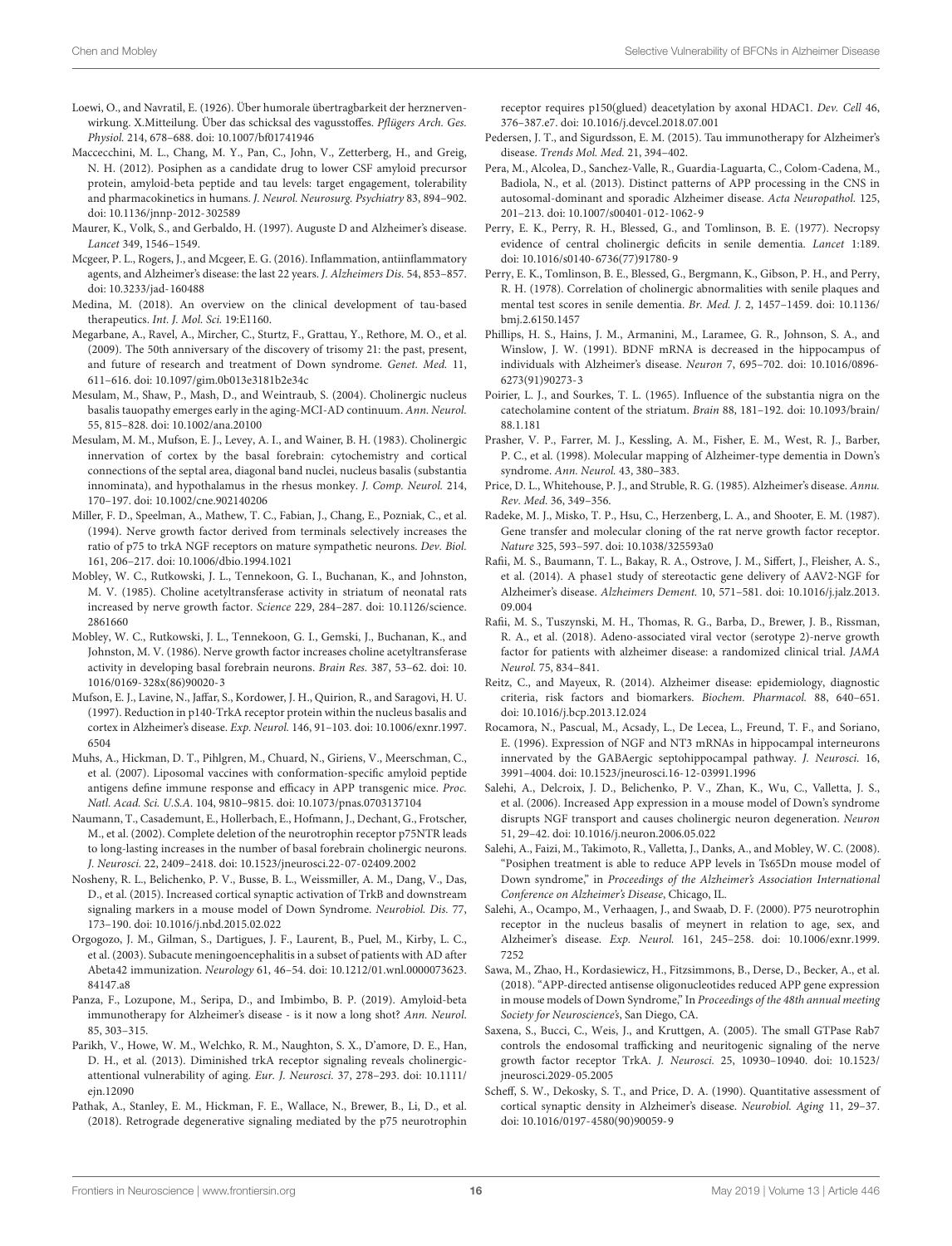- <span id="page-16-7"></span>Loewi, O., and Navratil, E. (1926). Über humorale übertragbarkeit der herznervenwirkung. X.Mitteilung. Über das schicksal des vagusstoffes. Pflügers Arch. Ges. Physiol. 214, 678–688. [doi: 10.1007/bf01741946](https://doi.org/10.1007/bf01741946)
- <span id="page-16-31"></span>Maccecchini, M. L., Chang, M. Y., Pan, C., John, V., Zetterberg, H., and Greig, N. H. (2012). Posiphen as a candidate drug to lower CSF amyloid precursor protein, amyloid-beta peptide and tau levels: target engagement, tolerability and pharmacokinetics in humans. J. Neurol. Neurosurg. Psychiatry 83, 894-902. [doi: 10.1136/jnnp-2012-302589](https://doi.org/10.1136/jnnp-2012-302589)
- <span id="page-16-5"></span>Maurer, K., Volk, S., and Gerbaldo, H. (1997). Auguste D and Alzheimer's disease. Lancet 349, 1546–1549.
- <span id="page-16-0"></span>Mcgeer, P. L., Rogers, J., and Mcgeer, E. G. (2016). Inflammation, antiinflammatory agents, and Alzheimer's disease: the last 22 years. J. Alzheimers Dis. 54, 853–857. [doi: 10.3233/jad-160488](https://doi.org/10.3233/jad-160488)
- <span id="page-16-37"></span>Medina, M. (2018). An overview on the clinical development of tau-based therapeutics. Int. J. Mol. Sci. 19:E1160.
- <span id="page-16-1"></span>Megarbane, A., Ravel, A., Mircher, C., Sturtz, F., Grattau, Y., Rethore, M. O., et al. (2009). The 50th anniversary of the discovery of trisomy 21: the past, present, and future of research and treatment of Down syndrome. Genet. Med. 11, 611–616. [doi: 10.1097/gim.0b013e3181b2e34c](https://doi.org/10.1097/gim.0b013e3181b2e34c)
- <span id="page-16-27"></span>Mesulam, M., Shaw, P., Mash, D., and Weintraub, S. (2004). Cholinergic nucleus basalis tauopathy emerges early in the aging-MCI-AD continuum. Ann. Neurol. 55, 815–828. [doi: 10.1002/ana.20100](https://doi.org/10.1002/ana.20100)
- <span id="page-16-10"></span>Mesulam, M. M., Mufson, E. J., Levey, A. I., and Wainer, B. H. (1983). Cholinergic innervation of cortex by the basal forebrain: cytochemistry and cortical connections of the septal area, diagonal band nuclei, nucleus basalis (substantia innominata), and hypothalamus in the rhesus monkey. J. Comp. Neurol. 214, 170–197. [doi: 10.1002/cne.902140206](https://doi.org/10.1002/cne.902140206)
- <span id="page-16-18"></span>Miller, F. D., Speelman, A., Mathew, T. C., Fabian, J., Chang, E., Pozniak, C., et al. (1994). Nerve growth factor derived from terminals selectively increases the ratio of p75 to trkA NGF receptors on mature sympathetic neurons. Dev. Biol. 161, 206–217. [doi: 10.1006/dbio.1994.1021](https://doi.org/10.1006/dbio.1994.1021)
- <span id="page-16-12"></span>Mobley, W. C., Rutkowski, J. L., Tennekoon, G. I., Buchanan, K., and Johnston, M. V. (1985). Choline acetyltransferase activity in striatum of neonatal rats increased by nerve growth factor. Science 229, 284–287. [doi: 10.1126/science.](https://doi.org/10.1126/science.2861660) [2861660](https://doi.org/10.1126/science.2861660)
- <span id="page-16-13"></span>Mobley, W. C., Rutkowski, J. L., Tennekoon, G. I., Gemski, J., Buchanan, K., and Johnston, M. V. (1986). Nerve growth factor increases choline acetyltransferase activity in developing basal forebrain neurons. Brain Res. 387, 53–62. [doi: 10.](https://doi.org/10.1016/0169-328x(86)90020-3) [1016/0169-328x\(86\)90020-3](https://doi.org/10.1016/0169-328x(86)90020-3)
- <span id="page-16-22"></span>Mufson, E. J., Lavine, N., Jaffar, S., Kordower, J. H., Quirion, R., and Saragovi, H. U. (1997). Reduction in p140-TrkA receptor protein within the nucleus basalis and cortex in Alzheimer's disease. Exp. Neurol. 146, 91–103. [doi: 10.1006/exnr.1997.](https://doi.org/10.1006/exnr.1997.6504) [6504](https://doi.org/10.1006/exnr.1997.6504)
- <span id="page-16-35"></span>Muhs, A., Hickman, D. T., Pihlgren, M., Chuard, N., Giriens, V., Meerschman, C., et al. (2007). Liposomal vaccines with conformation-specific amyloid peptide antigens define immune response and efficacy in APP transgenic mice. Proc. Natl. Acad. Sci. U.S.A. 104, 9810–9815. [doi: 10.1073/pnas.0703137104](https://doi.org/10.1073/pnas.0703137104)
- <span id="page-16-17"></span>Naumann, T., Casademunt, E., Hollerbach, E., Hofmann, J., Dechant, G., Frotscher, M., et al. (2002). Complete deletion of the neurotrophin receptor p75NTR leads to long-lasting increases in the number of basal forebrain cholinergic neurons. J. Neurosci. 22, 2409–2418. [doi: 10.1523/jneurosci.22-07-02409.2002](https://doi.org/10.1523/jneurosci.22-07-02409.2002)
- <span id="page-16-25"></span>Nosheny, R. L., Belichenko, P. V., Busse, B. L., Weissmiller, A. M., Dang, V., Das, D., et al. (2015). Increased cortical synaptic activation of TrkB and downstream signaling markers in a mouse model of Down Syndrome. Neurobiol. Dis. 77, 173–190. [doi: 10.1016/j.nbd.2015.02.022](https://doi.org/10.1016/j.nbd.2015.02.022)
- <span id="page-16-34"></span>Orgogozo, J. M., Gilman, S., Dartigues, J. F., Laurent, B., Puel, M., Kirby, L. C., et al. (2003). Subacute meningoencephalitis in a subset of patients with AD after Abeta42 immunization. Neurology 61, 46–54. [doi: 10.1212/01.wnl.0000073623.](https://doi.org/10.1212/01.wnl.0000073623.84147.a8) [84147.a8](https://doi.org/10.1212/01.wnl.0000073623.84147.a8)
- <span id="page-16-33"></span>Panza, F., Lozupone, M., Seripa, D., and Imbimbo, B. P. (2019). Amyloid-beta immunotherapy for Alzheimer's disease - is it now a long shot? Ann. Neurol. 85, 303–315.
- <span id="page-16-19"></span>Parikh, V., Howe, W. M., Welchko, R. M., Naughton, S. X., D'amore, D. E., Han, D. H., et al. (2013). Diminished trkA receptor signaling reveals cholinergicattentional vulnerability of aging. Eur. J. Neurosci. 37, 278–293. [doi: 10.1111/](https://doi.org/10.1111/ejn.12090) [ejn.12090](https://doi.org/10.1111/ejn.12090)
- <span id="page-16-16"></span>Pathak, A., Stanley, E. M., Hickman, F. E., Wallace, N., Brewer, B., Li, D., et al. (2018). Retrograde degenerative signaling mediated by the p75 neurotrophin

receptor requires p150(glued) deacetylation by axonal HDAC1. Dev. Cell 46, 376–387.e7. [doi: 10.1016/j.devcel.2018.07.001](https://doi.org/10.1016/j.devcel.2018.07.001)

- <span id="page-16-36"></span>Pedersen, J. T., and Sigurdsson, E. M. (2015). Tau immunotherapy for Alzheimer's disease. Trends Mol. Med. 21, 394–402.
- <span id="page-16-26"></span>Pera, M., Alcolea, D., Sanchez-Valle, R., Guardia-Laguarta, C., Colom-Cadena, M., Badiola, N., et al. (2013). Distinct patterns of APP processing in the CNS in autosomal-dominant and sporadic Alzheimer disease. Acta Neuropathol. 125, 201–213. [doi: 10.1007/s00401-012-1062-9](https://doi.org/10.1007/s00401-012-1062-9)
- <span id="page-16-8"></span>Perry, E. K., Perry, R. H., Blessed, G., and Tomlinson, B. E. (1977). Necropsy evidence of central cholinergic deficits in senile dementia. Lancet 1:189. [doi: 10.1016/s0140-6736\(77\)91780-9](https://doi.org/10.1016/s0140-6736(77)91780-9)
- <span id="page-16-9"></span>Perry, E. K., Tomlinson, B. E., Blessed, G., Bergmann, K., Gibson, P. H., and Perry, R. H. (1978). Correlation of cholinergic abnormalities with senile plaques and mental test scores in senile dementia. Br. Med. J. 2, 1457–1459. [doi: 10.1136/](https://doi.org/10.1136/bmj.2.6150.1457) [bmj.2.6150.1457](https://doi.org/10.1136/bmj.2.6150.1457)
- <span id="page-16-21"></span>Phillips, H. S., Hains, J. M., Armanini, M., Laramee, G. R., Johnson, S. A., and Winslow, J. W. (1991). BDNF mRNA is decreased in the hippocampus of individuals with Alzheimer's disease. Neuron 7, 695–702. [doi: 10.1016/0896-](https://doi.org/10.1016/0896-6273(91)90273-3) [6273\(91\)90273-3](https://doi.org/10.1016/0896-6273(91)90273-3)
- <span id="page-16-4"></span>Poirier, L. J., and Sourkes, T. L. (1965). Influence of the substantia nigra on the catecholamine content of the striatum. Brain 88, 181–192. [doi: 10.1093/brain/](https://doi.org/10.1093/brain/88.1.181) [88.1.181](https://doi.org/10.1093/brain/88.1.181)
- <span id="page-16-2"></span>Prasher, V. P., Farrer, M. J., Kessling, A. M., Fisher, E. M., West, R. J., Barber, P. C., et al. (1998). Molecular mapping of Alzheimer-type dementia in Down's syndrome. Ann. Neurol. 43, 380–383.
- <span id="page-16-11"></span>Price, D. L., Whitehouse, P. J., and Struble, R. G. (1985). Alzheimer's disease. Annu. Rev. Med. 36, 349–356.
- <span id="page-16-15"></span>Radeke, M. J., Misko, T. P., Hsu, C., Herzenberg, L. A., and Shooter, E. M. (1987). Gene transfer and molecular cloning of the rat nerve growth factor receptor. Nature 325, 593–597. [doi: 10.1038/325593a0](https://doi.org/10.1038/325593a0)
- <span id="page-16-28"></span>Rafii, M. S., Baumann, T. L., Bakay, R. A., Ostrove, J. M., Siffert, J., Fleisher, A. S., et al. (2014). A phase1 study of stereotactic gene delivery of AAV2-NGF for Alzheimer's disease. Alzheimers Dement. 10, 571–581. [doi: 10.1016/j.jalz.2013.](https://doi.org/10.1016/j.jalz.2013.09.004) [09.004](https://doi.org/10.1016/j.jalz.2013.09.004)
- <span id="page-16-29"></span>Rafii, M. S., Tuszynski, M. H., Thomas, R. G., Barba, D., Brewer, J. B., Rissman, R. A., et al. (2018). Adeno-associated viral vector (serotype 2)-nerve growth factor for patients with alzheimer disease: a randomized clinical trial. JAMA Neurol. 75, 834–841.
- <span id="page-16-6"></span>Reitz, C., and Mayeux, R. (2014). Alzheimer disease: epidemiology, diagnostic criteria, risk factors and biomarkers. Biochem. Pharmacol. 88, 640–651. [doi: 10.1016/j.bcp.2013.12.024](https://doi.org/10.1016/j.bcp.2013.12.024)
- <span id="page-16-14"></span>Rocamora, N., Pascual, M., Acsady, L., De Lecea, L., Freund, T. F., and Soriano, E. (1996). Expression of NGF and NT3 mRNAs in hippocampal interneurons innervated by the GABAergic septohippocampal pathway. J. Neurosci. 16, 3991–4004. [doi: 10.1523/jneurosci.16-12-03991.1996](https://doi.org/10.1523/jneurosci.16-12-03991.1996)
- <span id="page-16-24"></span>Salehi, A., Delcroix, J. D., Belichenko, P. V., Zhan, K., Wu, C., Valletta, J. S., et al. (2006). Increased App expression in a mouse model of Down's syndrome disrupts NGF transport and causes cholinergic neuron degeneration. Neuron 51, 29–42. [doi: 10.1016/j.neuron.2006.05.022](https://doi.org/10.1016/j.neuron.2006.05.022)
- <span id="page-16-32"></span>Salehi, A., Faizi, M., Takimoto, R., Valletta, J., Danks, A., and Mobley, W. C. (2008). "Posiphen treatment is able to reduce APP levels in Ts65Dn mouse model of Down syndrome," in Proceedings of the Alzheimer's Association International Conference on Alzheimer's Disease, Chicago, IL.
- <span id="page-16-23"></span>Salehi, A., Ocampo, M., Verhaagen, J., and Swaab, D. F. (2000). P75 neurotrophin receptor in the nucleus basalis of meynert in relation to age, sex, and Alzheimer's disease. Exp. Neurol. 161, 245–258. [doi: 10.1006/exnr.1999.](https://doi.org/10.1006/exnr.1999.7252) [7252](https://doi.org/10.1006/exnr.1999.7252)
- <span id="page-16-30"></span>Sawa, M., Zhao, H., Kordasiewicz, H., Fitzsimmons, B., Derse, D., Becker, A., et al. (2018). "APP-directed antisense oligonucleotides reduced APP gene expression in mouse models of Down Syndrome," In Proceedings of the 48th annual meeting Society for Neuroscience's, San Diego, CA.
- <span id="page-16-20"></span>Saxena, S., Bucci, C., Weis, J., and Kruttgen, A. (2005). The small GTPase Rab7 controls the endosomal trafficking and neuritogenic signaling of the nerve growth factor receptor TrkA. J. Neurosci. 25, 10930–10940. [doi: 10.1523/](https://doi.org/10.1523/jneurosci.2029-05.2005) [jneurosci.2029-05.2005](https://doi.org/10.1523/jneurosci.2029-05.2005)
- <span id="page-16-3"></span>Scheff, S. W., Dekosky, S. T., and Price, D. A. (1990). Quantitative assessment of cortical synaptic density in Alzheimer's disease. Neurobiol. Aging 11, 29–37. [doi: 10.1016/0197-4580\(90\)90059-9](https://doi.org/10.1016/0197-4580(90)90059-9)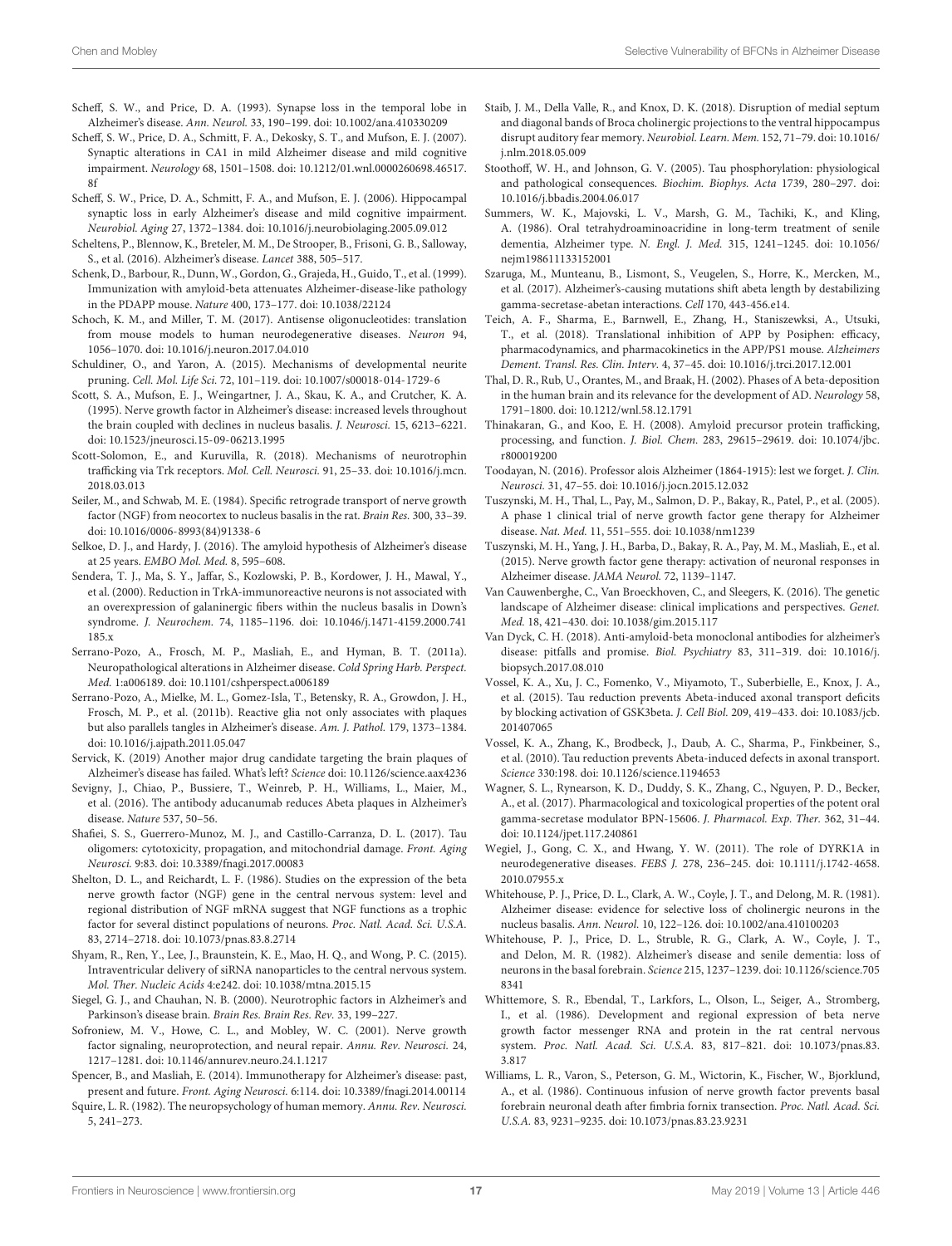- <span id="page-17-10"></span>Scheff, S. W., and Price, D. A. (1993). Synapse loss in the temporal lobe in Alzheimer's disease. Ann. Neurol. 33, 190–199. [doi: 10.1002/ana.410330209](https://doi.org/10.1002/ana.410330209)
- <span id="page-17-9"></span>Scheff, S. W., Price, D. A., Schmitt, F. A., Dekosky, S. T., and Mufson, E. J. (2007). Synaptic alterations in CA1 in mild Alzheimer disease and mild cognitive impairment. Neurology 68, 1501–1508. [doi: 10.1212/01.wnl.0000260698.46517.](https://doi.org/10.1212/01.wnl.0000260698.46517.8f) [8f](https://doi.org/10.1212/01.wnl.0000260698.46517.8f)
- <span id="page-17-8"></span>Scheff, S. W., Price, D. A., Schmitt, F. A., and Mufson, E. J. (2006). Hippocampal synaptic loss in early Alzheimer's disease and mild cognitive impairment. Neurobiol. Aging 27, 1372–1384. [doi: 10.1016/j.neurobiolaging.2005.09.012](https://doi.org/10.1016/j.neurobiolaging.2005.09.012)
- <span id="page-17-1"></span>Scheltens, P., Blennow, K., Breteler, M. M., De Strooper, B., Frisoni, G. B., Salloway, S., et al. (2016). Alzheimer's disease. Lancet 388, 505–517.
- <span id="page-17-37"></span>Schenk, D., Barbour, R., Dunn, W., Gordon, G., Grajeda, H., Guido, T., et al. (1999). Immunization with amyloid-beta attenuates Alzheimer-disease-like pathology in the PDAPP mouse. Nature 400, 173–177. [doi: 10.1038/22124](https://doi.org/10.1038/22124)
- <span id="page-17-33"></span>Schoch, K. M., and Miller, T. M. (2017). Antisense oligonucleotides: translation from mouse models to human neurodegenerative diseases. Neuron 94, 1056–1070. [doi: 10.1016/j.neuron.2017.04.010](https://doi.org/10.1016/j.neuron.2017.04.010)
- <span id="page-17-30"></span>Schuldiner, O., and Yaron, A. (2015). Mechanisms of developmental neurite pruning. Cell. Mol. Life Sci. 72, 101–119. [doi: 10.1007/s00018-014-1729-6](https://doi.org/10.1007/s00018-014-1729-6)
- <span id="page-17-23"></span>Scott, S. A., Mufson, E. J., Weingartner, J. A., Skau, K. A., and Crutcher, K. A. (1995). Nerve growth factor in Alzheimer's disease: increased levels throughout the brain coupled with declines in nucleus basalis. J. Neurosci. 15, 6213–6221. [doi: 10.1523/jneurosci.15-09-06213.1995](https://doi.org/10.1523/jneurosci.15-09-06213.1995)
- <span id="page-17-22"></span>Scott-Solomon, E., and Kuruvilla, R. (2018). Mechanisms of neurotrophin trafficking via Trk receptors. Mol. Cell. Neurosci. 91, 25–33. [doi: 10.1016/j.mcn.](https://doi.org/10.1016/j.mcn.2018.03.013) [2018.03.013](https://doi.org/10.1016/j.mcn.2018.03.013)
- <span id="page-17-17"></span>Seiler, M., and Schwab, M. E. (1984). Specific retrograde transport of nerve growth factor (NGF) from neocortex to nucleus basalis in the rat. Brain Res. 300, 33–39. [doi: 10.1016/0006-8993\(84\)91338-6](https://doi.org/10.1016/0006-8993(84)91338-6)
- <span id="page-17-0"></span>Selkoe, D. J., and Hardy, J. (2016). The amyloid hypothesis of Alzheimer's disease at 25 years. EMBO Mol. Med. 8, 595–608.
- <span id="page-17-25"></span>Sendera, T. J., Ma, S. Y., Jaffar, S., Kozlowski, P. B., Kordower, J. H., Mawal, Y., et al. (2000). Reduction in TrkA-immunoreactive neurons is not associated with an overexpression of galaninergic fibers within the nucleus basalis in Down's syndrome. J. Neurochem. 74, 1185–1196. [doi: 10.1046/j.1471-4159.2000.741](https://doi.org/10.1046/j.1471-4159.2000.741185.x) [185.x](https://doi.org/10.1046/j.1471-4159.2000.741185.x)
- <span id="page-17-4"></span>Serrano-Pozo, A., Frosch, M. P., Masliah, E., and Hyman, B. T. (2011a). Neuropathological alterations in Alzheimer disease. Cold Spring Harb. Perspect. Med. 1:a006189. [doi: 10.1101/cshperspect.a006189](https://doi.org/10.1101/cshperspect.a006189)
- <span id="page-17-11"></span>Serrano-Pozo, A., Mielke, M. L., Gomez-Isla, T., Betensky, R. A., Growdon, J. H., Frosch, M. P., et al. (2011b). Reactive glia not only associates with plaques but also parallels tangles in Alzheimer's disease. Am. J. Pathol. 179, 1373–1384. [doi: 10.1016/j.ajpath.2011.05.047](https://doi.org/10.1016/j.ajpath.2011.05.047)
- <span id="page-17-41"></span>Servick, K. (2019) Another major drug candidate targeting the brain plaques of Alzheimer's disease has failed. What's left? Science [doi: 10.1126/science.aax4236](https://doi.org/10.1126/science.aax4236)
- <span id="page-17-40"></span>Sevigny, J., Chiao, P., Bussiere, T., Weinreb, P. H., Williams, L., Maier, M., et al. (2016). The antibody aducanumab reduces Abeta plaques in Alzheimer's disease. Nature 537, 50–56.
- <span id="page-17-6"></span>Shafiei, S. S., Guerrero-Munoz, M. J., and Castillo-Carranza, D. L. (2017). Tau oligomers: cytotoxicity, propagation, and mitochondrial damage. Front. Aging Neurosci. 9:83. [doi: 10.3389/fnagi.2017.00083](https://doi.org/10.3389/fnagi.2017.00083)
- <span id="page-17-19"></span>Shelton, D. L., and Reichardt, L. F. (1986). Studies on the expression of the beta nerve growth factor (NGF) gene in the central nervous system: level and regional distribution of NGF mRNA suggest that NGF functions as a trophic factor for several distinct populations of neurons. Proc. Natl. Acad. Sci. U.S.A. 83, 2714–2718. [doi: 10.1073/pnas.83.8.2714](https://doi.org/10.1073/pnas.83.8.2714)
- <span id="page-17-34"></span>Shyam, R., Ren, Y., Lee, J., Braunstein, K. E., Mao, H. Q., and Wong, P. C. (2015). Intraventricular delivery of siRNA nanoparticles to the central nervous system. Mol. Ther. Nucleic Acids 4:e242. [doi: 10.1038/mtna.2015.15](https://doi.org/10.1038/mtna.2015.15)
- <span id="page-17-24"></span>Siegel, G. J., and Chauhan, N. B. (2000). Neurotrophic factors in Alzheimer's and Parkinson's disease brain. Brain Res. Brain Res. Rev. 33, 199–227.
- <span id="page-17-21"></span>Sofroniew, M. V., Howe, C. L., and Mobley, W. C. (2001). Nerve growth factor signaling, neuroprotection, and neural repair. Annu. Rev. Neurosci. 24, 1217–1281. [doi: 10.1146/annurev.neuro.24.1.1217](https://doi.org/10.1146/annurev.neuro.24.1.1217)
- <span id="page-17-38"></span>Spencer, B., and Masliah, E. (2014). Immunotherapy for Alzheimer's disease: past, present and future. Front. Aging Neurosci. 6:114. [doi: 10.3389/fnagi.2014.00114](https://doi.org/10.3389/fnagi.2014.00114)
- <span id="page-17-13"></span>Squire, L. R. (1982). The neuropsychology of human memory. Annu. Rev. Neurosci. 5, 241–273.
- <span id="page-17-16"></span>Staib, J. M., Della Valle, R., and Knox, D. K. (2018). Disruption of medial septum and diagonal bands of Broca cholinergic projections to the ventral hippocampus disrupt auditory fear memory. Neurobiol. Learn. Mem. 152, 71–79. [doi: 10.1016/](https://doi.org/10.1016/j.nlm.2018.05.009) [j.nlm.2018.05.009](https://doi.org/10.1016/j.nlm.2018.05.009)
- <span id="page-17-29"></span>Stoothoff, W. H., and Johnson, G. V. (2005). Tau phosphorylation: physiological and pathological consequences. Biochim. Biophys. Acta 1739, 280–297. [doi:](https://doi.org/10.1016/j.bbadis.2004.06.017) [10.1016/j.bbadis.2004.06.017](https://doi.org/10.1016/j.bbadis.2004.06.017)
- <span id="page-17-15"></span>Summers, W. K., Majovski, L. V., Marsh, G. M., Tachiki, K., and Kling, A. (1986). Oral tetrahydroaminoacridine in long-term treatment of senile dementia, Alzheimer type. N. Engl. J. Med. 315, 1241–1245. [doi: 10.1056/](https://doi.org/10.1056/nejm198611133152001) [nejm198611133152001](https://doi.org/10.1056/nejm198611133152001)
- <span id="page-17-26"></span>Szaruga, M., Munteanu, B., Lismont, S., Veugelen, S., Horre, K., Mercken, M., et al. (2017). Alzheimer's-causing mutations shift abeta length by destabilizing gamma-secretase-abetan interactions. Cell 170, 443-456.e14.
- <span id="page-17-35"></span>Teich, A. F., Sharma, E., Barnwell, E., Zhang, H., Staniszewksi, A., Utsuki, T., et al. (2018). Translational inhibition of APP by Posiphen: efficacy, pharmacodynamics, and pharmacokinetics in the APP/PS1 mouse. Alzheimers Dement. Transl. Res. Clin. Interv. 4, 37–45. [doi: 10.1016/j.trci.2017.12.001](https://doi.org/10.1016/j.trci.2017.12.001)
- <span id="page-17-5"></span>Thal, D. R., Rub, U., Orantes, M., and Braak, H. (2002). Phases of A beta-deposition in the human brain and its relevance for the development of AD. Neurology 58, 1791–1800. [doi: 10.1212/wnl.58.12.1791](https://doi.org/10.1212/wnl.58.12.1791)
- <span id="page-17-3"></span>Thinakaran, G., and Koo, E. H. (2008). Amyloid precursor protein trafficking, processing, and function. J. Biol. Chem. 283, 29615–29619. [doi: 10.1074/jbc.](https://doi.org/10.1074/jbc.r800019200) [r800019200](https://doi.org/10.1074/jbc.r800019200)
- <span id="page-17-12"></span>Toodayan, N. (2016). Professor alois Alzheimer (1864-1915): lest we forget. J. Clin. Neurosci. 31, 47–55. [doi: 10.1016/j.jocn.2015.12.032](https://doi.org/10.1016/j.jocn.2015.12.032)
- <span id="page-17-31"></span>Tuszynski, M. H., Thal, L., Pay, M., Salmon, D. P., Bakay, R., Patel, P., et al. (2005). A phase 1 clinical trial of nerve growth factor gene therapy for Alzheimer disease. Nat. Med. 11, 551–555. [doi: 10.1038/nm1239](https://doi.org/10.1038/nm1239)
- <span id="page-17-32"></span>Tuszynski, M. H., Yang, J. H., Barba, D., Bakay, R. A., Pay, M. M., Masliah, E., et al. (2015). Nerve growth factor gene therapy: activation of neuronal responses in Alzheimer disease. JAMA Neurol. 72, 1139–1147.
- <span id="page-17-2"></span>Van Cauwenberghe, C., Van Broeckhoven, C., and Sleegers, K. (2016). The genetic landscape of Alzheimer disease: clinical implications and perspectives. Genet. Med. 18, 421–430. [doi: 10.1038/gim.2015.117](https://doi.org/10.1038/gim.2015.117)
- <span id="page-17-39"></span>Van Dyck, C. H. (2018). Anti-amyloid-beta monoclonal antibodies for alzheimer's disease: pitfalls and promise. Biol. Psychiatry 83, 311–319. [doi: 10.1016/j.](https://doi.org/10.1016/j.biopsych.2017.08.010) [biopsych.2017.08.010](https://doi.org/10.1016/j.biopsych.2017.08.010)
- <span id="page-17-28"></span>Vossel, K. A., Xu, J. C., Fomenko, V., Miyamoto, T., Suberbielle, E., Knox, J. A., et al. (2015). Tau reduction prevents Abeta-induced axonal transport deficits by blocking activation of GSK3beta. J. Cell Biol. 209, 419–433. [doi: 10.1083/jcb.](https://doi.org/10.1083/jcb.201407065) [201407065](https://doi.org/10.1083/jcb.201407065)
- <span id="page-17-27"></span>Vossel, K. A., Zhang, K., Brodbeck, J., Daub, A. C., Sharma, P., Finkbeiner, S., et al. (2010). Tau reduction prevents Abeta-induced defects in axonal transport. Science 330:198. [doi: 10.1126/science.1194653](https://doi.org/10.1126/science.1194653)
- <span id="page-17-36"></span>Wagner, S. L., Rynearson, K. D., Duddy, S. K., Zhang, C., Nguyen, P. D., Becker, A., et al. (2017). Pharmacological and toxicological properties of the potent oral gamma-secretase modulator BPN-15606. J. Pharmacol. Exp. Ther. 362, 31–44. [doi: 10.1124/jpet.117.240861](https://doi.org/10.1124/jpet.117.240861)
- <span id="page-17-42"></span>Wegiel, J., Gong, C. X., and Hwang, Y. W. (2011). The role of DYRK1A in neurodegenerative diseases. FEBS J. 278, 236–245. [doi: 10.1111/j.1742-4658.](https://doi.org/10.1111/j.1742-4658.2010.07955.x) [2010.07955.x](https://doi.org/10.1111/j.1742-4658.2010.07955.x)
- <span id="page-17-7"></span>Whitehouse, P. J., Price, D. L., Clark, A. W., Coyle, J. T., and Delong, M. R. (1981). Alzheimer disease: evidence for selective loss of cholinergic neurons in the nucleus basalis. Ann. Neurol. 10, 122–126. [doi: 10.1002/ana.410100203](https://doi.org/10.1002/ana.410100203)
- <span id="page-17-14"></span>Whitehouse, P. J., Price, D. L., Struble, R. G., Clark, A. W., Coyle, J. T., and Delon, M. R. (1982). Alzheimer's disease and senile dementia: loss of neurons in the basal forebrain. Science 215, 1237–1239. [doi: 10.1126/science.705](https://doi.org/10.1126/science.7058341) [8341](https://doi.org/10.1126/science.7058341)
- <span id="page-17-20"></span>Whittemore, S. R., Ebendal, T., Larkfors, L., Olson, L., Seiger, A., Stromberg, I., et al. (1986). Development and regional expression of beta nerve growth factor messenger RNA and protein in the rat central nervous system. Proc. Natl. Acad. Sci. U.S.A. 83, 817–821. [doi: 10.1073/pnas.83.](https://doi.org/10.1073/pnas.83.3.817) [3.817](https://doi.org/10.1073/pnas.83.3.817)
- <span id="page-17-18"></span>Williams, L. R., Varon, S., Peterson, G. M., Wictorin, K., Fischer, W., Bjorklund, A., et al. (1986). Continuous infusion of nerve growth factor prevents basal forebrain neuronal death after fimbria fornix transection. Proc. Natl. Acad. Sci. U.S.A. 83, 9231–9235. [doi: 10.1073/pnas.83.23.9231](https://doi.org/10.1073/pnas.83.23.9231)